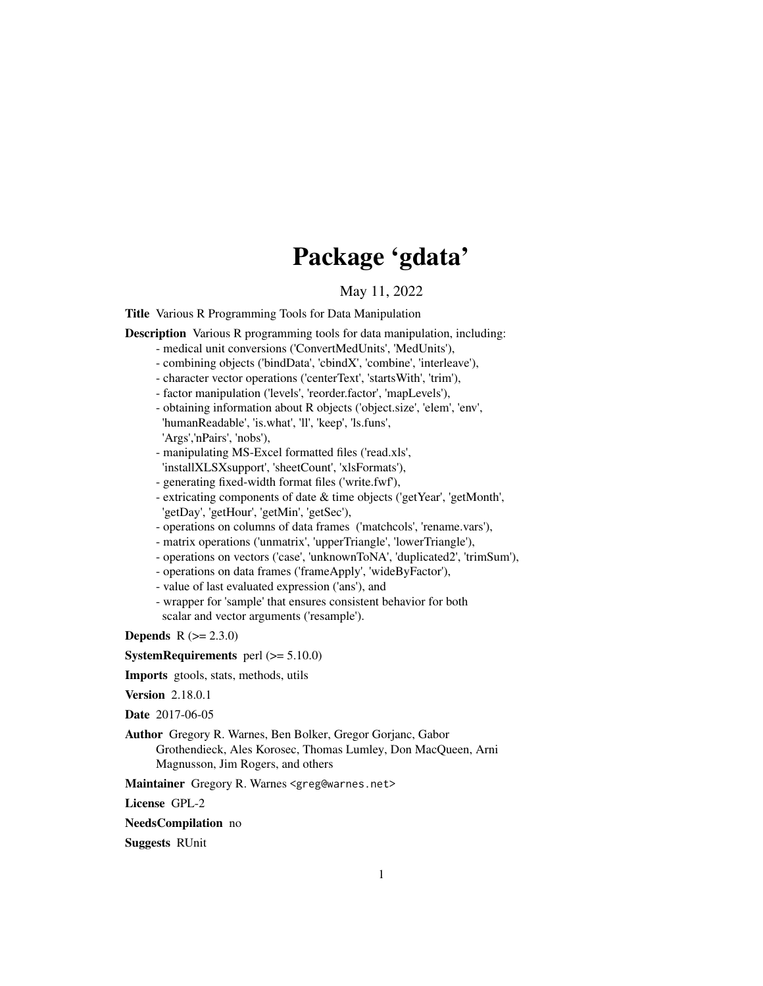# Package 'gdata'

# May 11, 2022

<span id="page-0-0"></span>Title Various R Programming Tools for Data Manipulation

Description Various R programming tools for data manipulation, including:

- medical unit conversions ('ConvertMedUnits', 'MedUnits'),
- combining objects ('bindData', 'cbindX', 'combine', 'interleave'),
- character vector operations ('centerText', 'startsWith', 'trim'),
- factor manipulation ('levels', 'reorder.factor', 'mapLevels'),
- obtaining information about R objects ('object.size', 'elem', 'env', 'humanReadable', 'is.what', 'll', 'keep', 'ls.funs',
- 'Args','nPairs', 'nobs'),
- manipulating MS-Excel formatted files ('read.xls', 'installXLSXsupport', 'sheetCount', 'xlsFormats'),
- generating fixed-width format files ('write.fwf'),
- extricating components of date & time objects ('getYear', 'getMonth', 'getDay', 'getHour', 'getMin', 'getSec'),
- operations on columns of data frames ('matchcols', 'rename.vars'),
- matrix operations ('unmatrix', 'upperTriangle', 'lowerTriangle'),
- operations on vectors ('case', 'unknownToNA', 'duplicated2', 'trimSum'),
- operations on data frames ('frameApply', 'wideByFactor'),
- value of last evaluated expression ('ans'), and
- wrapper for 'sample' that ensures consistent behavior for both scalar and vector arguments ('resample').

**Depends**  $R (= 2.3.0)$ 

**SystemRequirements** perl  $(>= 5.10.0)$ 

Imports gtools, stats, methods, utils

Version 2.18.0.1

Date 2017-06-05

Author Gregory R. Warnes, Ben Bolker, Gregor Gorjanc, Gabor Grothendieck, Ales Korosec, Thomas Lumley, Don MacQueen, Arni Magnusson, Jim Rogers, and others

Maintainer Gregory R. Warnes <greg@warnes.net>

License GPL-2

NeedsCompilation no

Suggests RUnit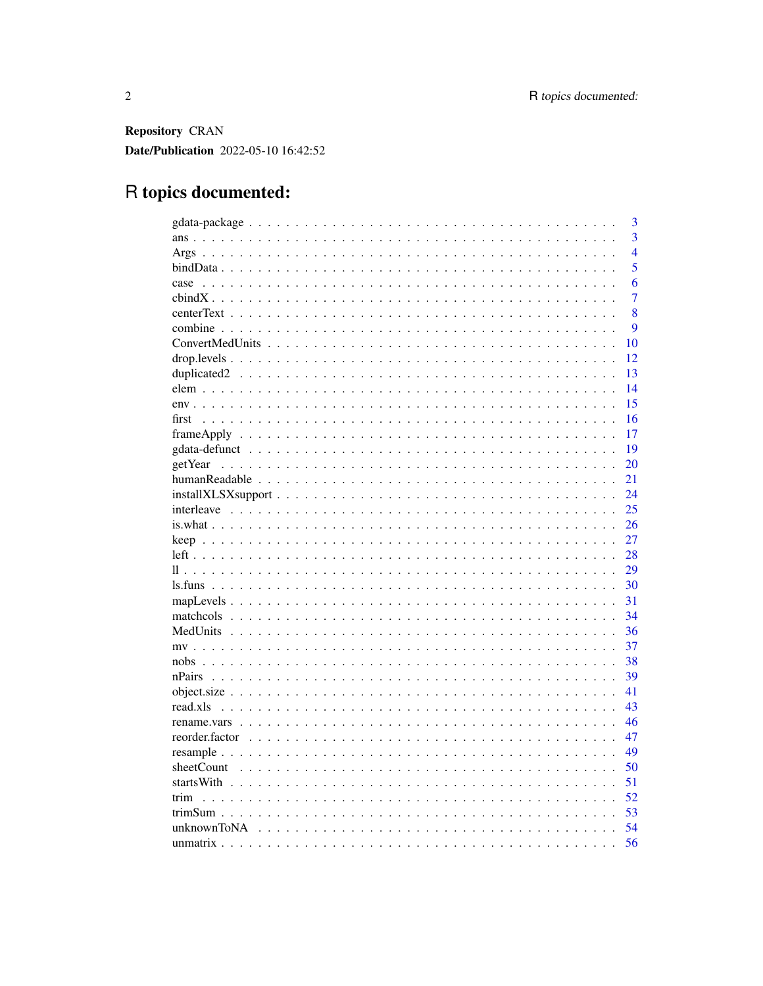Repository CRAN Date/Publication 2022-05-10 16:42:52

# R topics documented:

|                                                                                                         | 3                |
|---------------------------------------------------------------------------------------------------------|------------------|
|                                                                                                         | $\overline{3}$   |
|                                                                                                         | $\overline{4}$   |
|                                                                                                         | $\overline{5}$   |
| case                                                                                                    | 6                |
|                                                                                                         | $\overline{7}$   |
|                                                                                                         | 8                |
|                                                                                                         | $\boldsymbol{Q}$ |
|                                                                                                         | 10               |
|                                                                                                         | 12               |
|                                                                                                         | 13               |
|                                                                                                         | 14               |
|                                                                                                         | 15               |
| first                                                                                                   | 16               |
| $frameApply \ldots \ldots \ldots \ldots \ldots \ldots \ldots \ldots \ldots \ldots \ldots \ldots \ldots$ | 17               |
|                                                                                                         | 19               |
| getYear                                                                                                 | 20               |
|                                                                                                         | 21               |
|                                                                                                         | 24               |
|                                                                                                         | 25               |
|                                                                                                         | 26               |
|                                                                                                         | 27               |
|                                                                                                         | 28               |
|                                                                                                         | 29               |
|                                                                                                         | 30               |
|                                                                                                         | 31               |
|                                                                                                         | 34               |
|                                                                                                         | 36               |
|                                                                                                         | 37               |
|                                                                                                         | 38               |
| nPairs                                                                                                  | 39               |
|                                                                                                         | 41               |
| $read.xls \dots \dots$                                                                                  | 43               |
|                                                                                                         | 46               |
|                                                                                                         | 47               |
|                                                                                                         | 49               |
|                                                                                                         | 50               |
|                                                                                                         | 51               |
| trim                                                                                                    | 52               |
|                                                                                                         | 53               |
|                                                                                                         | 54               |
|                                                                                                         | 56               |
|                                                                                                         |                  |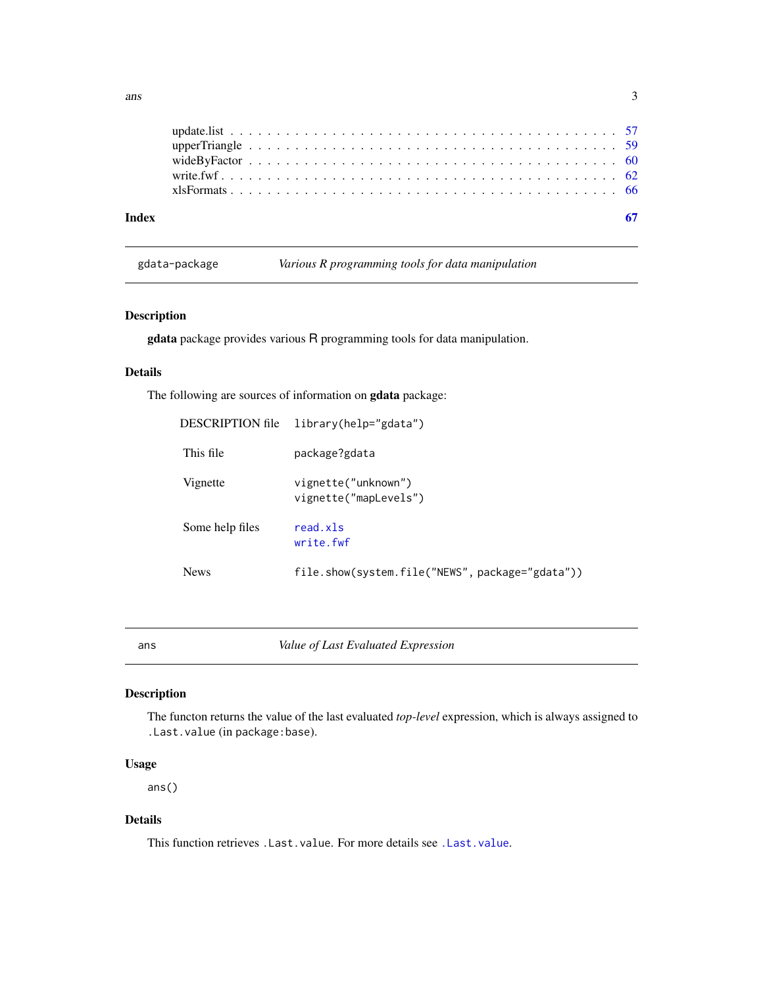<span id="page-2-0"></span>

| Index |  |  |  |  |  |  |  |  |  |  |  |  |  |  |  |  |  |  |  |  |
|-------|--|--|--|--|--|--|--|--|--|--|--|--|--|--|--|--|--|--|--|--|
|       |  |  |  |  |  |  |  |  |  |  |  |  |  |  |  |  |  |  |  |  |
|       |  |  |  |  |  |  |  |  |  |  |  |  |  |  |  |  |  |  |  |  |
|       |  |  |  |  |  |  |  |  |  |  |  |  |  |  |  |  |  |  |  |  |
|       |  |  |  |  |  |  |  |  |  |  |  |  |  |  |  |  |  |  |  |  |
|       |  |  |  |  |  |  |  |  |  |  |  |  |  |  |  |  |  |  |  |  |

gdata-package *Various R programming tools for data manipulation*

# Description

gdata package provides various R programming tools for data manipulation.

#### Details

The following are sources of information on gdata package:

| DESCRIPTION file | library(help="gdata")                           |
|------------------|-------------------------------------------------|
| This file        | package?gdata                                   |
| Vignette         | vignette("unknown")<br>vignette("mapLevels")    |
| Some help files  | read.xls<br>write.fwf                           |
| <b>News</b>      | file.show(system.file("NEWS", package="gdata")) |

ans *Value of Last Evaluated Expression*

#### Description

The functon returns the value of the last evaluated *top-level* expression, which is always assigned to .Last.value (in package:base).

# Usage

ans()

# Details

This function retrieves .Last.value. For more details see [.Last.value](#page-0-0).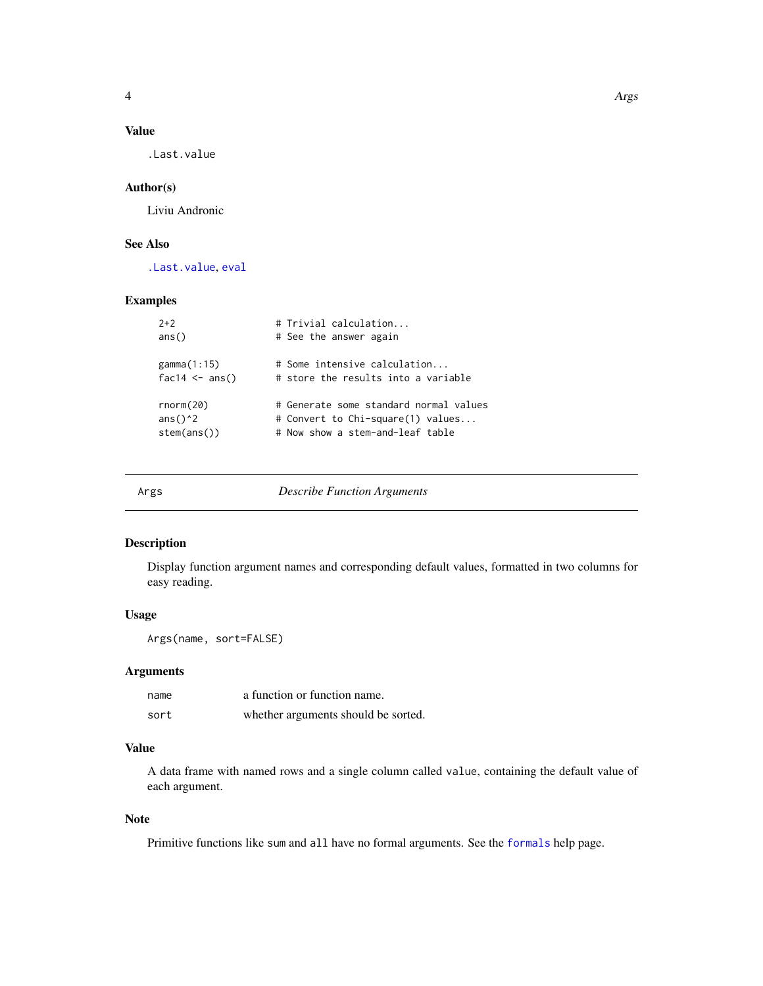<span id="page-3-0"></span>

# Value

.Last.value

# Author(s)

Liviu Andronic

# See Also

[.Last.value](#page-0-0), [eval](#page-0-0)

# Examples

| $2+2$                                      | # Trivial calculation                  |
|--------------------------------------------|----------------------------------------|
| ans()                                      | # See the answer again                 |
| gamma(1:15)                                | # Some intensive calculation           |
| $fac14 \leq ans()$                         | # store the results into a variable    |
| rnorm(20)                                  | # Generate some standard normal values |
| ans( $)$ <sup><math>\lambda</math></sup> 2 | # Convert to Chi-square(1) values      |
| stem(ans())                                | # Now show a stem-and-leaf table       |

|--|--|

Args *Describe Function Arguments*

### Description

Display function argument names and corresponding default values, formatted in two columns for easy reading.

# Usage

Args(name, sort=FALSE)

# Arguments

| name | a function or function name.        |
|------|-------------------------------------|
| sort | whether arguments should be sorted. |

# Value

A data frame with named rows and a single column called value, containing the default value of each argument.

# Note

Primitive functions like sum and all have no formal arguments. See the [formals](#page-0-0) help page.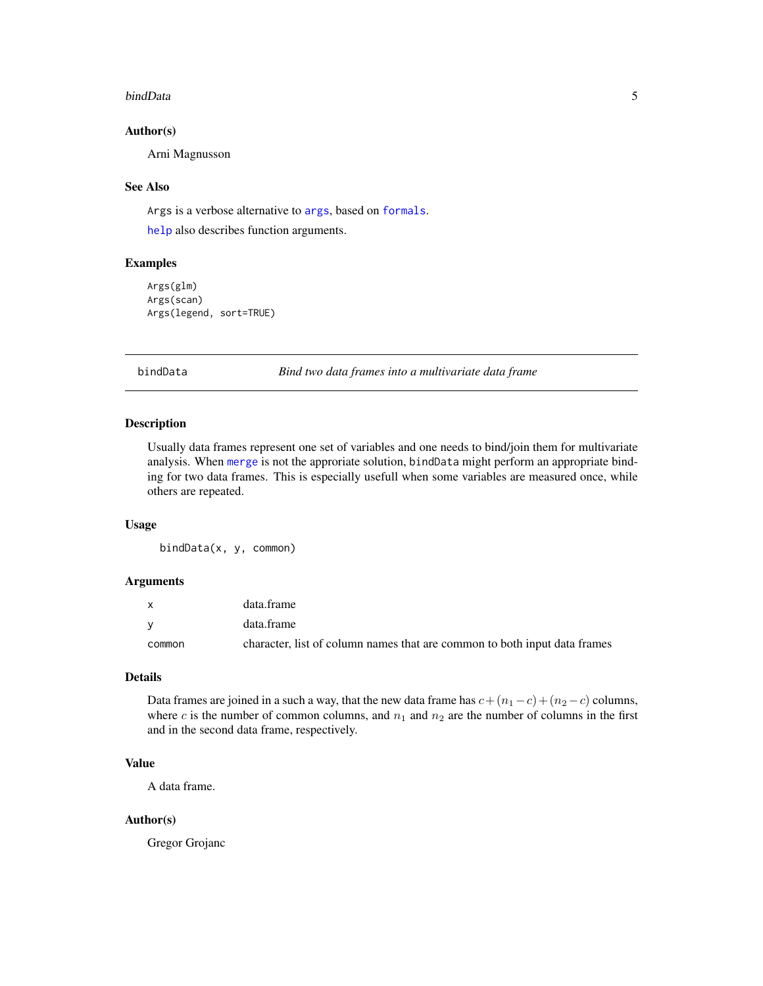#### <span id="page-4-0"></span>bindData 5

#### Author(s)

Arni Magnusson

#### See Also

Args is a verbose alternative to [args](#page-0-0), based on [formals](#page-0-0).

[help](#page-0-0) also describes function arguments.

#### Examples

```
Args(glm)
Args(scan)
Args(legend, sort=TRUE)
```
bindData *Bind two data frames into a multivariate data frame*

#### Description

Usually data frames represent one set of variables and one needs to bind/join them for multivariate analysis. When [merge](#page-0-0) is not the approriate solution, bindData might perform an appropriate binding for two data frames. This is especially usefull when some variables are measured once, while others are repeated.

#### Usage

bindData(x, y, common)

#### Arguments

| X        | data.frame                                                                |
|----------|---------------------------------------------------------------------------|
| <b>V</b> | data.frame                                                                |
| common   | character, list of column names that are common to both input data frames |

#### Details

Data frames are joined in a such a way, that the new data frame has  $c + (n_1 - c) + (n_2 - c)$  columns, where c is the number of common columns, and  $n_1$  and  $n_2$  are the number of columns in the first and in the second data frame, respectively.

# Value

A data frame.

### Author(s)

Gregor Grojanc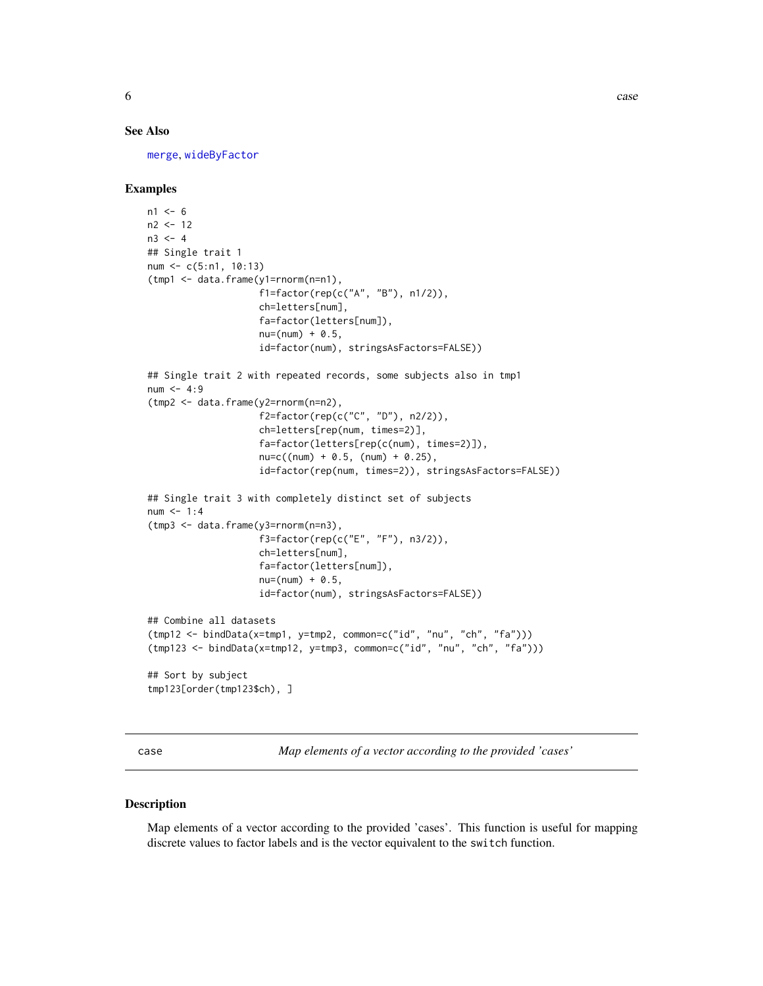#### <span id="page-5-0"></span>See Also

[merge](#page-0-0), [wideByFactor](#page-59-1)

#### Examples

```
n1 < -6n2 <- 12
n3 < - 4## Single trait 1
num <- c(5:n1, 10:13)
(tmp1 <- data.frame(y1=rnorm(n=n1),
                    f1=factor(rep(c("A", "B"), n1/2)),
                    ch=letters[num],
                    fa=factor(letters[num]),
                    nu=(num) + 0.5,id=factor(num), stringsAsFactors=FALSE))
## Single trait 2 with repeated records, some subjects also in tmp1
num < - 4:9(tmp2 <- data.frame(y2=rnorm(n=n2),
                    f2=factor(rep(c("C", "D"), n2/2)),
                    ch=letters[rep(num, times=2)],
                    fa=factor(letters[rep(c(num), times=2)]),
                    nu = c((num) + 0.5, (num) + 0.25),id=factor(rep(num, times=2)), stringsAsFactors=FALSE))
## Single trait 3 with completely distinct set of subjects
num < - 1:4(tmp3 <- data.frame(y3=rnorm(n=n3),
                    f3=factor(rep(c("E", "F"), n3/2)),
                    ch=letters[num],
                    fa=factor(letters[num]),
                    nu=(num) + 0.5,id=factor(num), stringsAsFactors=FALSE))
## Combine all datasets
(tmp12 <- bindData(x=tmp1, y=tmp2, common=c("id", "nu", "ch", "fa")))
(tmp123 <- bindData(x=tmp12, y=tmp3, common=c("id", "nu", "ch", "fa")))
## Sort by subject
tmp123[order(tmp123$ch), ]
```
case *Map elements of a vector according to the provided 'cases'*

#### Description

Map elements of a vector according to the provided 'cases'. This function is useful for mapping discrete values to factor labels and is the vector equivalent to the switch function.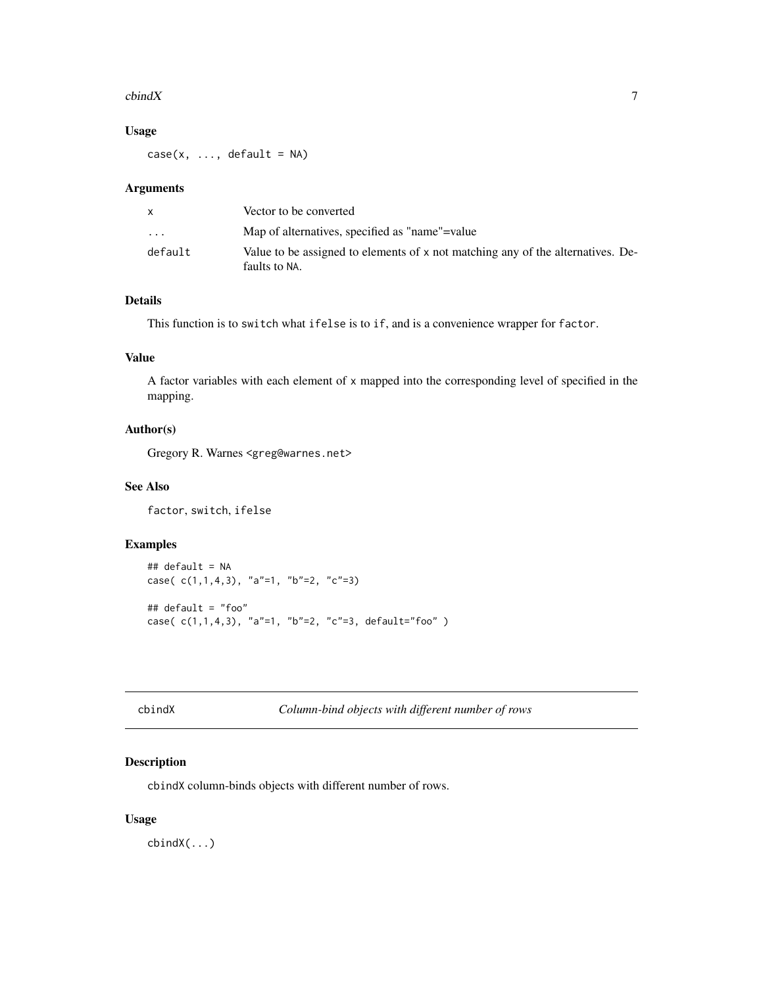#### <span id="page-6-0"></span> $\epsilon$ bindX 7

# Usage

 $case(x, \ldots, default = NA)$ 

#### Arguments

|         | Vector to be converted                                                                           |
|---------|--------------------------------------------------------------------------------------------------|
| $\cdot$ | Map of alternatives, specified as "name"=value                                                   |
| default | Value to be assigned to elements of x not matching any of the alternatives. De-<br>faults to NA. |

# Details

This function is to switch what ifelse is to if, and is a convenience wrapper for factor.

# Value

A factor variables with each element of x mapped into the corresponding level of specified in the mapping.

# Author(s)

Gregory R. Warnes <greg@warnes.net>

# See Also

factor, switch, ifelse

# Examples

```
## default = NA
case( c(1,1,4,3), "a"=1, "b"=2, "c"=3)
## default = "foo"
case( c(1,1,4,3), "a"=1, "b"=2, "c"=3, default="foo" )
```
cbindX *Column-bind objects with different number of rows*

# Description

cbindX column-binds objects with different number of rows.

# Usage

cbindX(...)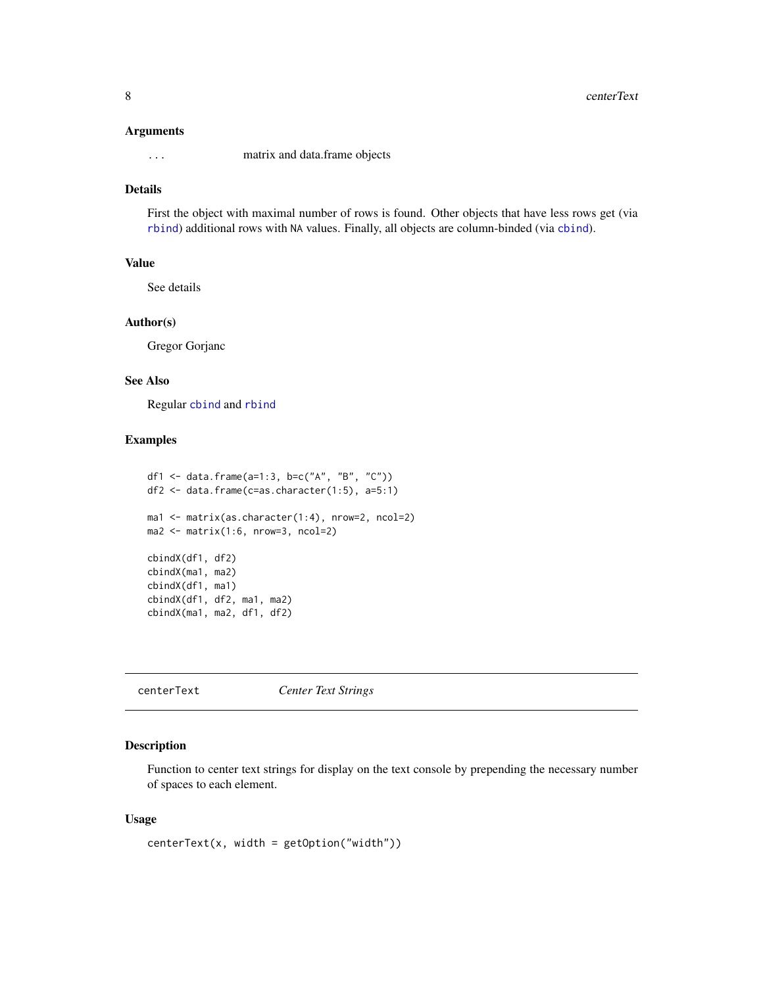#### <span id="page-7-0"></span>Arguments

... matrix and data.frame objects

# Details

First the object with maximal number of rows is found. Other objects that have less rows get (via [rbind](#page-0-0)) additional rows with NA values. Finally, all objects are column-binded (via [cbind](#page-0-0)).

#### Value

See details

# Author(s)

Gregor Gorjanc

#### See Also

Regular [cbind](#page-0-0) and [rbind](#page-0-0)

#### Examples

```
df1 <- data.frame(a=1:3, b=c("A", "B", "C"))
df2 <- data.frame(c=as.character(1:5), a=5:1)
ma1 <- matrix(as.character(1:4), nrow=2, ncol=2)
ma2 <- matrix(1:6, nrow=3, ncol=2)
cbindX(df1, df2)
cbindX(ma1, ma2)
cbindX(df1, ma1)
cbindX(df1, df2, ma1, ma2)
cbindX(ma1, ma2, df1, df2)
```
centerText *Center Text Strings*

# Description

Function to center text strings for display on the text console by prepending the necessary number of spaces to each element.

#### Usage

centerText(x, width = getOption("width"))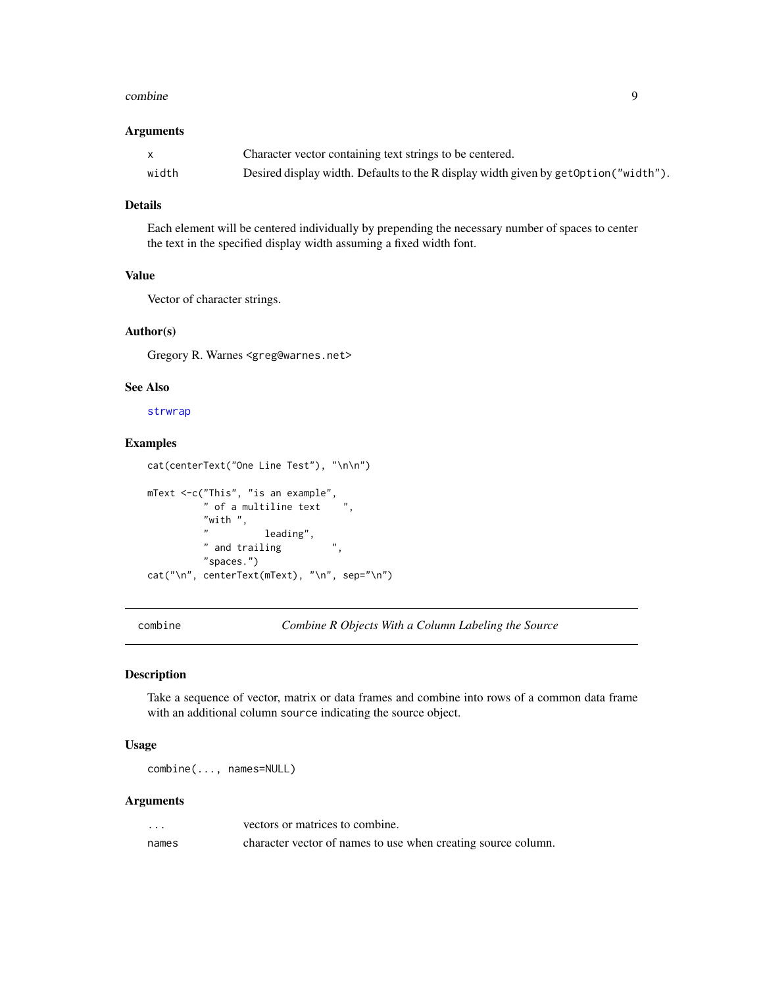#### <span id="page-8-0"></span>combine 9

#### Arguments

|       | Character vector containing text strings to be centered.                              |
|-------|---------------------------------------------------------------------------------------|
| width | Desired display width. Defaults to the R display width given by get Option ("width"). |

# Details

Each element will be centered individually by prepending the necessary number of spaces to center the text in the specified display width assuming a fixed width font.

# Value

Vector of character strings.

#### Author(s)

Gregory R. Warnes <greg@warnes.net>

#### See Also

[strwrap](#page-0-0)

#### Examples

```
cat(centerText("One Line Test"), "\n\n")
mText <-c("This", "is an example",
          " of a multiline text
          "with ", \frac{n}{n}leading",
          " and trailing ",
          "spaces.")
cat("\n", centerText(mText), "\n", sep="\n")
```
<span id="page-8-1"></span>combine *Combine R Objects With a Column Labeling the Source*

# Description

Take a sequence of vector, matrix or data frames and combine into rows of a common data frame with an additional column source indicating the source object.

# Usage

combine(..., names=NULL)

# Arguments

| $\cdots$ | vectors or matrices to combine.                               |
|----------|---------------------------------------------------------------|
| names    | character vector of names to use when creating source column. |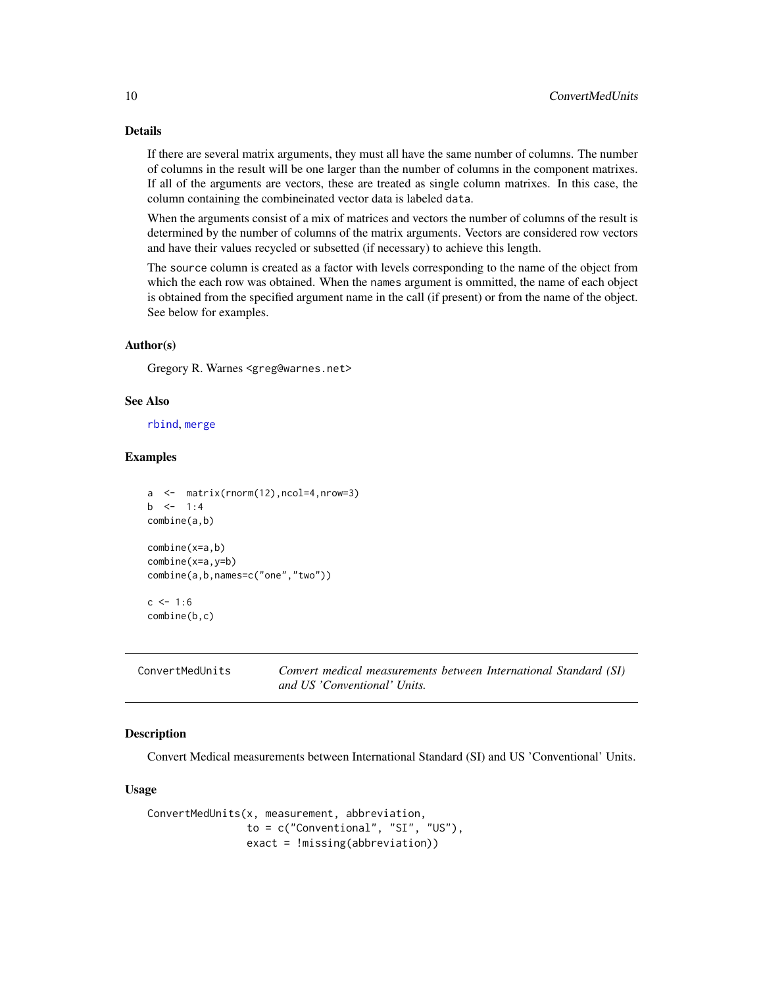# Details

If there are several matrix arguments, they must all have the same number of columns. The number of columns in the result will be one larger than the number of columns in the component matrixes. If all of the arguments are vectors, these are treated as single column matrixes. In this case, the column containing the combineinated vector data is labeled data.

When the arguments consist of a mix of matrices and vectors the number of columns of the result is determined by the number of columns of the matrix arguments. Vectors are considered row vectors and have their values recycled or subsetted (if necessary) to achieve this length.

The source column is created as a factor with levels corresponding to the name of the object from which the each row was obtained. When the names argument is ommitted, the name of each object is obtained from the specified argument name in the call (if present) or from the name of the object. See below for examples.

#### Author(s)

Gregory R. Warnes <greg@warnes.net>

#### See Also

[rbind](#page-0-0), [merge](#page-0-0)

#### Examples

```
a <- matrix(rnorm(12),ncol=4,nrow=3)
b \le -1:4combine(a,b)
combine(x=a,b)
combine(x=a,y=b)
combine(a,b,names=c("one","two"))
c \le -1:6combine(b,c)
```
<span id="page-9-1"></span>

| ConvertMedUnits |  |
|-----------------|--|
|-----------------|--|

MedUnits *Convert medical measurements between International Standard (SI) and US 'Conventional' Units.*

#### **Description**

Convert Medical measurements between International Standard (SI) and US 'Conventional' Units.

#### Usage

```
ConvertMedUnits(x, measurement, abbreviation,
                to = c("Conventional", "SI", "US"),
                exact = !missing(abbreviation))
```
<span id="page-9-0"></span>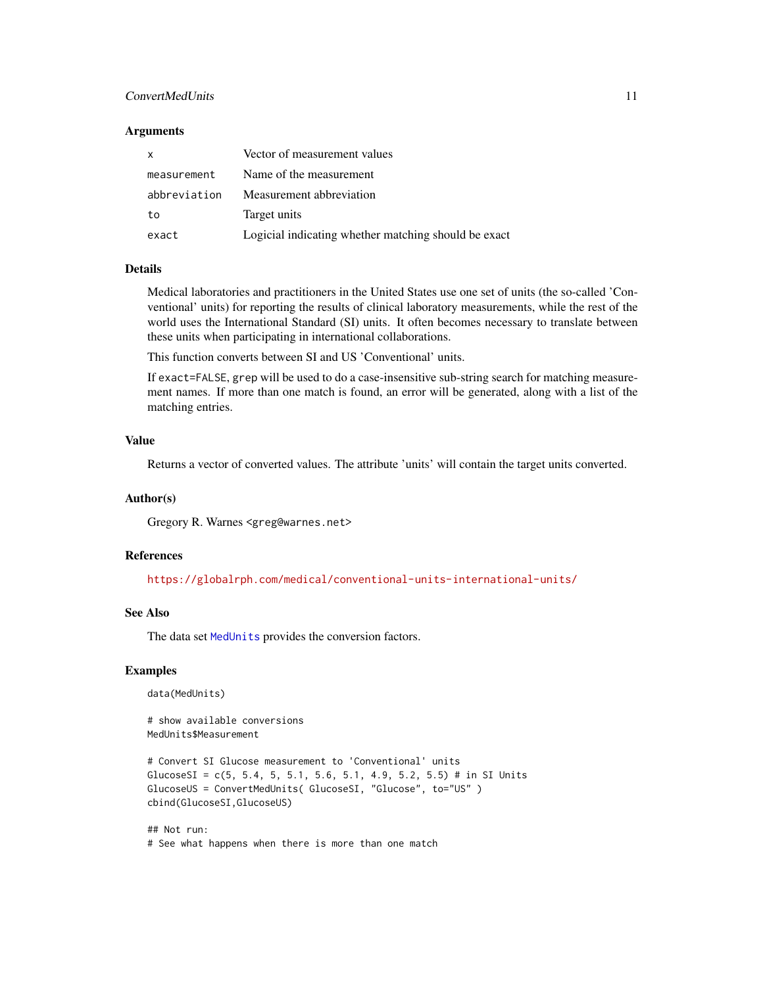# <span id="page-10-0"></span>ConvertMedUnits 11

#### **Arguments**

| $\mathsf{x}$ | Vector of measurement values                         |
|--------------|------------------------------------------------------|
| measurement  | Name of the measurement                              |
| abbreviation | Measurement abbreviation                             |
| to           | Target units                                         |
| exact        | Logicial indicating whether matching should be exact |

# Details

Medical laboratories and practitioners in the United States use one set of units (the so-called 'Conventional' units) for reporting the results of clinical laboratory measurements, while the rest of the world uses the International Standard (SI) units. It often becomes necessary to translate between these units when participating in international collaborations.

This function converts between SI and US 'Conventional' units.

If exact=FALSE, grep will be used to do a case-insensitive sub-string search for matching measurement names. If more than one match is found, an error will be generated, along with a list of the matching entries.

# Value

Returns a vector of converted values. The attribute 'units' will contain the target units converted.

#### Author(s)

Gregory R. Warnes <greg@warnes.net>

# References

<https://globalrph.com/medical/conventional-units-international-units/>

# See Also

The data set [MedUnits](#page-35-1) provides the conversion factors.

#### Examples

data(MedUnits)

# show available conversions MedUnits\$Measurement

```
# Convert SI Glucose measurement to 'Conventional' units
GlucoseSI = c(5, 5.4, 5, 5.1, 5.6, 5.1, 4.9, 5.2, 5.5) # in SI Units
GlucoseUS = ConvertMedUnits( GlucoseSI, "Glucose", to="US" )
cbind(GlucoseSI,GlucoseUS)
```
## Not run: # See what happens when there is more than one match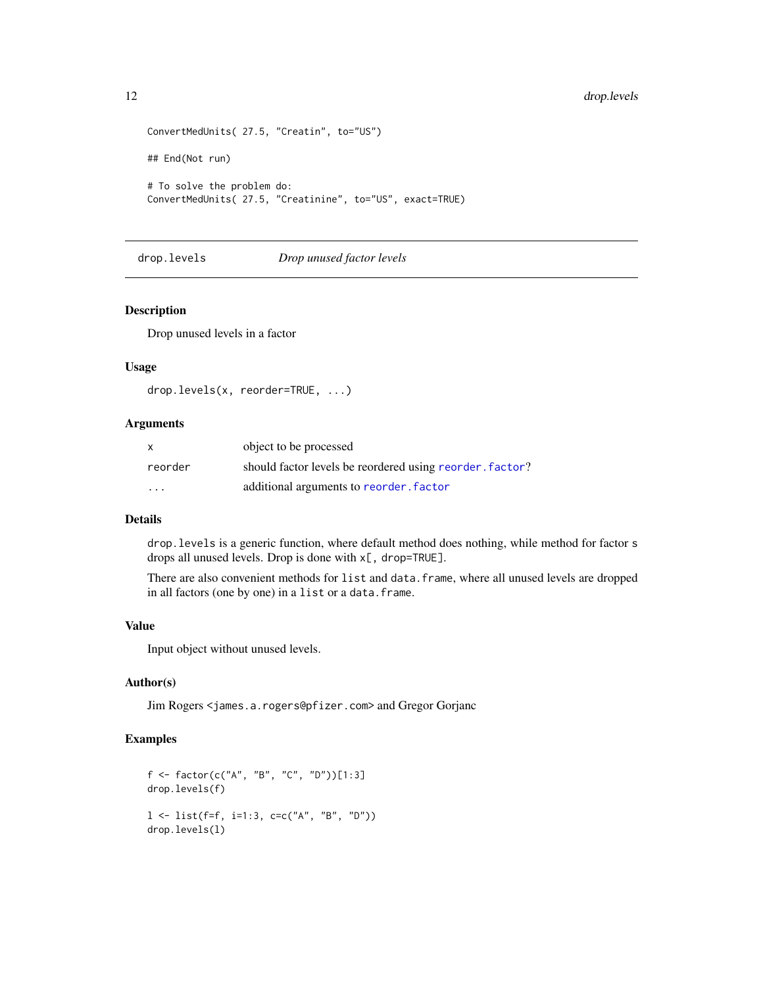```
ConvertMedUnits( 27.5, "Creatin", to="US")
## End(Not run)
# To solve the problem do:
ConvertMedUnits( 27.5, "Creatinine", to="US", exact=TRUE)
```
drop.levels *Drop unused factor levels*

#### Description

Drop unused levels in a factor

#### Usage

```
drop.levels(x, reorder=TRUE, ...)
```
# Arguments

| X                    | object to be processed                                   |
|----------------------|----------------------------------------------------------|
| reorder              | should factor levels be reordered using reorder. factor? |
| $\ddot{\phantom{0}}$ | additional arguments to reorder. factor                  |

# Details

drop.levels is a generic function, where default method does nothing, while method for factor s drops all unused levels. Drop is done with x[, drop=TRUE].

There are also convenient methods for list and data.frame, where all unused levels are dropped in all factors (one by one) in a list or a data.frame.

#### Value

Input object without unused levels.

# Author(s)

Jim Rogers <james.a.rogers@pfizer.com> and Gregor Gorjanc

# Examples

```
f <- factor(c("A", "B", "C", "D"))[1:3]
drop.levels(f)
l <- list(f=f, i=1:3, c=c("A", "B", "D"))
drop.levels(l)
```
<span id="page-11-0"></span>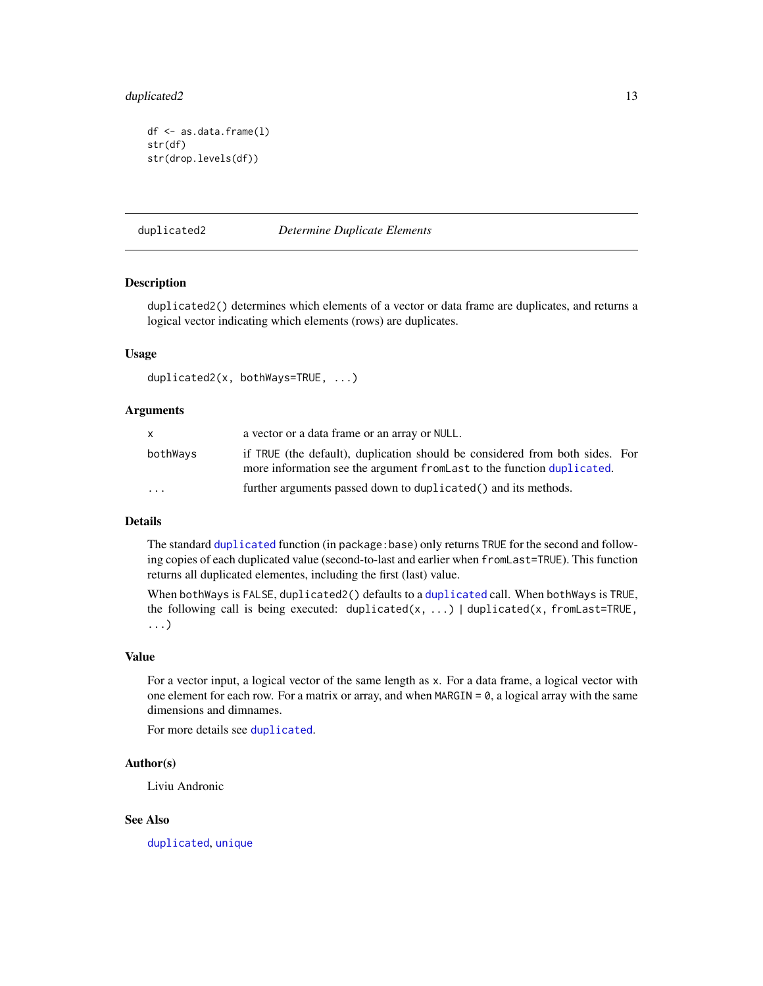# <span id="page-12-0"></span>duplicated2 13

```
df <- as.data.frame(l)
str(df)
str(drop.levels(df))
```
duplicated2 *Determine Duplicate Elements*

#### Description

duplicated2() determines which elements of a vector or data frame are duplicates, and returns a logical vector indicating which elements (rows) are duplicates.

#### Usage

```
duplicated2(x, bothWays=TRUE, ...)
```
#### Arguments

| x.                      | a vector or a data frame or an array or NULL.                                                                                                           |  |
|-------------------------|---------------------------------------------------------------------------------------------------------------------------------------------------------|--|
| bothWays                | if TRUE (the default), duplication should be considered from both sides. For<br>more information see the argument from Last to the function duplicated. |  |
| $\cdot$ $\cdot$ $\cdot$ | further arguments passed down to duplicated () and its methods.                                                                                         |  |

# Details

The standard [duplicated](#page-0-0) function (in package:base) only returns TRUE for the second and following copies of each duplicated value (second-to-last and earlier when fromLast=TRUE). This function returns all duplicated elementes, including the first (last) value.

When bothWays is FALSE, duplicated2() defaults to a [duplicated](#page-0-0) call. When bothWays is TRUE, the following call is being executed: duplicated(x, ...) | duplicated(x, fromLast=TRUE, ...)

#### Value

For a vector input, a logical vector of the same length as x. For a data frame, a logical vector with one element for each row. For a matrix or array, and when  $MARGIN = 0$ , a logical array with the same dimensions and dimnames.

For more details see [duplicated](#page-0-0).

#### Author(s)

Liviu Andronic

#### See Also

[duplicated](#page-0-0), [unique](#page-0-0)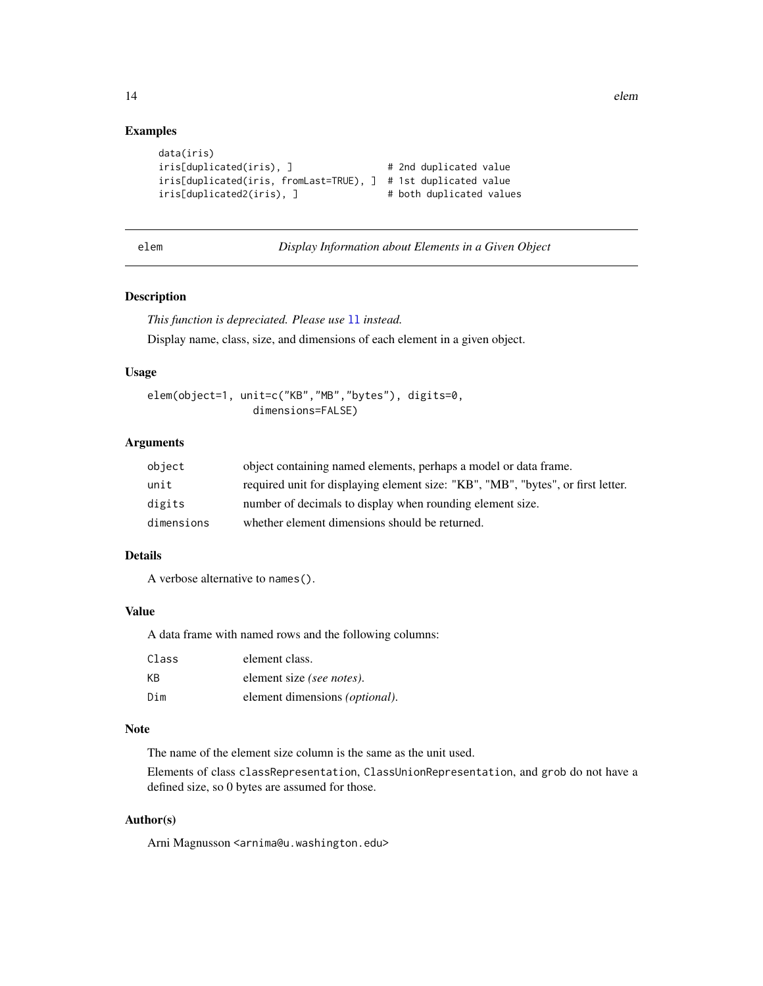# Examples

```
data(iris)
iris[duplicated(iris), ] \qquad \qquad \qquad # 2nd duplicated value
iris[duplicated(iris, fromLast=TRUE), ] # 1st duplicated value
iris[duplicated2(iris), ] # both duplicated values
```

| elem | Display Information about Elements in a Given Object |  |
|------|------------------------------------------------------|--|
|      |                                                      |  |

### Description

*This function is depreciated. Please use* [ll](#page-28-1) *instead.* Display name, class, size, and dimensions of each element in a given object.

#### Usage

```
elem(object=1, unit=c("KB","MB","bytes"), digits=0,
                 dimensions=FALSE)
```
#### Arguments

| object     | object containing named elements, perhaps a model or data frame.                 |
|------------|----------------------------------------------------------------------------------|
| unit       | required unit for displaying element size: "KB", "MB", "bytes", or first letter. |
| digits     | number of decimals to display when rounding element size.                        |
| dimensions | whether element dimensions should be returned.                                   |

# Details

A verbose alternative to names().

#### Value

A data frame with named rows and the following columns:

| Class | element class.                         |
|-------|----------------------------------------|
| ΚB    | element size (see notes).              |
| Dim   | element dimensions <i>(optional)</i> . |

#### Note

The name of the element size column is the same as the unit used.

Elements of class classRepresentation, ClassUnionRepresentation, and grob do not have a defined size, so 0 bytes are assumed for those.

### Author(s)

Arni Magnusson <arnima@u.washington.edu>

<span id="page-13-0"></span>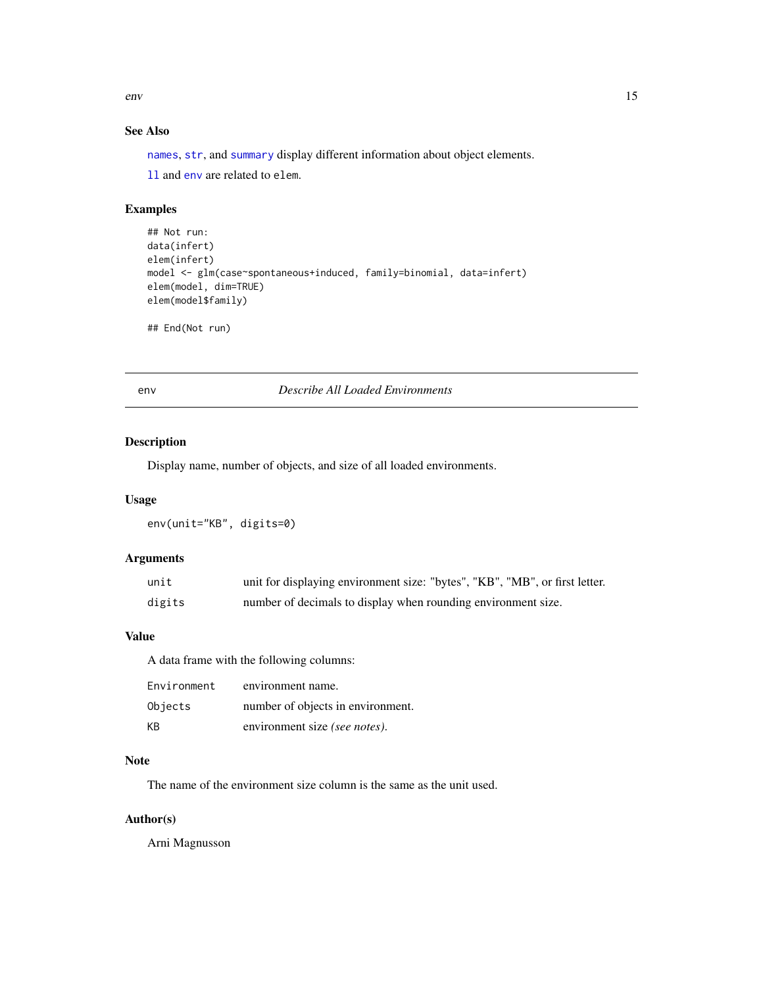<span id="page-14-0"></span>env and the sense of the sense of the sense of the sense of the sense of the sense of the sense of the sense of the sense of the sense of the sense of the sense of the sense of the sense of the sense of the sense of the se

# See Also

[names](#page-0-0), [str](#page-0-0), and [summary](#page-0-0) display different information about object elements.

[ll](#page-28-1) and [env](#page-14-1) are related to elem.

# Examples

```
## Not run:
data(infert)
elem(infert)
model <- glm(case~spontaneous+induced, family=binomial, data=infert)
elem(model, dim=TRUE)
elem(model$family)
```
## End(Not run)

<span id="page-14-1"></span>env *Describe All Loaded Environments*

#### Description

Display name, number of objects, and size of all loaded environments.

# Usage

env(unit="KB", digits=0)

#### Arguments

| unit   | unit for displaying environment size: "bytes", "KB", "MB", or first letter. |
|--------|-----------------------------------------------------------------------------|
| digits | number of decimals to display when rounding environment size.               |

# Value

A data frame with the following columns:

| Environment | environment name.                 |
|-------------|-----------------------------------|
| Objects     | number of objects in environment. |
| KB.         | environment size (see notes).     |

# Note

The name of the environment size column is the same as the unit used.

# Author(s)

Arni Magnusson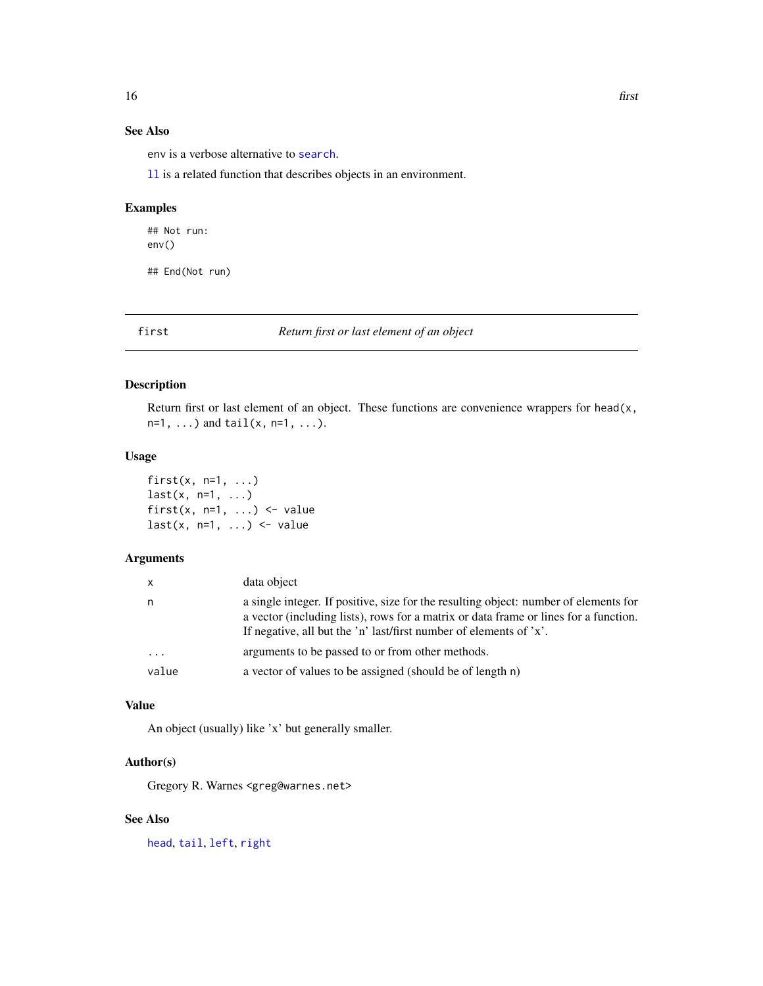# <span id="page-15-0"></span>See Also

env is a verbose alternative to [search](#page-0-0).

[ll](#page-28-1) is a related function that describes objects in an environment.

# Examples

## Not run: env()

## End(Not run)

<span id="page-15-1"></span>first *Return first or last element of an object*

# <span id="page-15-2"></span>Description

Return first or last element of an object. These functions are convenience wrappers for head(x,  $n=1, ...$ ) and  $tail(x, n=1, ...).$ 

#### Usage

first $(x, n=1, ...)$  $last(x, n=1, ...)$ first(x,  $n=1$ , ...) <- value  $last(x, n=1, ...)$  <- value

#### Arguments

| n.<br>If negative, all but the 'n' last/first number of elements of 'x'.<br>arguments to be passed to or from other methods.<br>$\cdot$ $\cdot$ $\cdot$<br>a vector of values to be assigned (should be of length n)<br>value | $\mathsf{x}$ | data object                                                                                                                                                                  |
|-------------------------------------------------------------------------------------------------------------------------------------------------------------------------------------------------------------------------------|--------------|------------------------------------------------------------------------------------------------------------------------------------------------------------------------------|
|                                                                                                                                                                                                                               |              | a single integer. If positive, size for the resulting object: number of elements for<br>a vector (including lists), rows for a matrix or data frame or lines for a function. |
|                                                                                                                                                                                                                               |              |                                                                                                                                                                              |
|                                                                                                                                                                                                                               |              |                                                                                                                                                                              |

# Value

An object (usually) like 'x' but generally smaller.

# Author(s)

Gregory R. Warnes <greg@warnes.net>

# See Also

[head](#page-0-0), [tail](#page-0-0), [left](#page-27-1), [right](#page-27-2)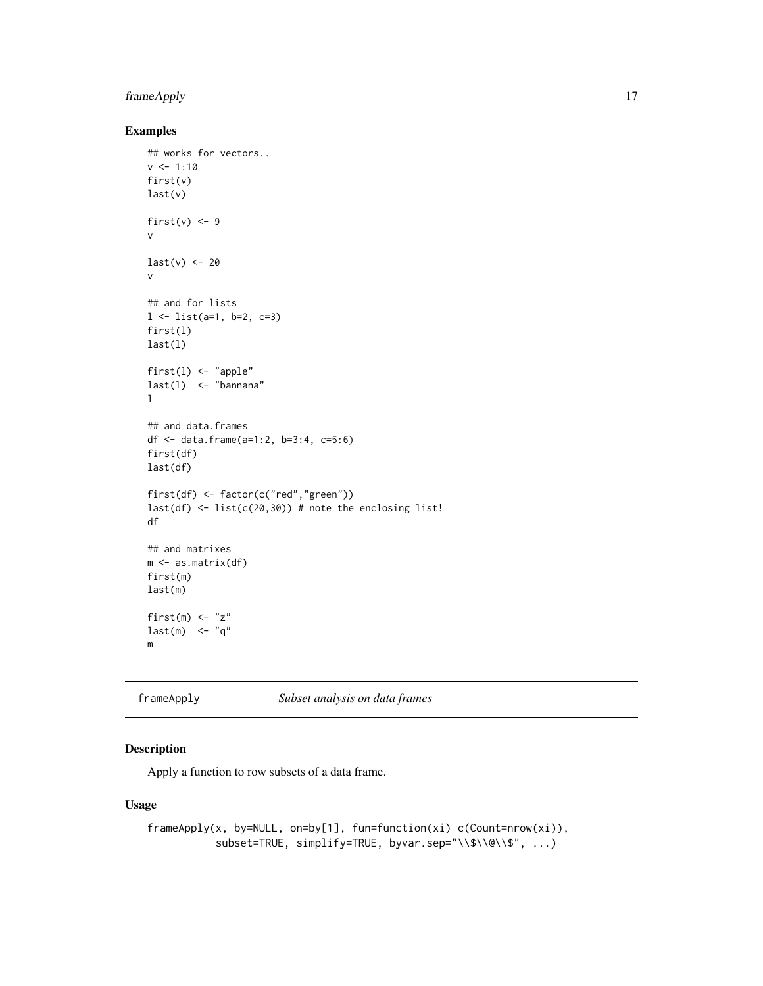# <span id="page-16-0"></span>frameApply 17

# Examples

```
## works for vectors..
v <- 1:10
first(v)
last(v)
first(v) <-9v
last(v) < -20v
## and for lists
1 \leftarrow list(a=1, b=2, c=3)
first(l)
last(l)
first(l) <- "apple"
last(1) <- "bannana"
l
## and data.frames
df \le data.frame(a=1:2, b=3:4, c=5:6)
first(df)
last(df)
first(df) <- factor(c("red","green"))
last(df) <- list(c(20,30)) # note the enclosing list!
df
## and matrixes
m <- as.matrix(df)
first(m)
last(m)
first(m) <- "z"
last(m) <- "q"
m
```
frameApply *Subset analysis on data frames*

# Description

Apply a function to row subsets of a data frame.

# Usage

```
frameApply(x, by=NULL, on=by[1], fun=function(xi) c(Count=nrow(xi)),
          subset=TRUE, simplify=TRUE, byvar.sep="\\$\\@\\$", ...)
```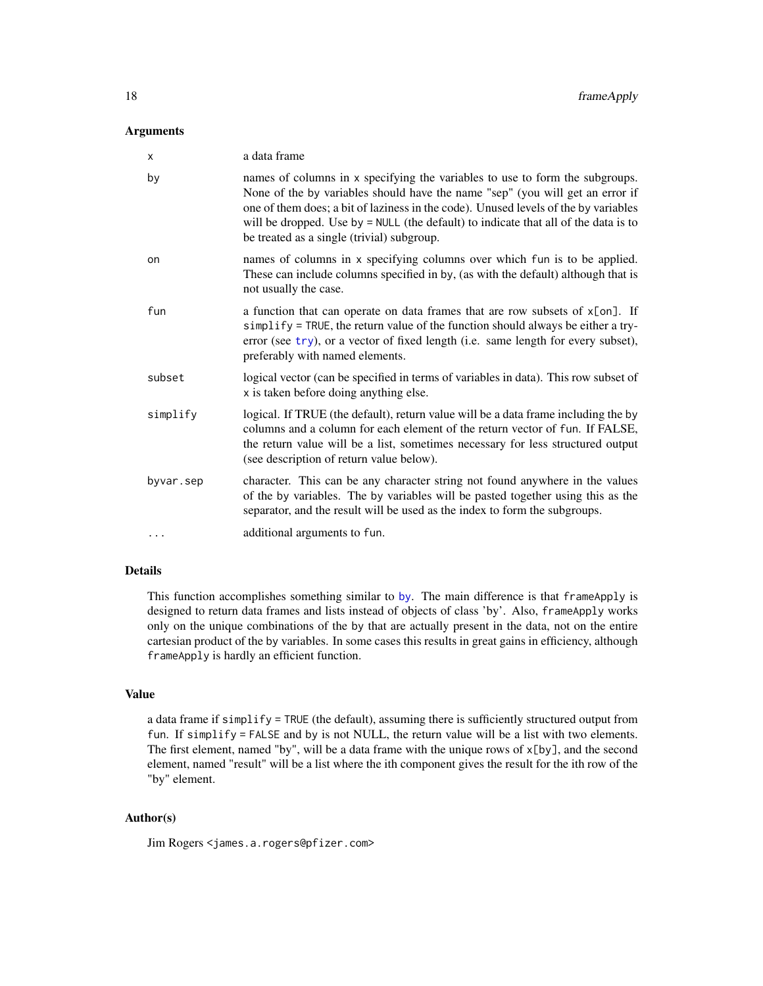#### <span id="page-17-0"></span>**Arguments**

| X         | a data frame                                                                                                                                                                                                                                                                                                                                                                              |
|-----------|-------------------------------------------------------------------------------------------------------------------------------------------------------------------------------------------------------------------------------------------------------------------------------------------------------------------------------------------------------------------------------------------|
| by        | names of columns in x specifying the variables to use to form the subgroups.<br>None of the by variables should have the name "sep" (you will get an error if<br>one of them does; a bit of laziness in the code). Unused levels of the by variables<br>will be dropped. Use by = NULL (the default) to indicate that all of the data is to<br>be treated as a single (trivial) subgroup. |
| on        | names of columns in x specifying columns over which fun is to be applied.<br>These can include columns specified in by, (as with the default) although that is<br>not usually the case.                                                                                                                                                                                                   |
| fun       | a function that can operate on data frames that are row subsets of $x[on]$ . If<br>simplify = TRUE, the return value of the function should always be either a try-<br>error (see try), or a vector of fixed length (i.e. same length for every subset),<br>preferably with named elements.                                                                                               |
| subset    | logical vector (can be specified in terms of variables in data). This row subset of<br>x is taken before doing anything else.                                                                                                                                                                                                                                                             |
| simplify  | logical. If TRUE (the default), return value will be a data frame including the by<br>columns and a column for each element of the return vector of fun. If FALSE,<br>the return value will be a list, sometimes necessary for less structured output<br>(see description of return value below).                                                                                         |
| byvar.sep | character. This can be any character string not found anywhere in the values<br>of the by variables. The by variables will be pasted together using this as the<br>separator, and the result will be used as the index to form the subgroups.                                                                                                                                             |
| $\cdots$  | additional arguments to fun.                                                                                                                                                                                                                                                                                                                                                              |

#### Details

This function accomplishes something similar to [by](#page-0-0). The main difference is that frameApply is designed to return data frames and lists instead of objects of class 'by'. Also, frameApply works only on the unique combinations of the by that are actually present in the data, not on the entire cartesian product of the by variables. In some cases this results in great gains in efficiency, although frameApply is hardly an efficient function.

#### Value

a data frame if simplify = TRUE (the default), assuming there is sufficiently structured output from fun. If simplify = FALSE and by is not NULL, the return value will be a list with two elements. The first element, named "by", will be a data frame with the unique rows of  $x[by]$ , and the second element, named "result" will be a list where the ith component gives the result for the ith row of the "by" element.

#### Author(s)

Jim Rogers <james.a.rogers@pfizer.com>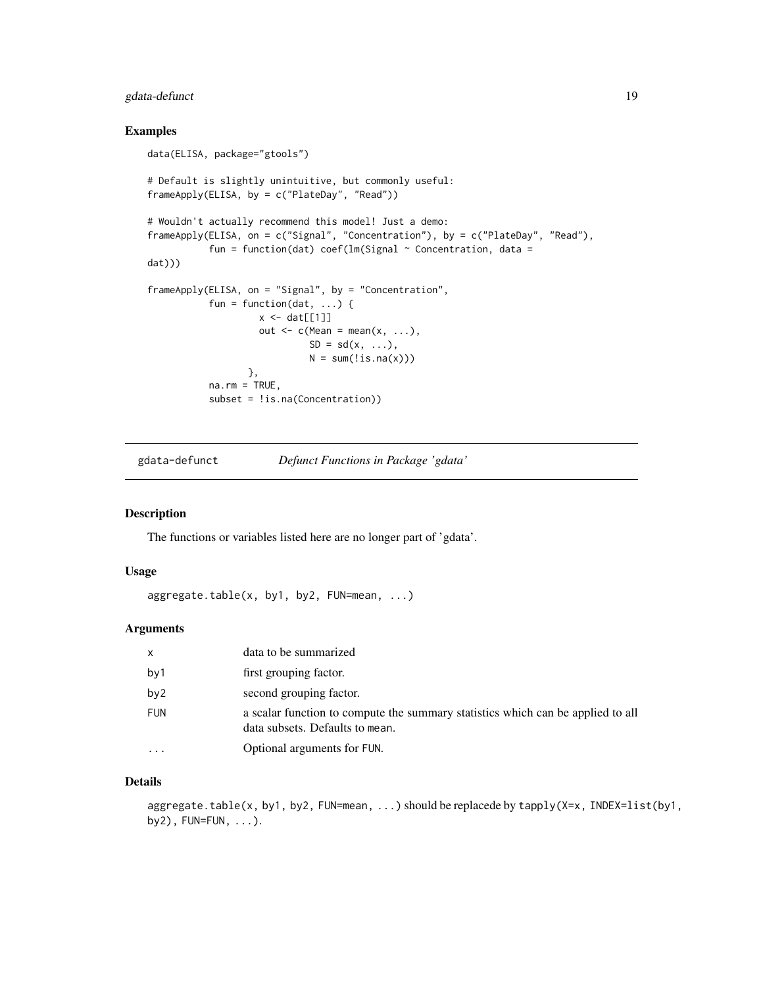# <span id="page-18-0"></span>gdata-defunct 19

#### Examples

```
data(ELISA, package="gtools")
# Default is slightly unintuitive, but commonly useful:
frameApply(ELISA, by = c("PlateDay", "Read"))
# Wouldn't actually recommend this model! Just a demo:
frameApply(ELISA, on = c("Signal", "Concentration"), by = c("PlateDay", "Read"),
           fun = function(dat) coef(lm(Signal \sim Concentration, data =
dat)))
frameApply(ELISA, on = "Signal", by = "Concentration",
           fun = function(dat, \ldots) {
                    x \leftarrow \text{dat}[[1]]out \leq c(Mean = mean(x, ...),
                              SD = sd(x, \ldots),N = sum(!is.na(x)))},
           na.rm = TRUE,subset = !is.na(Concentration))
```
gdata-defunct *Defunct Functions in Package 'gdata'*

# Description

The functions or variables listed here are no longer part of 'gdata'.

#### Usage

```
aggregate.table(x, by1, by2, FUN=mean, ...)
```
# Arguments

| x        | data to be summarized                                                                                              |
|----------|--------------------------------------------------------------------------------------------------------------------|
| by 1     | first grouping factor.                                                                                             |
| by2      | second grouping factor.                                                                                            |
| FUN      | a scalar function to compute the summary statistics which can be applied to all<br>data subsets. Defaults to mean. |
| $\cdots$ | Optional arguments for FUN.                                                                                        |

#### Details

aggregate.table(x, by1, by2, FUN=mean, ...) should be replacede by tapply(X=x, INDEX=list(by1, by2), FUN=FUN, ...).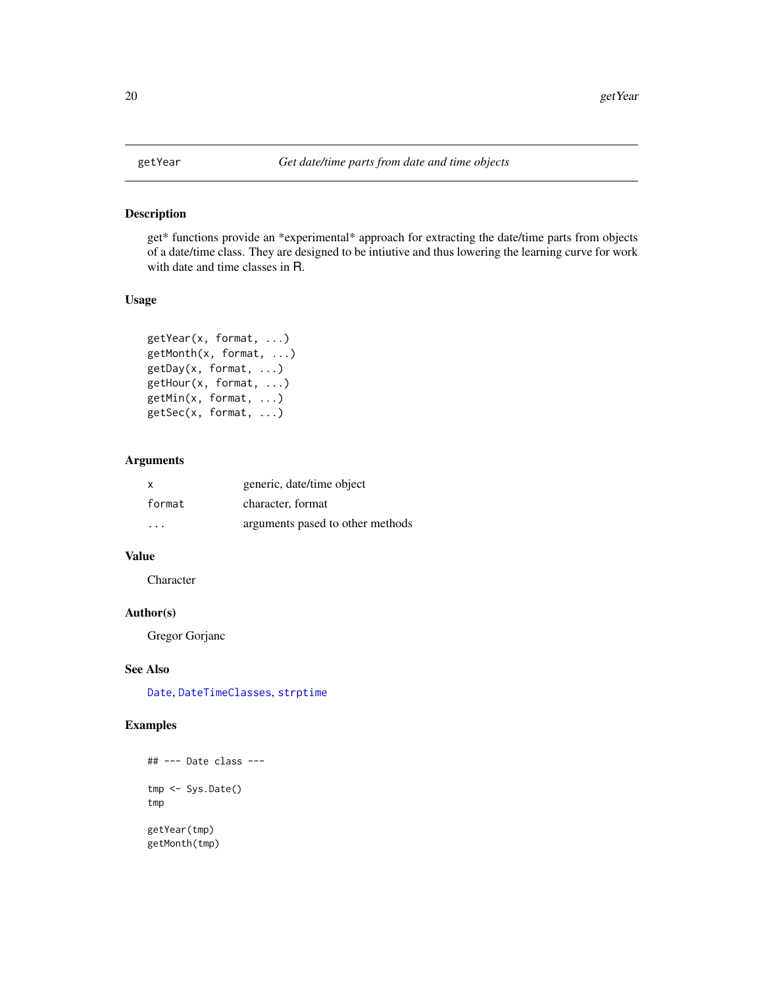# Description

get\* functions provide an \*experimental\* approach for extracting the date/time parts from objects of a date/time class. They are designed to be intiutive and thus lowering the learning curve for work with date and time classes in R.

# Usage

```
getYear(x, format, ...)
getMonth(x, format, ...)
getDay(x, format, ...)
getHour(x, format, ...)
getMin(x, format, ...)
getSec(x, format, ...)
```
# Arguments

| X      | generic, date/time object        |
|--------|----------------------------------|
| format | character, format                |
| .      | arguments pased to other methods |

# Value

Character

# Author(s)

Gregor Gorjanc

# See Also

[Date](#page-0-0), [DateTimeClasses](#page-0-0), [strptime](#page-0-0)

# Examples

```
## --- Date class ---
tmp <- Sys.Date()
tmp
getYear(tmp)
getMonth(tmp)
```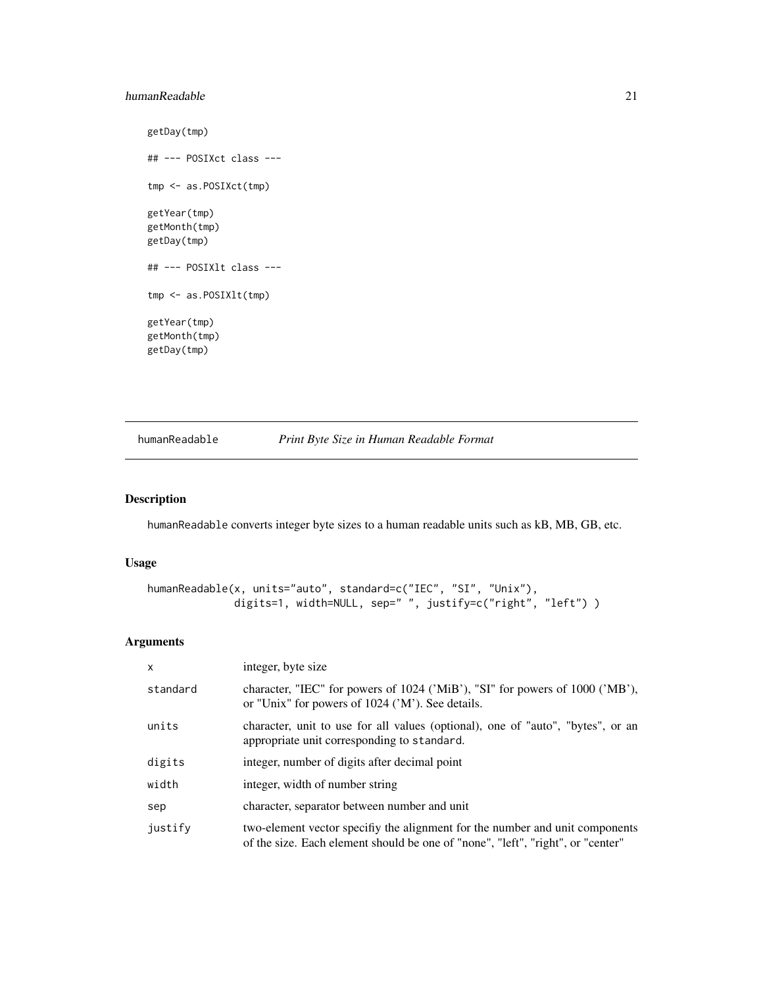#### <span id="page-20-0"></span>humanReadable 21 22

```
getDay(tmp)
## --- POSIXct class ---
tmp <- as.POSIXct(tmp)
getYear(tmp)
getMonth(tmp)
getDay(tmp)
## --- POSIXlt class ---
tmp <- as.POSIXlt(tmp)
getYear(tmp)
getMonth(tmp)
getDay(tmp)
```
<span id="page-20-1"></span>humanReadable *Print Byte Size in Human Readable Format*

# Description

humanReadable converts integer byte sizes to a human readable units such as kB, MB, GB, etc.

#### Usage

```
humanReadable(x, units="auto", standard=c("IEC", "SI", "Unix"),
              digits=1, width=NULL, sep=" ", justify=c("right", "left") )
```
# Arguments

| $\mathsf{x}$ | integer, byte size                                                                                                                                              |
|--------------|-----------------------------------------------------------------------------------------------------------------------------------------------------------------|
| standard     | character, "IEC" for powers of 1024 ('MiB'), "SI" for powers of 1000 ('MB'),<br>or "Unix" for powers of 1024 ('M'). See details.                                |
| units        | character, unit to use for all values (optional), one of "auto", "bytes", or an<br>appropriate unit corresponding to standard.                                  |
| digits       | integer, number of digits after decimal point                                                                                                                   |
| width        | integer, width of number string                                                                                                                                 |
| sep          | character, separator between number and unit                                                                                                                    |
| justify      | two-element vector specifiy the alignment for the number and unit components<br>of the size. Each element should be one of "none", "left", "right", or "center" |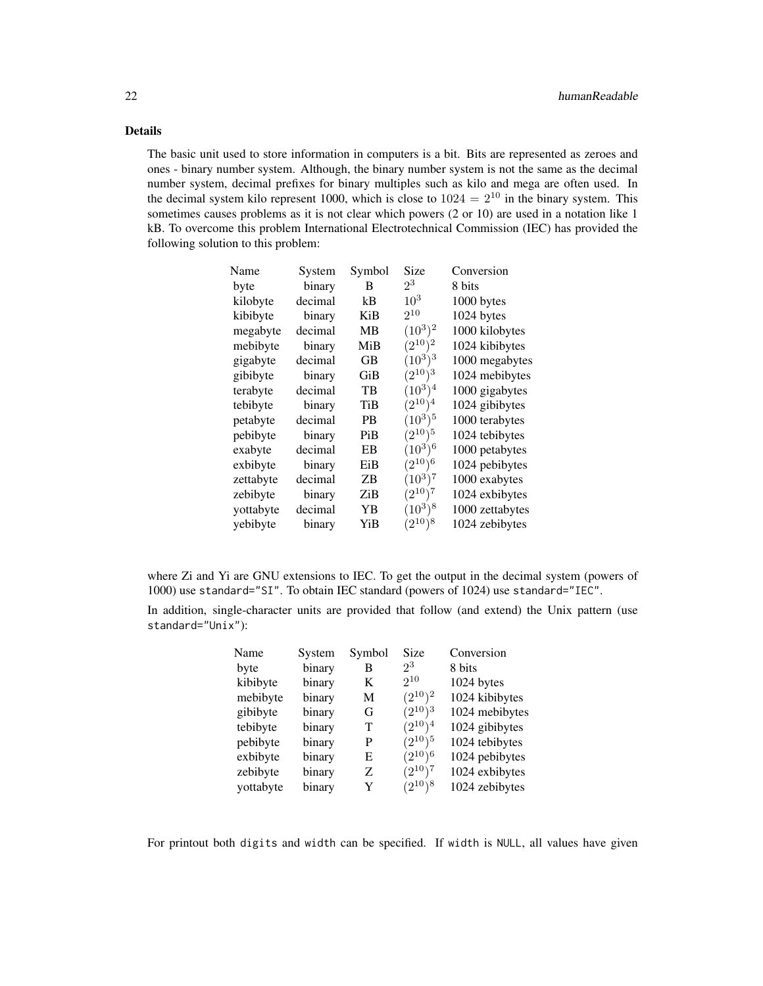# Details

The basic unit used to store information in computers is a bit. Bits are represented as zeroes and ones - binary number system. Although, the binary number system is not the same as the decimal number system, decimal prefixes for binary multiples such as kilo and mega are often used. In the decimal system kilo represent 1000, which is close to  $1024 = 2^{10}$  in the binary system. This sometimes causes problems as it is not clear which powers (2 or 10) are used in a notation like 1 kB. To overcome this problem International Electrotechnical Commission (IEC) has provided the following solution to this problem:

| Name      | System  | Symbol | Size         | Conversion      |
|-----------|---------|--------|--------------|-----------------|
| byte      | binary  | B      | $2^3$        | 8 bits          |
| kilobyte  | decimal | kB     | $10^3$       | 1000 bytes      |
| kibibyte  | binary  | KiB    | $2^{10}$     | 1024 bytes      |
| megabyte  | decimal | MВ     | $(10^3)^2$   | 1000 kilobytes  |
| mebibyte  | binary  | MiB    | $(2^{10})^2$ | 1024 kibibytes  |
| gigabyte  | decimal | GВ     | $(10^3)^3$   | 1000 megabytes  |
| gibibyte  | binary  | GiB    | $(2^{10})^3$ | 1024 mebibytes  |
| terabyte  | decimal | TВ     | $(10^3)^4$   | 1000 gigabytes  |
| tebibyte  | binary  | TiB    | $(2^{10})^4$ | 1024 gibibytes  |
| petabyte  | decimal | PВ     | $(10^3)^5$   | 1000 terabytes  |
| pebibyte  | binary  | PiB    | $(2^{10})^5$ | 1024 tebibytes  |
| exabyte   | decimal | EΒ     | $(10^3)^6$   | 1000 petabytes  |
| exbibyte  | binary  | EiB    | $(2^{10})^6$ | 1024 pebibytes  |
| zettabyte | decimal | ΖB     | $(10^3)^7$   | 1000 exabytes   |
| zebibyte  | binary  | ZiB    | $(2^{10})^7$ | 1024 exbibytes  |
| yottabyte | decimal | YΒ     | $(10^3)^8$   | 1000 zettabytes |
| yebibyte  | binary  | YiB    | $(2^{10})^8$ | 1024 zebibytes  |

|  | where Zi and Yi are GNU extensions to IEC. To get the output in the decimal system (powers of |  |  |  |
|--|-----------------------------------------------------------------------------------------------|--|--|--|
|  | 1000) use standard="SI". To obtain IEC standard (powers of 1024) use standard="IEC".          |  |  |  |

In addition, single-character units are provided that follow (and extend) the Unix pattern (use standard="Unix"):

| Name      | System | Symbol | Size         | Conversion     |
|-----------|--------|--------|--------------|----------------|
| byte      | binary | B      | $2^3$        | 8 bits         |
| kibibyte  | binary | K      | $2^{10}$     | 1024 bytes     |
| mebibyte  | binary | M      | $(2^{10})^2$ | 1024 kibibytes |
| gibibyte  | binary | G      | $(2^{10})^3$ | 1024 mebibytes |
| tebibyte  | binary | т      | $(2^{10})^4$ | 1024 gibibytes |
| pebibyte  | binary | P      | $(2^{10})^5$ | 1024 tebibytes |
| exbibyte  | binary | Е      | $(2^{10})^6$ | 1024 pebibytes |
| zebibyte  | binary | Z      | $(2^{10})^7$ | 1024 exbibytes |
| yottabyte | binary | Y      | $(2^{10})^8$ | 1024 zebibytes |

For printout both digits and width can be specified. If width is NULL, all values have given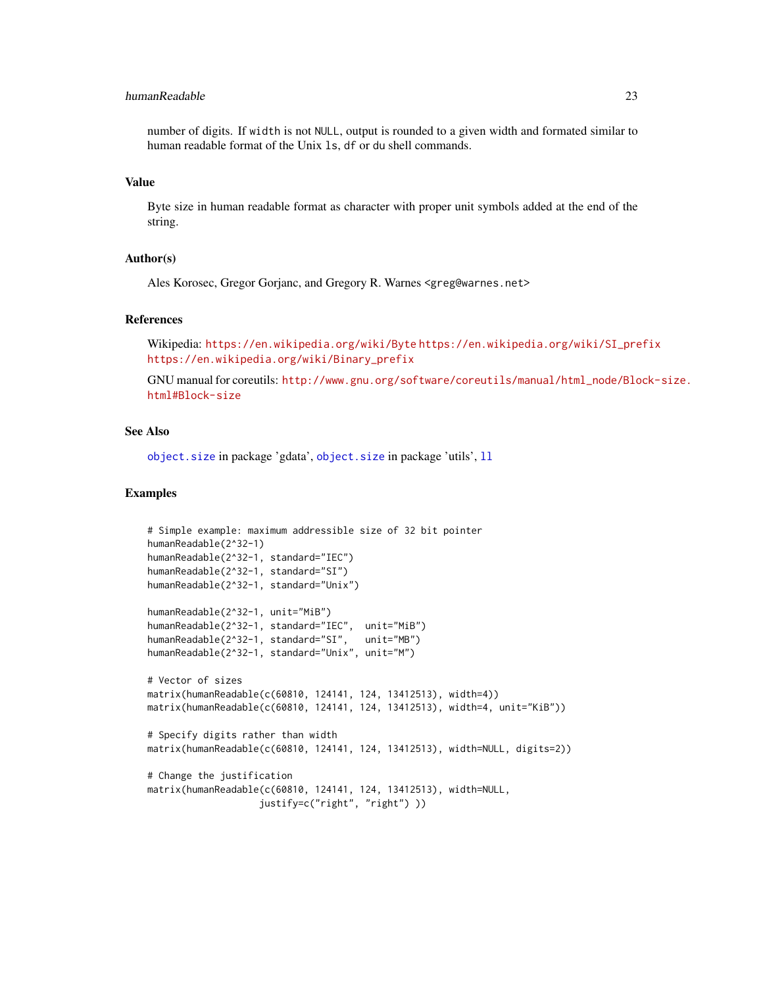# <span id="page-22-0"></span>humanReadable 23

number of digits. If width is not NULL, output is rounded to a given width and formated similar to human readable format of the Unix ls, df or du shell commands.

#### Value

Byte size in human readable format as character with proper unit symbols added at the end of the string.

#### Author(s)

Ales Korosec, Gregor Gorjanc, and Gregory R. Warnes <greg@warnes.net>

#### References

Wikipedia: <https://en.wikipedia.org/wiki/Byte> [https://en.wikipedia.org/wiki/SI\\_prefix](https://en.wikipedia.org/wiki/SI_prefix) [https://en.wikipedia.org/wiki/Binary\\_prefix](https://en.wikipedia.org/wiki/Binary_prefix)

GNU manual for coreutils: [http://www.gnu.org/software/coreutils/manual/html\\_node/Blo](http://www.gnu.org/software/coreutils/manual/html_node/Block-size.html#Block-size)ck-size. [html#Block-size](http://www.gnu.org/software/coreutils/manual/html_node/Block-size.html#Block-size)

# See Also

[object.size](#page-40-1) in package 'gdata', [object.size](#page-40-1) in package 'utils', [ll](#page-28-1)

#### Examples

```
# Simple example: maximum addressible size of 32 bit pointer
humanReadable(2^32-1)
humanReadable(2^32-1, standard="IEC")
humanReadable(2^32-1, standard="SI")
humanReadable(2^32-1, standard="Unix")
humanReadable(2^32-1, unit="MiB")
humanReadable(2^32-1, standard="IEC", unit="MiB")
humanReadable(2^32-1, standard="SI", unit="MB")
humanReadable(2^32-1, standard="Unix", unit="M")
# Vector of sizes
matrix(humanReadable(c(60810, 124141, 124, 13412513), width=4))
matrix(humanReadable(c(60810, 124141, 124, 13412513), width=4, unit="KiB"))
# Specify digits rather than width
matrix(humanReadable(c(60810, 124141, 124, 13412513), width=NULL, digits=2))
# Change the justification
matrix(humanReadable(c(60810, 124141, 124, 13412513), width=NULL,
                    justify=c("right", "right") ))
```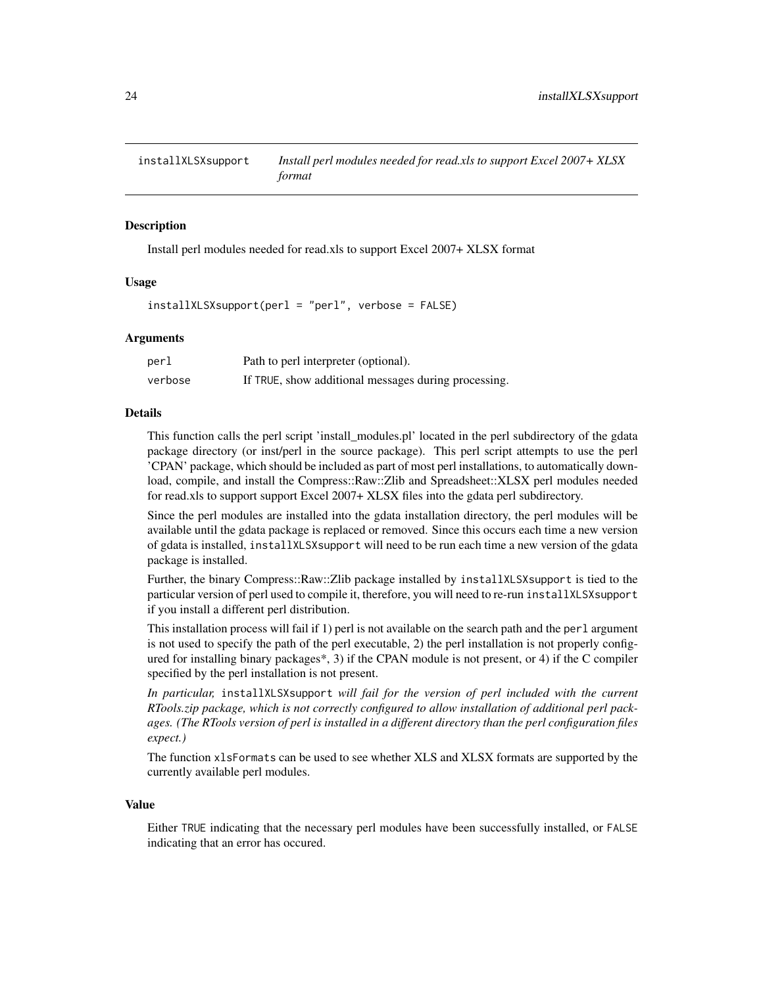<span id="page-23-0"></span>

### Description

Install perl modules needed for read.xls to support Excel 2007+ XLSX format

# Usage

 $installXLSX support(per1 = "per1", verbose = FALSE)$ 

#### Arguments

| perl    | Path to perl interpreter (optional).                 |
|---------|------------------------------------------------------|
| verbose | If TRUE, show additional messages during processing. |

#### Details

This function calls the perl script 'install\_modules.pl' located in the perl subdirectory of the gdata package directory (or inst/perl in the source package). This perl script attempts to use the perl 'CPAN' package, which should be included as part of most perl installations, to automatically download, compile, and install the Compress::Raw::Zlib and Spreadsheet::XLSX perl modules needed for read.xls to support support Excel 2007+ XLSX files into the gdata perl subdirectory.

Since the perl modules are installed into the gdata installation directory, the perl modules will be available until the gdata package is replaced or removed. Since this occurs each time a new version of gdata is installed, installXLSXsupport will need to be run each time a new version of the gdata package is installed.

Further, the binary Compress::Raw::Zlib package installed by installXLSXsupport is tied to the particular version of perl used to compile it, therefore, you will need to re-run installXLSXsupport if you install a different perl distribution.

This installation process will fail if 1) perl is not available on the search path and the perl argument is not used to specify the path of the perl executable, 2) the perl installation is not properly configured for installing binary packages\*, 3) if the CPAN module is not present, or 4) if the C compiler specified by the perl installation is not present.

*In particular,* installXLSXsupport *will fail for the version of perl included with the current RTools.zip package, which is not correctly configured to allow installation of additional perl packages. (The RTools version of perl is installed in a different directory than the perl configuration files expect.)*

The function xlsFormats can be used to see whether XLS and XLSX formats are supported by the currently available perl modules.

#### Value

Either TRUE indicating that the necessary perl modules have been successfully installed, or FALSE indicating that an error has occured.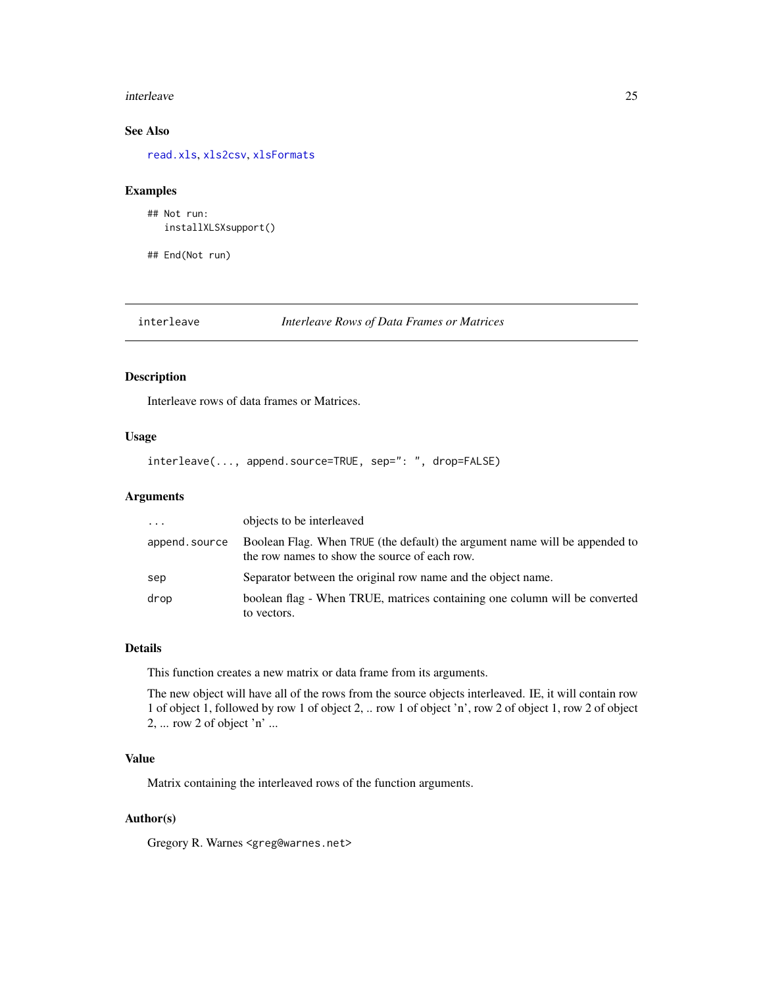#### <span id="page-24-0"></span>interleave 25

# See Also

[read.xls](#page-42-1), [xls2csv](#page-42-2), [xlsFormats](#page-65-1)

#### Examples

```
## Not run:
  installXLSXsupport()
```
## End(Not run)

# interleave *Interleave Rows of Data Frames or Matrices*

# Description

Interleave rows of data frames or Matrices.

#### Usage

interleave(..., append.source=TRUE, sep=": ", drop=FALSE)

### Arguments

| $\cdot$       | objects to be interleaved                                                                                                    |
|---------------|------------------------------------------------------------------------------------------------------------------------------|
| append.source | Boolean Flag. When TRUE (the default) the argument name will be appended to<br>the row names to show the source of each row. |
| sep           | Separator between the original row name and the object name.                                                                 |
| drop          | boolean flag - When TRUE, matrices containing one column will be converted<br>to vectors.                                    |

#### Details

This function creates a new matrix or data frame from its arguments.

The new object will have all of the rows from the source objects interleaved. IE, it will contain row 1 of object 1, followed by row 1 of object 2, .. row 1 of object 'n', row 2 of object 1, row 2 of object 2, ... row 2 of object 'n' ...

# Value

Matrix containing the interleaved rows of the function arguments.

#### Author(s)

Gregory R. Warnes <greg@warnes.net>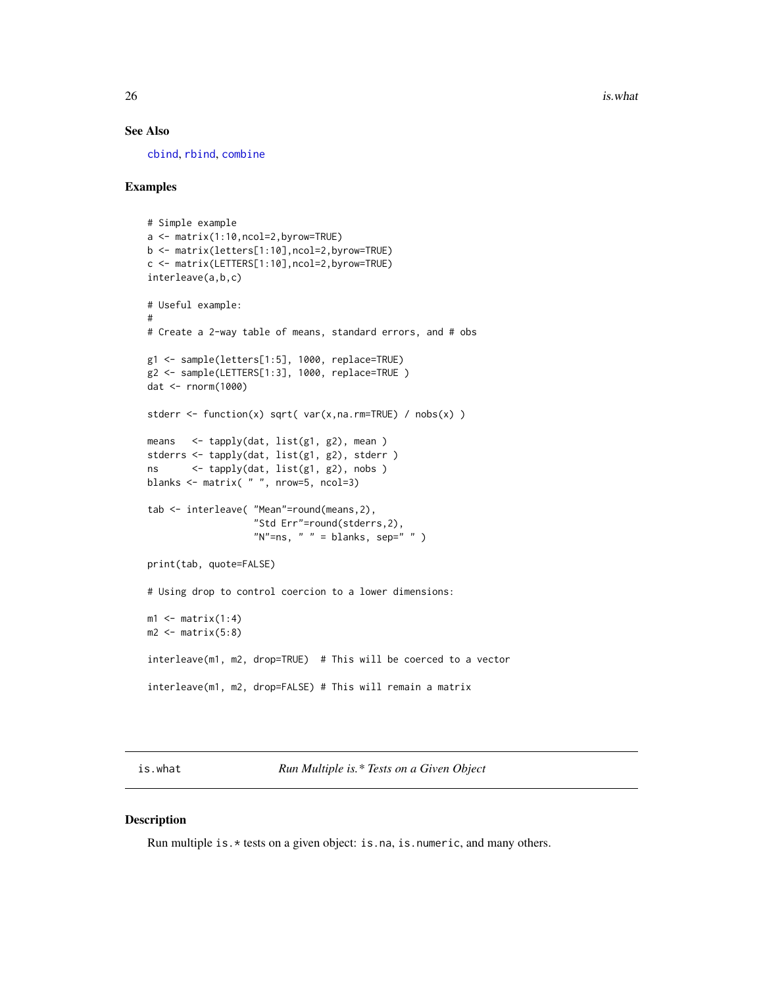$26$  is.what is what is  $\frac{1}{2}$  is  $\frac{1}{2}$  is  $\frac{1}{2}$  is  $\frac{1}{2}$  is  $\frac{1}{2}$  is  $\frac{1}{2}$  is  $\frac{1}{2}$  is  $\frac{1}{2}$  is  $\frac{1}{2}$  is  $\frac{1}{2}$  is  $\frac{1}{2}$  is  $\frac{1}{2}$  is  $\frac{1}{2}$  is  $\frac{1}{2}$  is  $\frac{1}{2}$  is  $\$ 

#### See Also

[cbind](#page-0-0), [rbind](#page-0-0), [combine](#page-8-1)

#### Examples

```
# Simple example
a <- matrix(1:10,ncol=2,byrow=TRUE)
b <- matrix(letters[1:10],ncol=2,byrow=TRUE)
c <- matrix(LETTERS[1:10],ncol=2,byrow=TRUE)
interleave(a,b,c)
# Useful example:
#
# Create a 2-way table of means, standard errors, and # obs
g1 <- sample(letters[1:5], 1000, replace=TRUE)
g2 <- sample(LETTERS[1:3], 1000, replace=TRUE )
dat <- rnorm(1000)
stderr <- function(x) sqrt( var(x,na.rm=TRUE) / nobs(x) )
means <- tapply(dat, list(g1, g2), mean )
stderrs <- tapply(dat, list(g1, g2), stderr )
ns <- tapply(dat, list(g1, g2), nobs )
blanks <- matrix( " ", nrow=5, ncol=3)
tab <- interleave( "Mean"=round(means,2),
                   "Std Err"=round(stderrs,2),
                   "N"=ns, " " = blanks, sep=" " )
print(tab, quote=FALSE)
# Using drop to control coercion to a lower dimensions:
m1 \leq -\text{matrix}(1:4)m2 <- matrix(5:8)
interleave(m1, m2, drop=TRUE) # This will be coerced to a vector
interleave(m1, m2, drop=FALSE) # This will remain a matrix
```
is.what *Run Multiple is.\* Tests on a Given Object*

#### Description

Run multiple is. \* tests on a given object: is.na, is.numeric, and many others.

<span id="page-25-0"></span>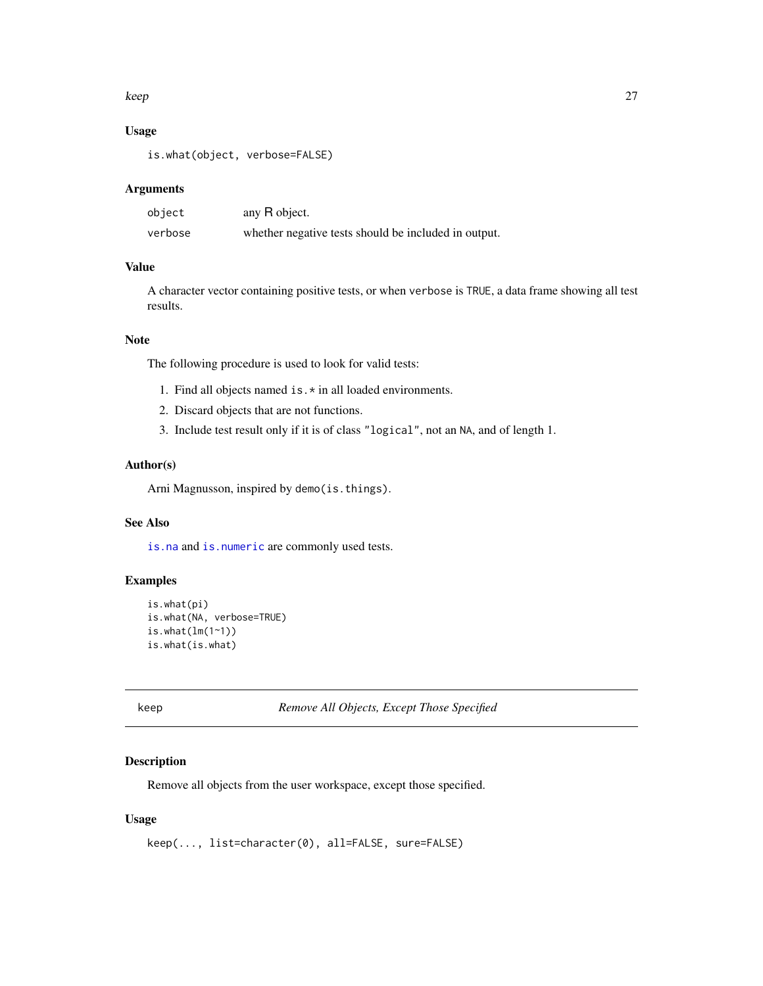#### <span id="page-26-0"></span>keep 27

# Usage

is.what(object, verbose=FALSE)

#### Arguments

| object  | any R object.                                        |
|---------|------------------------------------------------------|
| verbose | whether negative tests should be included in output. |

# Value

A character vector containing positive tests, or when verbose is TRUE, a data frame showing all test results.

# Note

The following procedure is used to look for valid tests:

- 1. Find all objects named is.\* in all loaded environments.
- 2. Discard objects that are not functions.
- 3. Include test result only if it is of class "logical", not an NA, and of length 1.

# Author(s)

Arni Magnusson, inspired by demo(is.things).

# See Also

[is.na](#page-0-0) and [is.numeric](#page-0-0) are commonly used tests.

# Examples

```
is.what(pi)
is.what(NA, verbose=TRUE)
is.what(lm(1~1))
is.what(is.what)
```
keep *Remove All Objects, Except Those Specified*

# Description

Remove all objects from the user workspace, except those specified.

# Usage

```
keep(..., list=character(0), all=FALSE, sure=FALSE)
```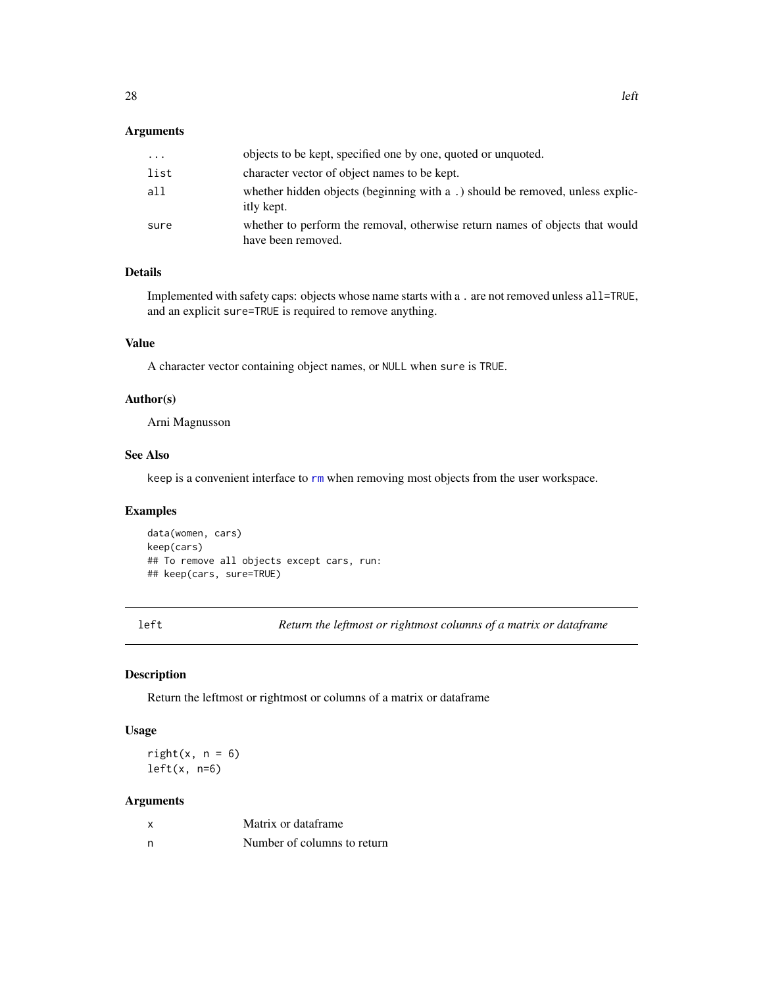# <span id="page-27-0"></span>Arguments

| .    | objects to be kept, specified one by one, quoted or unquoted.                                      |
|------|----------------------------------------------------------------------------------------------------|
| list | character vector of object names to be kept.                                                       |
| all  | whether hidden objects (beginning with a.) should be removed, unless explic-<br>itly kept.         |
| sure | whether to perform the removal, otherwise return names of objects that would<br>have been removed. |

# Details

Implemented with safety caps: objects whose name starts with a . are not removed unless all=TRUE, and an explicit sure=TRUE is required to remove anything.

# Value

A character vector containing object names, or NULL when sure is TRUE.

# Author(s)

Arni Magnusson

# See Also

keep is a convenient interface to [rm](#page-0-0) when removing most objects from the user workspace.

# Examples

data(women, cars) keep(cars) ## To remove all objects except cars, run: ## keep(cars, sure=TRUE)

<span id="page-27-1"></span>left *Return the leftmost or rightmost columns of a matrix or dataframe*

#### <span id="page-27-2"></span>Description

Return the leftmost or rightmost or columns of a matrix or dataframe

#### Usage

 $right(x, n = 6)$  $left(x, n=6)$ 

#### Arguments

| $\boldsymbol{\mathsf{x}}$ | Matrix or dataframe         |
|---------------------------|-----------------------------|
| n                         | Number of columns to return |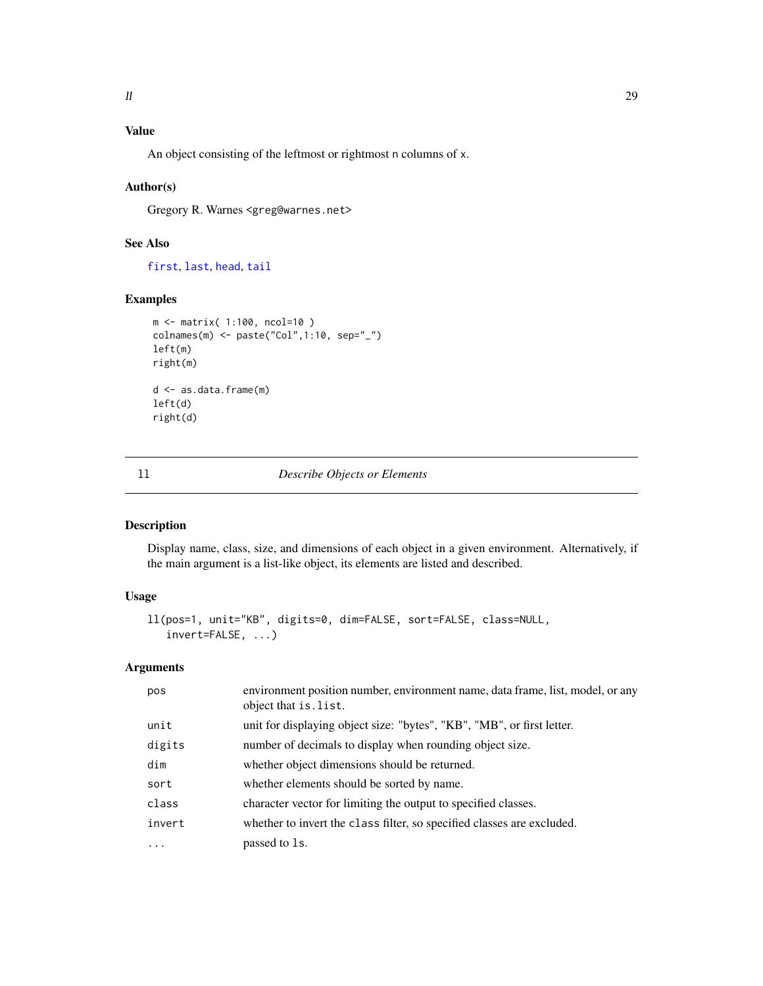# <span id="page-28-0"></span>Value

An object consisting of the leftmost or rightmost n columns of x.

#### Author(s)

Gregory R. Warnes <greg@warnes.net>

# See Also

[first](#page-15-1), [last](#page-15-2), [head](#page-0-0), [tail](#page-0-0)

#### Examples

```
m <- matrix( 1:100, ncol=10 )
colnames(m) <- paste("Col",1:10, sep="_")
left(m)
right(m)
d <- as.data.frame(m)
left(d)
right(d)
```
<span id="page-28-1"></span>

# ll *Describe Objects or Elements*

#### Description

Display name, class, size, and dimensions of each object in a given environment. Alternatively, if the main argument is a list-like object, its elements are listed and described.

# Usage

```
ll(pos=1, unit="KB", digits=0, dim=FALSE, sort=FALSE, class=NULL,
   invert=FALSE, ...)
```
# Arguments

| pos      | environment position number, environment name, data frame, list, model, or any<br>object that is list. |
|----------|--------------------------------------------------------------------------------------------------------|
| unit     | unit for displaying object size: "bytes", "KB", "MB", or first letter.                                 |
| digits   | number of decimals to display when rounding object size.                                               |
| dim      | whether object dimensions should be returned.                                                          |
| sort     | whether elements should be sorted by name.                                                             |
| class    | character vector for limiting the output to specified classes.                                         |
| invert   | whether to invert the class filter, so specified classes are excluded.                                 |
| $\ddots$ | passed to 1s.                                                                                          |
|          |                                                                                                        |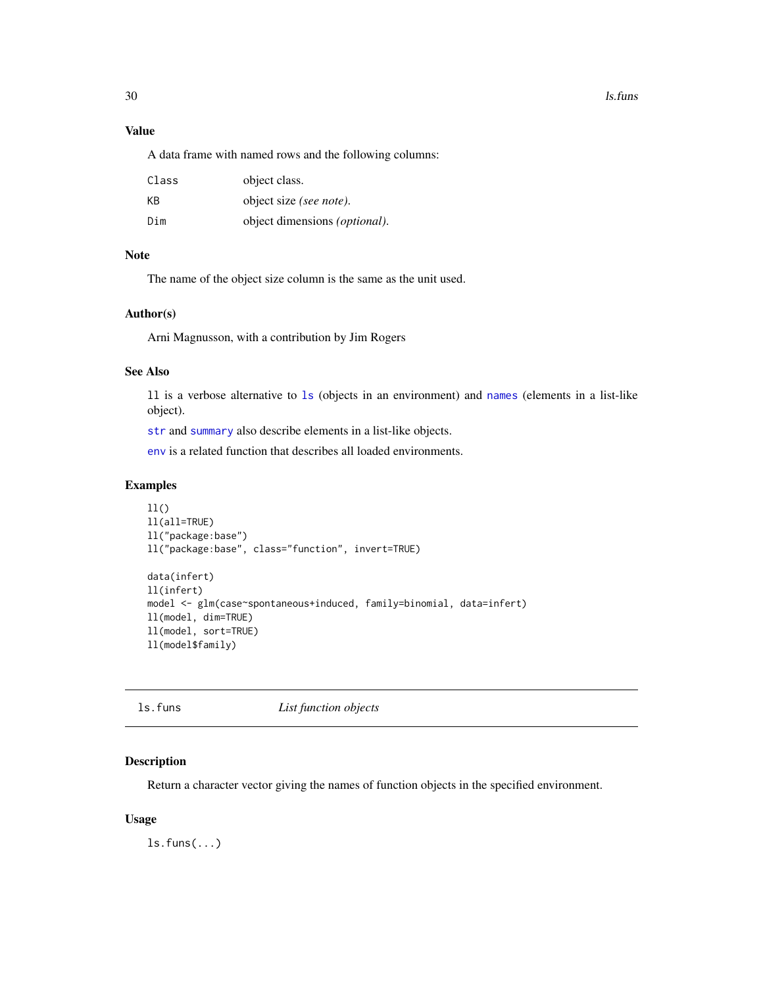#### <span id="page-29-0"></span>30 ls.funs

# Value

A data frame with named rows and the following columns:

| Class | object class.                         |
|-------|---------------------------------------|
| KB    | object size (see note).               |
| Dim   | object dimensions <i>(optional)</i> . |

# Note

The name of the object size column is the same as the unit used.

#### Author(s)

Arni Magnusson, with a contribution by Jim Rogers

#### See Also

ll is a verbose alternative to [ls](#page-0-0) (objects in an environment) and [names](#page-0-0) (elements in a list-like object).

[str](#page-0-0) and [summary](#page-0-0) also describe elements in a list-like objects.

[env](#page-14-1) is a related function that describes all loaded environments.

# Examples

```
11()ll(all=TRUE)
ll("package:base")
ll("package:base", class="function", invert=TRUE)
data(infert)
ll(infert)
model <- glm(case~spontaneous+induced, family=binomial, data=infert)
ll(model, dim=TRUE)
ll(model, sort=TRUE)
ll(model$family)
```

| tuns<br>s |
|-----------|
|-----------|

List function objects

# Description

Return a character vector giving the names of function objects in the specified environment.

### Usage

 $ls.funs(...)$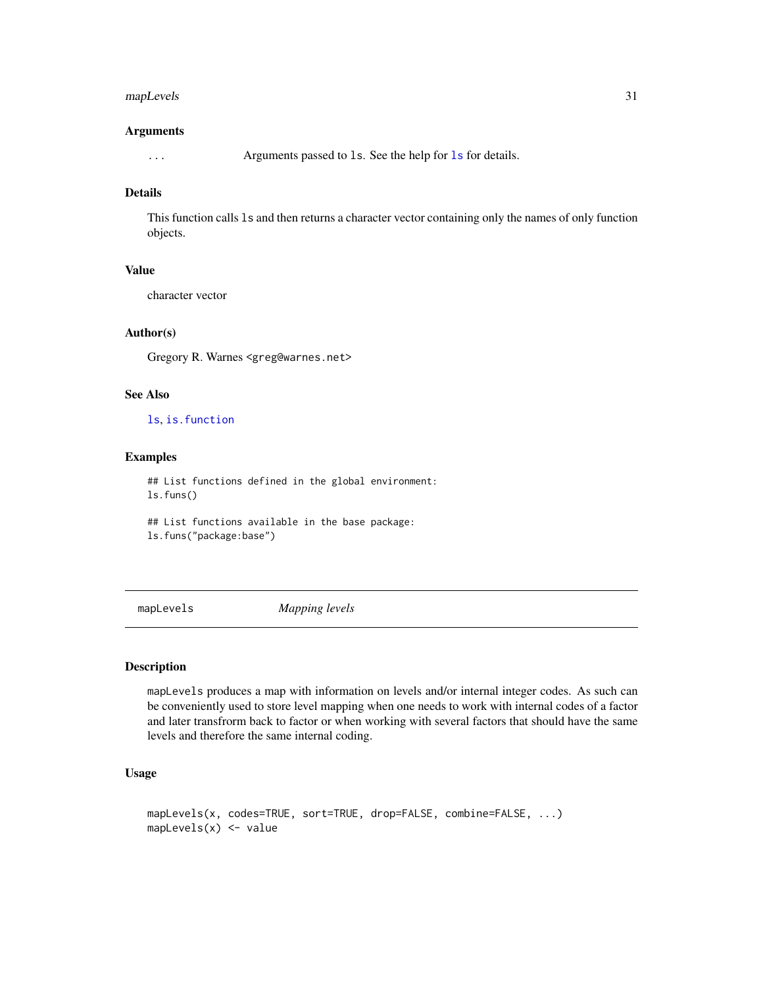# <span id="page-30-0"></span>mapLevels 31

#### Arguments

... Arguments passed to ls. See the help for [ls](#page-0-0) for details.

# Details

This function calls ls and then returns a character vector containing only the names of only function objects.

# Value

character vector

#### Author(s)

Gregory R. Warnes <greg@warnes.net>

#### See Also

[ls](#page-0-0), [is.function](#page-0-0)

#### Examples

## List functions defined in the global environment: ls.funs()

## List functions available in the base package: ls.funs("package:base")

mapLevels *Mapping levels*

# Description

mapLevels produces a map with information on levels and/or internal integer codes. As such can be conveniently used to store level mapping when one needs to work with internal codes of a factor and later transfrorm back to factor or when working with several factors that should have the same levels and therefore the same internal coding.

# Usage

```
mapLevels(x, codes=TRUE, sort=TRUE, drop=FALSE, combine=FALSE, ...)
mapLevels(x) <- value
```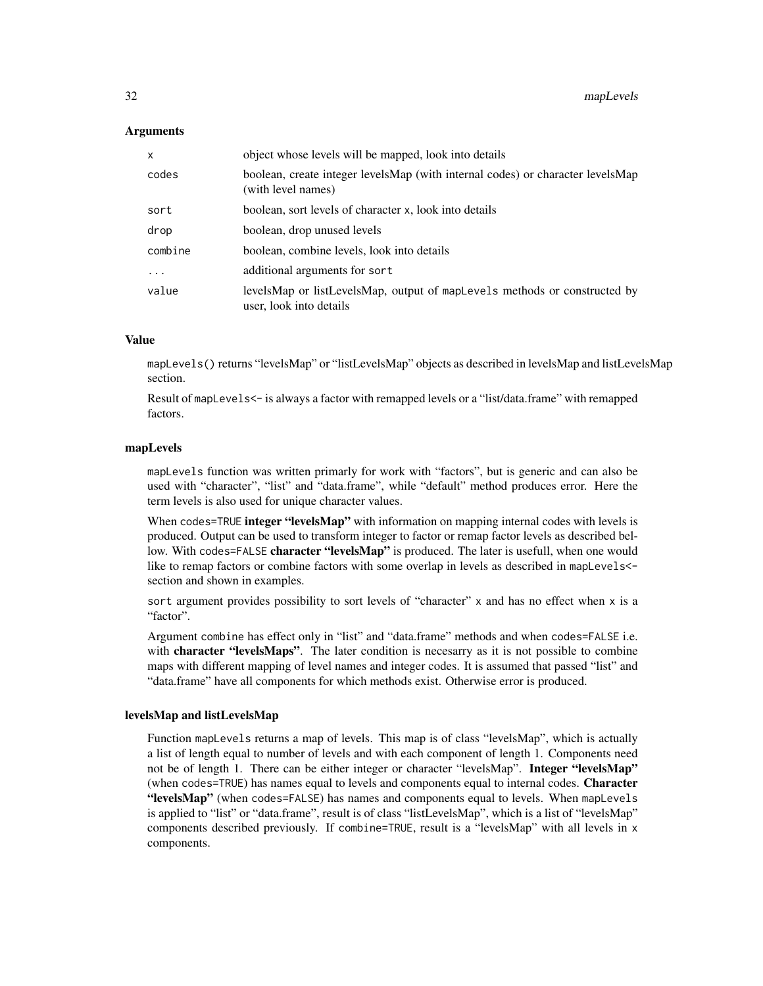#### **Arguments**

| $\mathsf{x}$ | object whose levels will be mapped, look into details                                                |
|--------------|------------------------------------------------------------------------------------------------------|
| codes        | boolean, create integer levelsMap (with internal codes) or character levelsMap<br>(with level names) |
| sort         | boolean, sort levels of character x, look into details                                               |
| drop         | boolean, drop unused levels                                                                          |
| combine      | boolean, combine levels, look into details                                                           |
| $\ddots$     | additional arguments for sort                                                                        |
| value        | levelsMap or listLevelsMap, output of mapLevels methods or constructed by<br>user, look into details |

#### Value

mapLevels() returns "levelsMap" or "listLevelsMap" objects as described in levelsMap and listLevelsMap section.

Result of mapLevels<- is always a factor with remapped levels or a "list/data.frame" with remapped factors.

#### mapLevels

mapLevels function was written primarly for work with "factors", but is generic and can also be used with "character", "list" and "data.frame", while "default" method produces error. Here the term levels is also used for unique character values.

When codes=TRUE integer "levelsMap" with information on mapping internal codes with levels is produced. Output can be used to transform integer to factor or remap factor levels as described bellow. With codes=FALSE character "levelsMap" is produced. The later is usefull, when one would like to remap factors or combine factors with some overlap in levels as described in mapLevels< section and shown in examples.

sort argument provides possibility to sort levels of "character" x and has no effect when x is a "factor".

Argument combine has effect only in "list" and "data.frame" methods and when codes=FALSE i.e. with character "levelsMaps". The later condition is necesarry as it is not possible to combine maps with different mapping of level names and integer codes. It is assumed that passed "list" and "data.frame" have all components for which methods exist. Otherwise error is produced.

#### levelsMap and listLevelsMap

Function mapLevels returns a map of levels. This map is of class "levelsMap", which is actually a list of length equal to number of levels and with each component of length 1. Components need not be of length 1. There can be either integer or character "levelsMap". Integer "levelsMap" (when codes=TRUE) has names equal to levels and components equal to internal codes. Character "levelsMap" (when codes=FALSE) has names and components equal to levels. When mapLevels is applied to "list" or "data.frame", result is of class "listLevelsMap", which is a list of "levelsMap" components described previously. If combine=TRUE, result is a "levelsMap" with all levels in x components.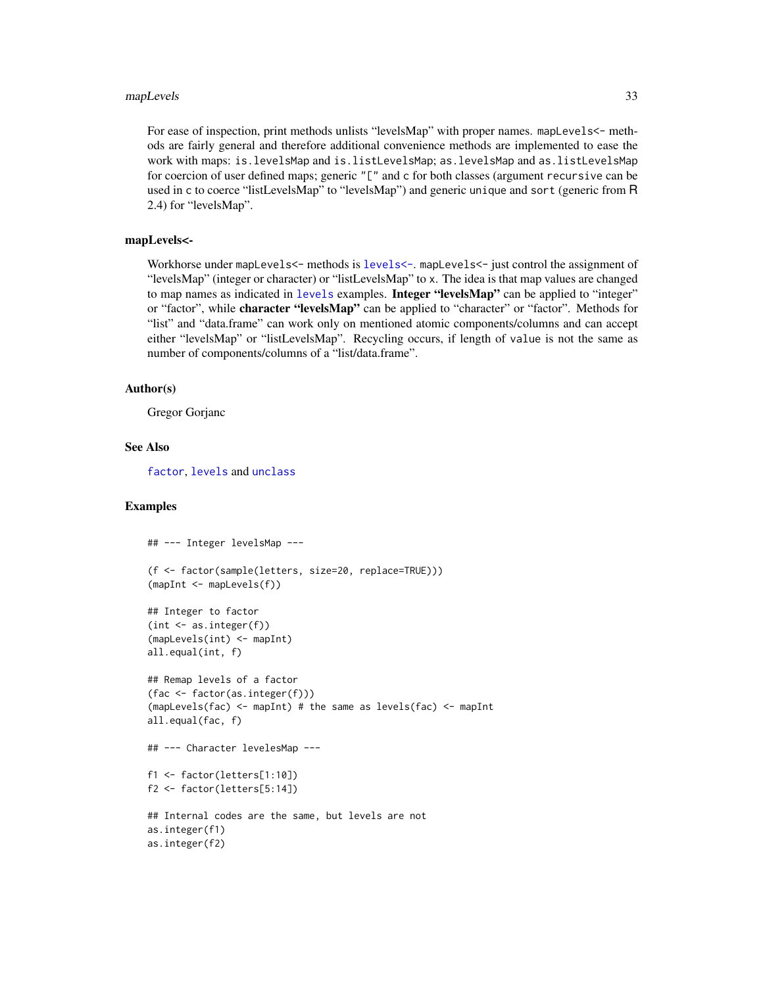#### <span id="page-32-0"></span>mapLevels 33

For ease of inspection, print methods unlists "levelsMap" with proper names. mapLevels<- methods are fairly general and therefore additional convenience methods are implemented to ease the work with maps: is.levelsMap and is.listLevelsMap; as.levelsMap and as.listLevelsMap for coercion of user defined maps; generic "[" and c for both classes (argument recursive can be used in c to coerce "listLevelsMap" to "levelsMap") and generic unique and sort (generic from R 2.4) for "levelsMap".

#### mapLevels<-

Workhorse under mapLevels<- methods is [levels<-](#page-0-0). mapLevels<- just control the assignment of "levelsMap" (integer or character) or "listLevelsMap" to x. The idea is that map values are changed to map names as indicated in [levels](#page-0-0) examples. Integer "levelsMap" can be applied to "integer" or "factor", while character "levelsMap" can be applied to "character" or "factor". Methods for "list" and "data.frame" can work only on mentioned atomic components/columns and can accept either "levelsMap" or "listLevelsMap". Recycling occurs, if length of value is not the same as number of components/columns of a "list/data.frame".

#### Author(s)

Gregor Gorjanc

#### See Also

[factor](#page-0-0), [levels](#page-0-0) and [unclass](#page-0-0)

#### Examples

```
## --- Integer levelsMap ---
(f <- factor(sample(letters, size=20, replace=TRUE)))
(mapInt <- mapLevels(f))
## Integer to factor
(int < -as.integer(f))(mapLevels(int) <- mapInt)
all.equal(int, f)
## Remap levels of a factor
(fac <- factor(as.integer(f)))
(mapLevels(fac) \leq mapInt) # the same as levels(fac) \leq mapInt
all.equal(fac, f)
## --- Character levelesMap ---
f1 <- factor(letters[1:10])
f2 <- factor(letters[5:14])
## Internal codes are the same, but levels are not
as.integer(f1)
as.integer(f2)
```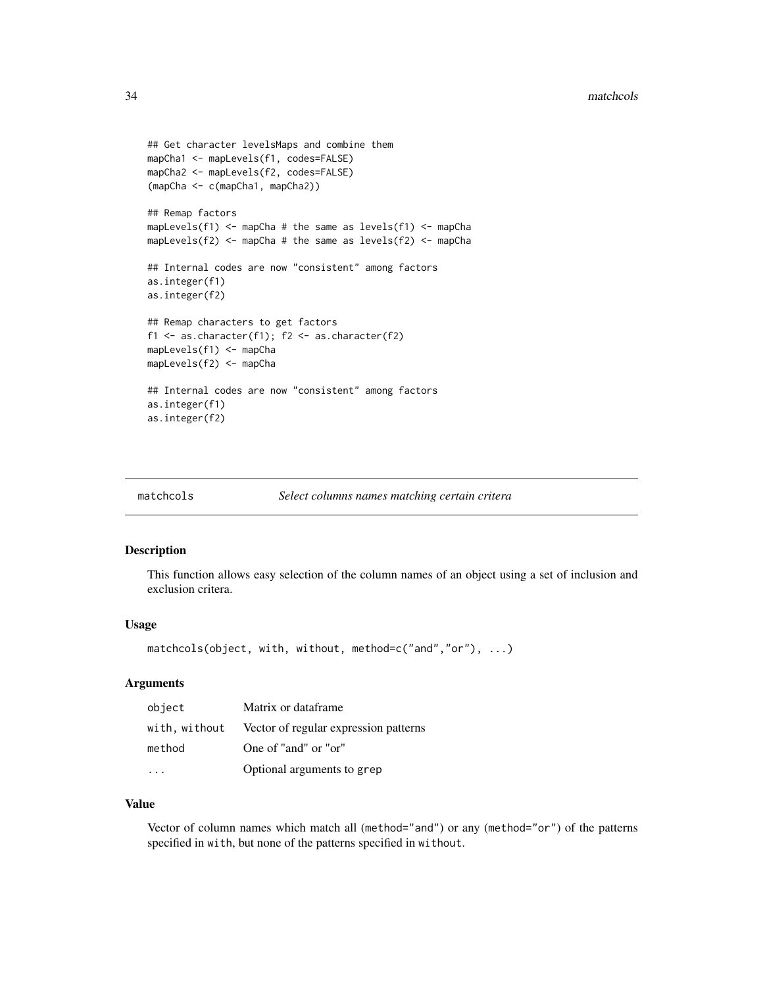```
## Get character levelsMaps and combine them
mapCha1 <- mapLevels(f1, codes=FALSE)
mapCha2 <- mapLevels(f2, codes=FALSE)
(mapCha <- c(mapCha1, mapCha2))
## Remap factors
mapLevels(f1) <- mapCha # the same as levels(f1) <- mapCha
mapLevels(f2) <- mapCha # the same as levels(f2) <- mapCha
## Internal codes are now "consistent" among factors
as.integer(f1)
as.integer(f2)
## Remap characters to get factors
f1 <- as.character(f1); f2 <- as.character(f2)
mapLevels(f1) <- mapCha
mapLevels(f2) <- mapCha
## Internal codes are now "consistent" among factors
as.integer(f1)
as.integer(f2)
```

| matchcols | Select columns names matching certain critera |  |
|-----------|-----------------------------------------------|--|
|-----------|-----------------------------------------------|--|

#### Description

This function allows easy selection of the column names of an object using a set of inclusion and exclusion critera.

#### Usage

```
matchcols(object, with, without, method=c("and","or"), ...)
```
# **Arguments**

| object | Matrix or dataframe                                 |
|--------|-----------------------------------------------------|
|        | with, without Vector of regular expression patterns |
| method | One of "and" or "or"                                |
|        | Optional arguments to grep                          |

# Value

Vector of column names which match all (method="and") or any (method="or") of the patterns specified in with, but none of the patterns specified in without.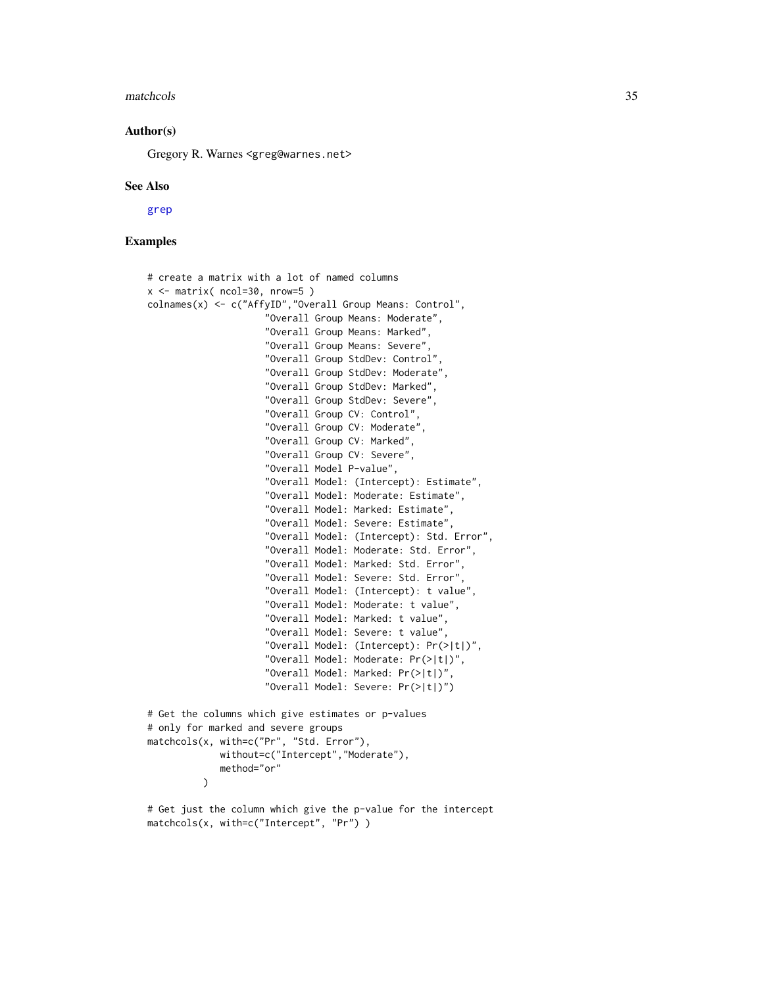#### <span id="page-34-0"></span>matchcols 35

#### Author(s)

Gregory R. Warnes <greg@warnes.net>

#### See Also

[grep](#page-0-0)

# Examples

```
# create a matrix with a lot of named columns
x \le matrix( ncol=30, nrow=5)
colnames(x) <- c("AffyID","Overall Group Means: Control",
                     "Overall Group Means: Moderate",
                     "Overall Group Means: Marked",
                     "Overall Group Means: Severe",
                     "Overall Group StdDev: Control",
                     "Overall Group StdDev: Moderate",
                     "Overall Group StdDev: Marked",
                     "Overall Group StdDev: Severe",
                     "Overall Group CV: Control",
                     "Overall Group CV: Moderate",
                     "Overall Group CV: Marked",
                     "Overall Group CV: Severe",
                     "Overall Model P-value",
                     "Overall Model: (Intercept): Estimate",
                     "Overall Model: Moderate: Estimate",
                     "Overall Model: Marked: Estimate",
                     "Overall Model: Severe: Estimate",
                     "Overall Model: (Intercept): Std. Error",
                     "Overall Model: Moderate: Std. Error",
                     "Overall Model: Marked: Std. Error",
                     "Overall Model: Severe: Std. Error",
                     "Overall Model: (Intercept): t value",
                     "Overall Model: Moderate: t value",
                     "Overall Model: Marked: t value",
                     "Overall Model: Severe: t value",
                     "Overall Model: (Intercept): Pr(>|t|)",
                     "Overall Model: Moderate: Pr(>|t|)",
                     "Overall Model: Marked: Pr(>|t|)",
                     "Overall Model: Severe: Pr(>|t|)")
# Get the columns which give estimates or p-values
# only for marked and severe groups
matchcols(x, with=c("Pr", "Std. Error"),
             without=c("Intercept","Moderate"),
             method="or"
          )
```

```
# Get just the column which give the p-value for the intercept
matchcols(x, with=c("Intercept", "Pr") )
```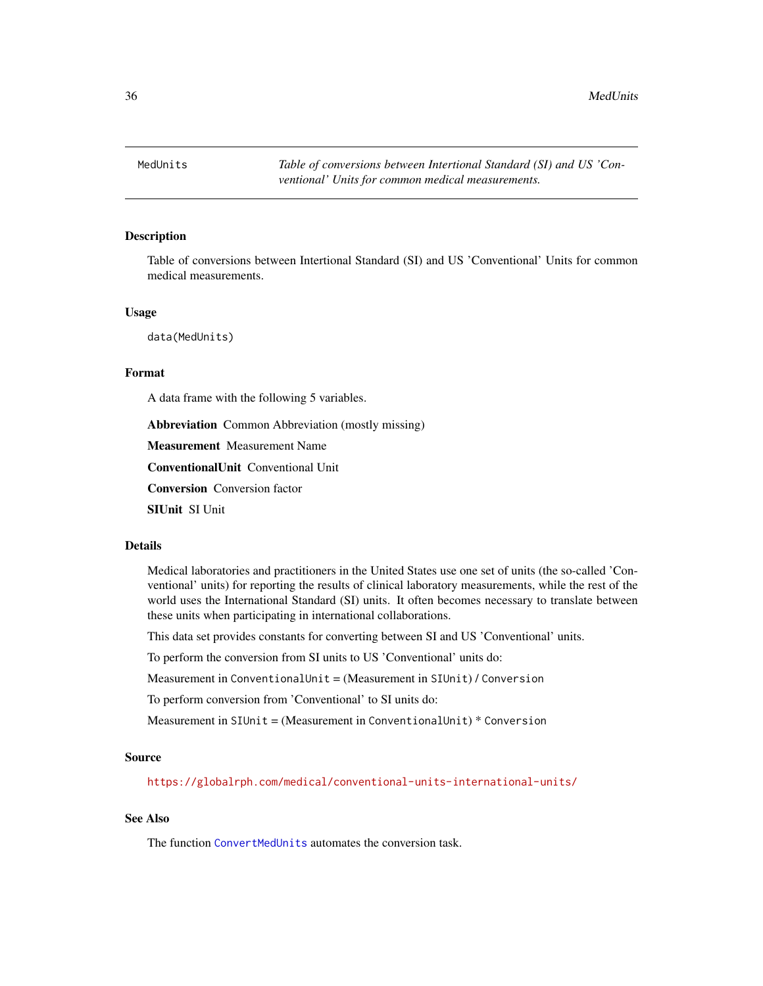<span id="page-35-1"></span><span id="page-35-0"></span>

#### **Description**

Table of conversions between Intertional Standard (SI) and US 'Conventional' Units for common medical measurements.

#### Usage

data(MedUnits)

# Format

A data frame with the following 5 variables.

Abbreviation Common Abbreviation (mostly missing)

Measurement Measurement Name

ConventionalUnit Conventional Unit

Conversion Conversion factor

SIUnit SI Unit

#### Details

Medical laboratories and practitioners in the United States use one set of units (the so-called 'Conventional' units) for reporting the results of clinical laboratory measurements, while the rest of the world uses the International Standard (SI) units. It often becomes necessary to translate between these units when participating in international collaborations.

This data set provides constants for converting between SI and US 'Conventional' units.

To perform the conversion from SI units to US 'Conventional' units do:

Measurement in ConventionalUnit = (Measurement in SIUnit) / Conversion

To perform conversion from 'Conventional' to SI units do:

Measurement in SIUnit = (Measurement in ConventionalUnit) \* Conversion

### Source

<https://globalrph.com/medical/conventional-units-international-units/>

# See Also

The function [ConvertMedUnits](#page-9-1) automates the conversion task.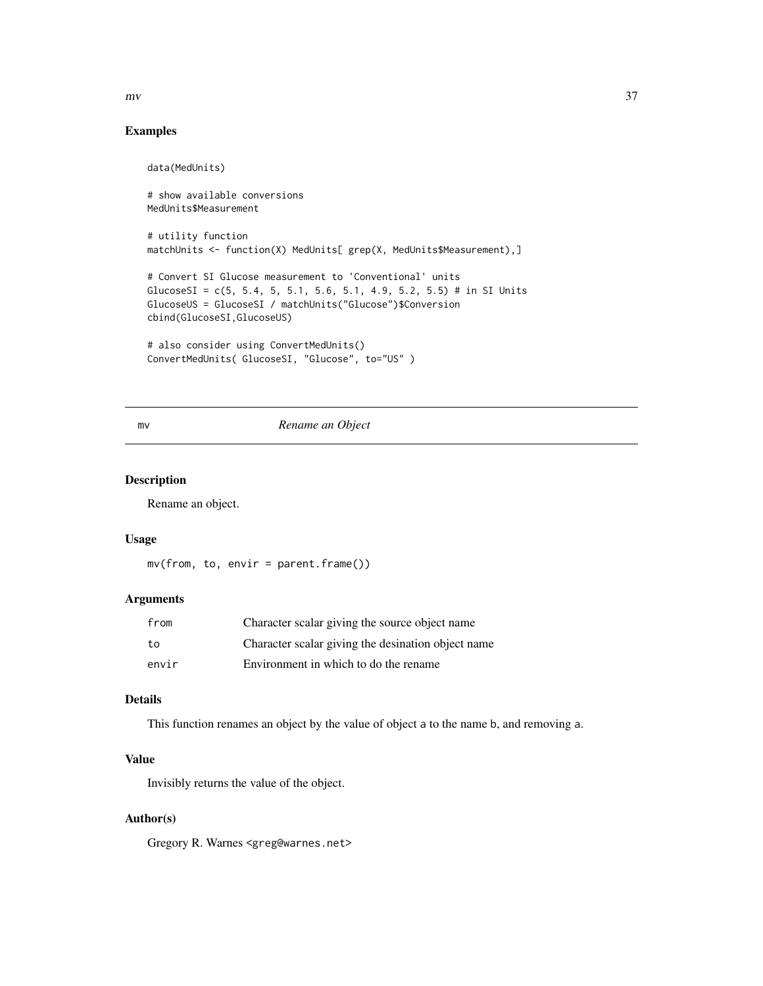<span id="page-36-0"></span>

# Examples

data(MedUnits) # show available conversions MedUnits\$Measurement # utility function matchUnits <- function(X) MedUnits[ grep(X, MedUnits\$Measurement),] # Convert SI Glucose measurement to 'Conventional' units GlucoseSI =  $c(5, 5.4, 5, 5.1, 5.6, 5.1, 4.9, 5.2, 5.5)$  # in SI Units GlucoseUS = GlucoseSI / matchUnits("Glucose")\$Conversion cbind(GlucoseSI,GlucoseUS) # also consider using ConvertMedUnits() ConvertMedUnits( GlucoseSI, "Glucose", to="US" )

# mv *Rename an Object*

# Description

Rename an object.

#### Usage

```
mv(from, to, envir = parent.frame())
```
# Arguments

| from  | Character scalar giving the source object name     |
|-------|----------------------------------------------------|
| to    | Character scalar giving the desination object name |
| envir | Environment in which to do the rename              |

# Details

This function renames an object by the value of object a to the name b, and removing a.

# Value

Invisibly returns the value of the object.

#### Author(s)

Gregory R. Warnes <greg@warnes.net>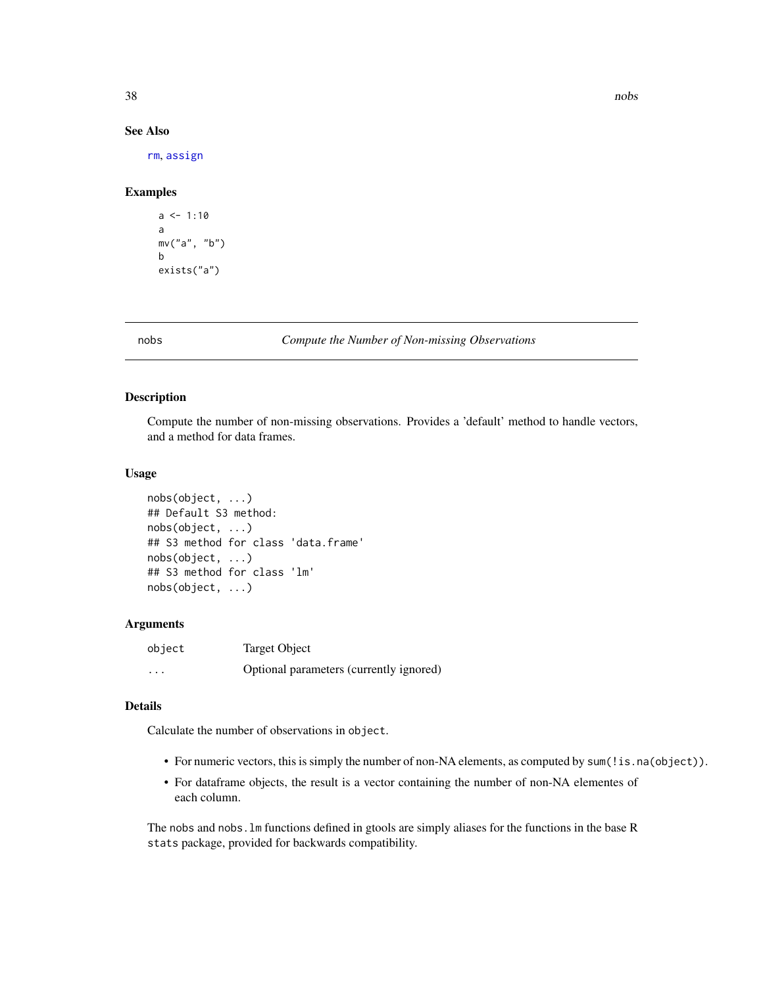# See Also

[rm](#page-0-0), [assign](#page-0-0)

# Examples

 $a \le -1:10$ a mv("a", "b") b exists("a")

#### nobs *Compute the Number of Non-missing Observations*

# Description

Compute the number of non-missing observations. Provides a 'default' method to handle vectors, and a method for data frames.

# Usage

```
nobs(object, ...)
## Default S3 method:
nobs(object, ...)
## S3 method for class 'data.frame'
nobs(object, ...)
## S3 method for class 'lm'
nobs(object, ...)
```
#### Arguments

| object   | Target Object                           |
|----------|-----------------------------------------|
| $\cdots$ | Optional parameters (currently ignored) |

# Details

Calculate the number of observations in object.

- For numeric vectors, this is simply the number of non-NA elements, as computed by sum(!is.na(object)).
- For dataframe objects, the result is a vector containing the number of non-NA elementes of each column.

The nobs and nobs.lm functions defined in gtools are simply aliases for the functions in the base R stats package, provided for backwards compatibility.

<span id="page-37-0"></span>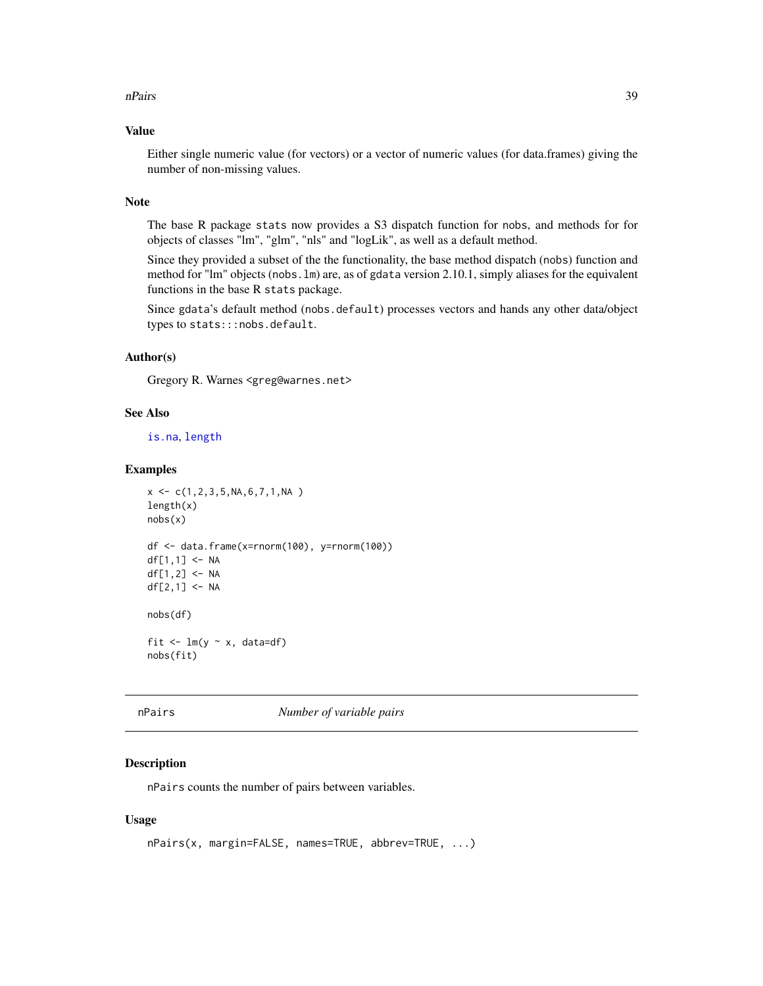#### <span id="page-38-0"></span>nPairs 39

# Value

Either single numeric value (for vectors) or a vector of numeric values (for data.frames) giving the number of non-missing values.

#### Note

The base R package stats now provides a S3 dispatch function for nobs, and methods for for objects of classes "lm", "glm", "nls" and "logLik", as well as a default method.

Since they provided a subset of the the functionality, the base method dispatch (nobs) function and method for "lm" objects (nobs.lm) are, as of gdata version 2.10.1, simply aliases for the equivalent functions in the base R stats package.

Since gdata's default method (nobs.default) processes vectors and hands any other data/object types to stats:::nobs.default.

### Author(s)

Gregory R. Warnes <greg@warnes.net>

#### See Also

[is.na](#page-0-0), [length](#page-0-0)

#### Examples

```
x \leftarrow c(1, 2, 3, 5, NA, 6, 7, 1, NA)length(x)
nobs(x)
df <- data.frame(x=rnorm(100), y=rnorm(100))
df[1,1] <- NA
df[1,2] <- NA
df[2,1] <- NA
nobs(df)
fit \leq -\ln(y \sim x, \text{ data=df})nobs(fit)
```
nPairs *Number of variable pairs*

#### Description

nPairs counts the number of pairs between variables.

#### Usage

```
nPairs(x, margin=FALSE, names=TRUE, abbrev=TRUE, ...)
```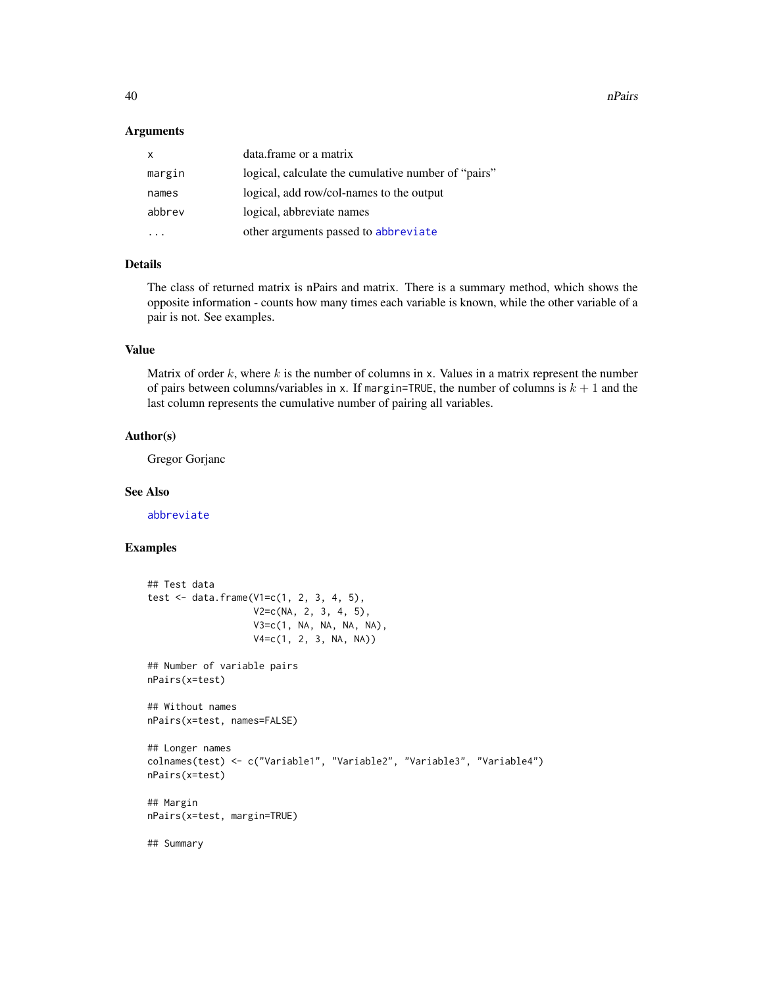<span id="page-39-0"></span>40 and the contract of the contract of the contract of the contract of the contract of the contract of the contract of the contract of the contract of the contract of the contract of the contract of the contract of the con

#### **Arguments**

| $\mathsf{x}$ | data.frame or a matrix                              |
|--------------|-----------------------------------------------------|
| margin       | logical, calculate the cumulative number of "pairs" |
| names        | logical, add row/col-names to the output            |
| abbrev       | logical, abbreviate names                           |
|              | other arguments passed to abbreviate                |

# Details

The class of returned matrix is nPairs and matrix. There is a summary method, which shows the opposite information - counts how many times each variable is known, while the other variable of a pair is not. See examples.

# Value

Matrix of order  $k$ , where  $k$  is the number of columns in x. Values in a matrix represent the number of pairs between columns/variables in x. If margin=TRUE, the number of columns is  $k + 1$  and the last column represents the cumulative number of pairing all variables.

#### Author(s)

Gregor Gorjanc

# See Also

[abbreviate](#page-0-0)

# Examples

```
## Test data
test \le data.frame(V1=c(1, 2, 3, 4, 5),
                   V2=c(NA, 2, 3, 4, 5),
                   V3=c(1, NA, NA, NA, NA),
                   V4=c(1, 2, 3, NA, NA))
## Number of variable pairs
nPairs(x=test)
## Without names
nPairs(x=test, names=FALSE)
## Longer names
colnames(test) <- c("Variable1", "Variable2", "Variable3", "Variable4")
nPairs(x=test)
## Margin
nPairs(x=test, margin=TRUE)
## Summary
```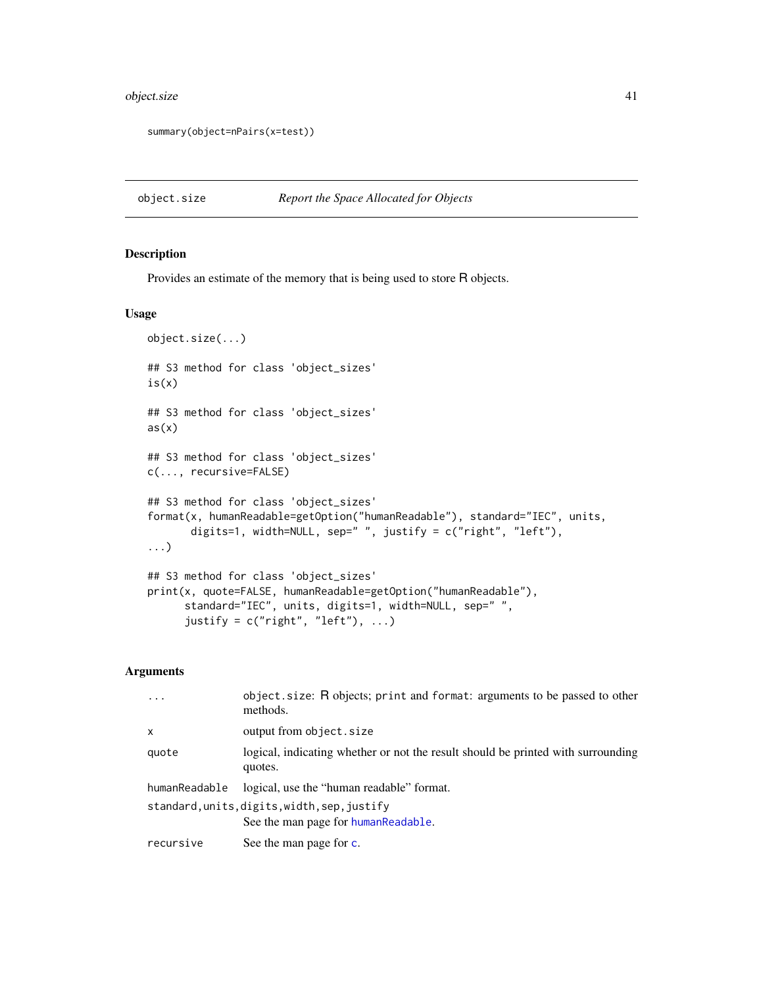# <span id="page-40-0"></span>object.size 41

```
summary(object=nPairs(x=test))
```
# <span id="page-40-1"></span>object.size *Report the Space Allocated for Objects*

# Description

Provides an estimate of the memory that is being used to store R objects.

#### Usage

```
object.size(...)
## S3 method for class 'object_sizes'
is(x)## S3 method for class 'object_sizes'
as(x)## S3 method for class 'object_sizes'
c(..., recursive=FALSE)
## S3 method for class 'object_sizes'
format(x, humanReadable=getOption("humanReadable"), standard="IEC", units,
       digits=1, width=NULL, sep=" ", justify = c("right", "left"),
...)
## S3 method for class 'object_sizes'
print(x, quote=FALSE, humanReadable=getOption("humanReadable"),
      standard="IEC", units, digits=1, width=NULL, sep=" ",
      justify = c("right", "left"), ...)
```
# Arguments

| $\ddots$ .    | object.size: R objects; print and format: arguments to be passed to other<br>methods.       |
|---------------|---------------------------------------------------------------------------------------------|
| $\mathsf{x}$  | output from object.size                                                                     |
| quote         | logical, indicating whether or not the result should be printed with surrounding<br>quotes. |
| humanReadable | logical, use the "human readable" format.                                                   |
|               | standard, units, digits, width, sep, justify<br>See the man page for human Readable.        |
| recursive     | See the man page for c.                                                                     |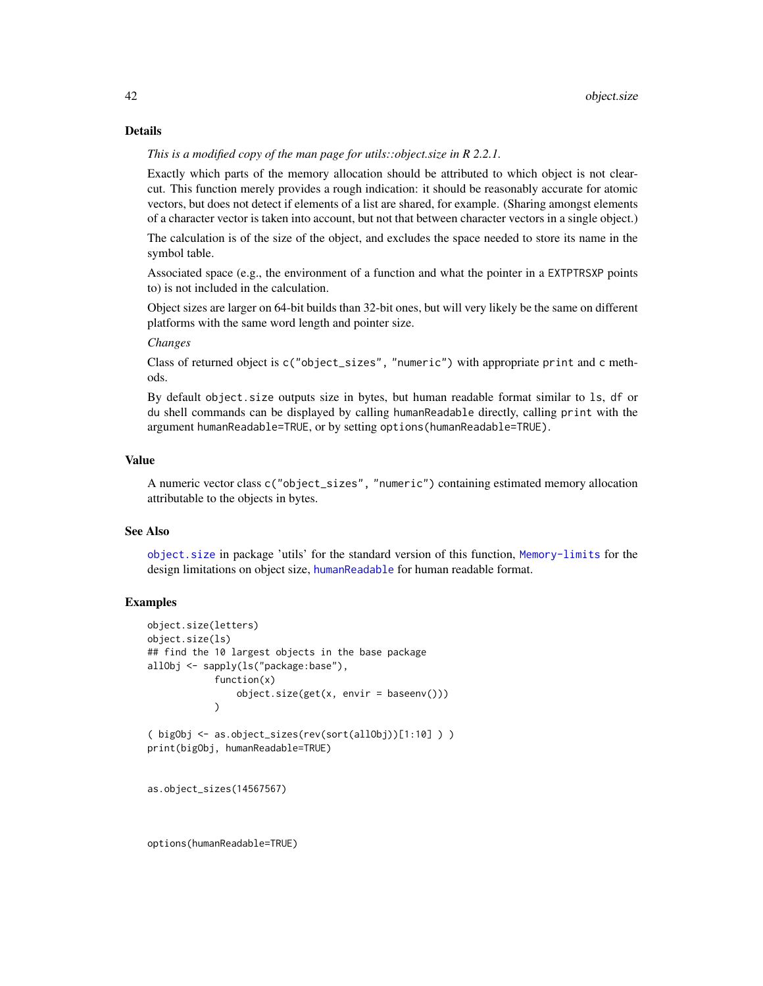#### Details

*This is a modified copy of the man page for utils::object.size in R 2.2.1.*

Exactly which parts of the memory allocation should be attributed to which object is not clearcut. This function merely provides a rough indication: it should be reasonably accurate for atomic vectors, but does not detect if elements of a list are shared, for example. (Sharing amongst elements of a character vector is taken into account, but not that between character vectors in a single object.)

The calculation is of the size of the object, and excludes the space needed to store its name in the symbol table.

Associated space (e.g., the environment of a function and what the pointer in a EXTPTRSXP points to) is not included in the calculation.

Object sizes are larger on 64-bit builds than 32-bit ones, but will very likely be the same on different platforms with the same word length and pointer size.

# *Changes*

Class of returned object is c("object\_sizes", "numeric") with appropriate print and c methods.

By default object.size outputs size in bytes, but human readable format similar to ls, df or du shell commands can be displayed by calling humanReadable directly, calling print with the argument humanReadable=TRUE, or by setting options(humanReadable=TRUE).

#### Value

A numeric vector class c("object\_sizes", "numeric") containing estimated memory allocation attributable to the objects in bytes.

#### See Also

[object.size](#page-40-1) in package 'utils' for the standard version of this function, [Memory-limits](#page-0-0) for the design limitations on object size, [humanReadable](#page-20-1) for human readable format.

#### Examples

```
object.size(letters)
object.size(ls)
## find the 10 largest objects in the base package
allObj <- sapply(ls("package:base"),
            function(x)
                object.size(get(x, envir = baseenv()))
            )
( bigObj <- as.object_sizes(rev(sort(allObj))[1:10] ) )
print(bigObj, humanReadable=TRUE)
```
as.object\_sizes(14567567)

options(humanReadable=TRUE)

<span id="page-41-0"></span>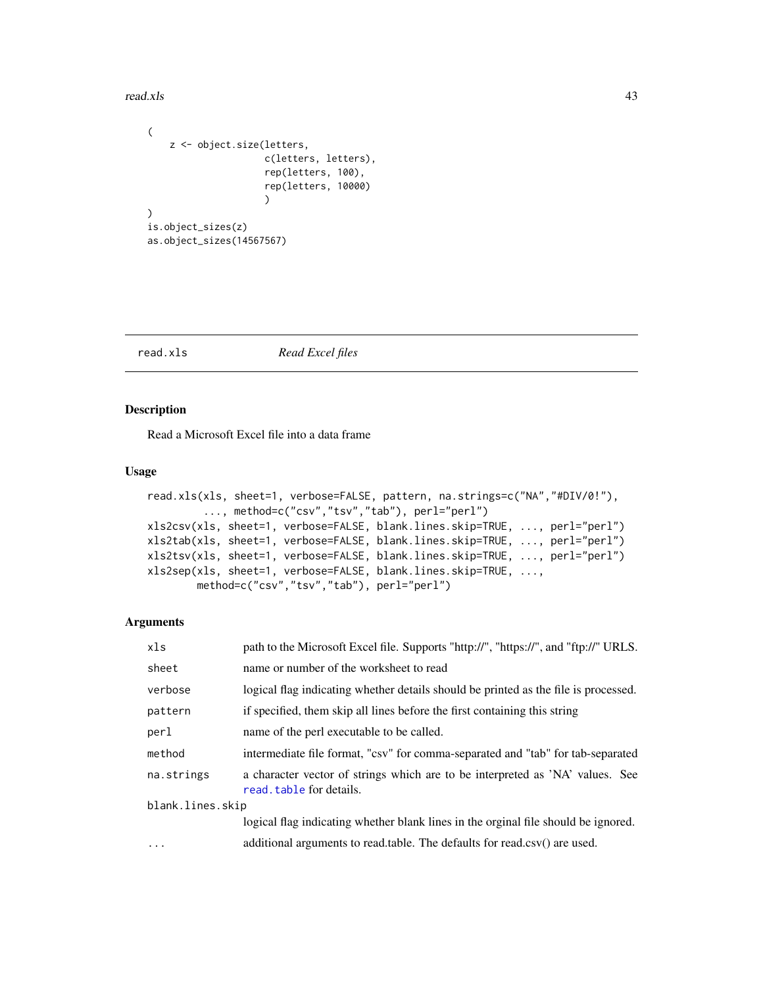#### <span id="page-42-0"></span>read.xls 43

```
(
    z <- object.size(letters,
                     c(letters, letters),
                     rep(letters, 100),
                     rep(letters, 10000)
                     )
)
is.object_sizes(z)
as.object_sizes(14567567)
```
#### <span id="page-42-1"></span>read.xls *Read Excel files*

# <span id="page-42-2"></span>Description

Read a Microsoft Excel file into a data frame

# Usage

```
read.xls(xls, sheet=1, verbose=FALSE, pattern, na.strings=c("NA","#DIV/0!"),
        ..., method=c("csv","tsv","tab"), perl="perl")
xls2csv(xls, sheet=1, verbose=FALSE, blank.lines.skip=TRUE, ..., perl="perl")
xls2tab(xls, sheet=1, verbose=FALSE, blank.lines.skip=TRUE, ..., perl="perl")
xls2tsv(xls, sheet=1, verbose=FALSE, blank.lines.skip=TRUE, ..., perl="perl")
xls2sep(xls, sheet=1, verbose=FALSE, blank.lines.skip=TRUE, ...,
       method=c("csv","tsv","tab"), perl="perl")
```
# Arguments

| xls              | path to the Microsoft Excel file. Supports "http://", "https://", and "ftp://" URLS.                      |  |
|------------------|-----------------------------------------------------------------------------------------------------------|--|
| sheet            | name or number of the worksheet to read                                                                   |  |
| verbose          | logical flag indicating whether details should be printed as the file is processed.                       |  |
| pattern          | if specified, them skip all lines before the first containing this string                                 |  |
| perl             | name of the perl executable to be called.                                                                 |  |
| method           | intermediate file format, "csv" for comma-separated and "tab" for tab-separated                           |  |
| na.strings       | a character vector of strings which are to be interpreted as 'NA' values. See<br>read. table for details. |  |
| blank.lines.skip |                                                                                                           |  |
|                  | logical flag indicating whether blank lines in the orginal file should be ignored.                        |  |
| $\cdots$         | additional arguments to read.table. The defaults for read.csv() are used.                                 |  |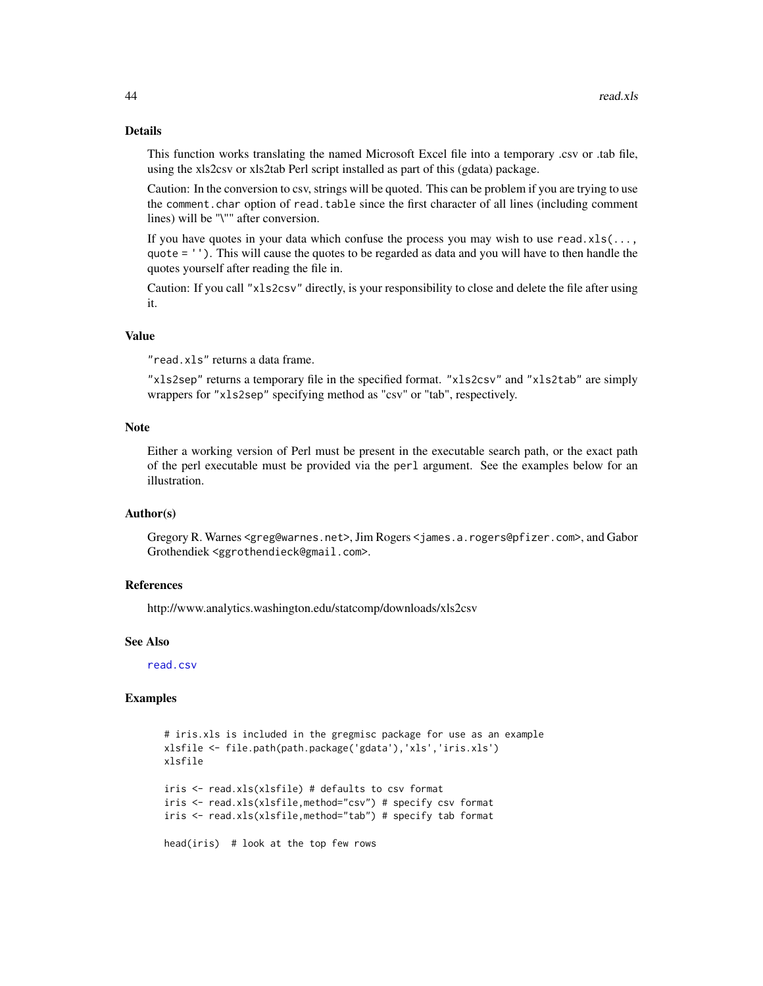# Details

This function works translating the named Microsoft Excel file into a temporary .csv or .tab file, using the xls2csv or xls2tab Perl script installed as part of this (gdata) package.

Caution: In the conversion to csv, strings will be quoted. This can be problem if you are trying to use the comment.char option of read.table since the first character of all lines (including comment lines) will be "\"" after conversion.

If you have quotes in your data which confuse the process you may wish to use read.xls( $\dots$ , quote = ''). This will cause the quotes to be regarded as data and you will have to then handle the quotes yourself after reading the file in.

Caution: If you call "xls2csv" directly, is your responsibility to close and delete the file after using it.

# Value

"read.xls" returns a data frame.

"xls2sep" returns a temporary file in the specified format. "xls2csv" and "xls2tab" are simply wrappers for "xls2sep" specifying method as "csv" or "tab", respectively.

#### Note

Either a working version of Perl must be present in the executable search path, or the exact path of the perl executable must be provided via the perl argument. See the examples below for an illustration.

#### Author(s)

Gregory R. Warnes <greg@warnes.net>, Jim Rogers <james.a.rogers@pfizer.com>, and Gabor Grothendiek <ggrothendieck@gmail.com>.

#### References

http://www.analytics.washington.edu/statcomp/downloads/xls2csv

#### See Also

[read.csv](#page-0-0)

#### Examples

```
# iris.xls is included in the gregmisc package for use as an example
xlsfile <- file.path(path.package('gdata'),'xls','iris.xls')
xlsfile
iris <- read.xls(xlsfile) # defaults to csv format
iris <- read.xls(xlsfile,method="csv") # specify csv format
iris <- read.xls(xlsfile,method="tab") # specify tab format
head(iris) # look at the top few rows
```
<span id="page-43-0"></span>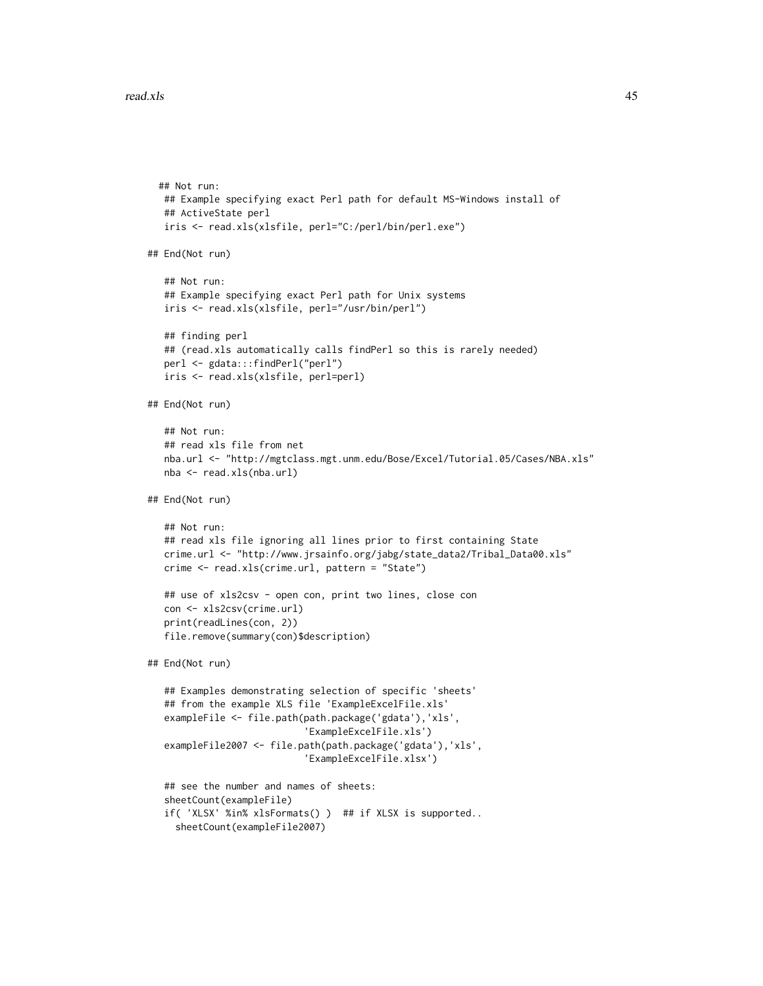```
## Not run:
  ## Example specifying exact Perl path for default MS-Windows install of
  ## ActiveState perl
  iris <- read.xls(xlsfile, perl="C:/perl/bin/perl.exe")
## End(Not run)
  ## Not run:
   ## Example specifying exact Perl path for Unix systems
  iris <- read.xls(xlsfile, perl="/usr/bin/perl")
   ## finding perl
  ## (read.xls automatically calls findPerl so this is rarely needed)
  perl <- gdata:::findPerl("perl")
  iris <- read.xls(xlsfile, perl=perl)
## End(Not run)
  ## Not run:
   ## read xls file from net
  nba.url <- "http://mgtclass.mgt.unm.edu/Bose/Excel/Tutorial.05/Cases/NBA.xls"
  nba <- read.xls(nba.url)
## End(Not run)
   ## Not run:
   ## read xls file ignoring all lines prior to first containing State
  crime.url <- "http://www.jrsainfo.org/jabg/state_data2/Tribal_Data00.xls"
   crime <- read.xls(crime.url, pattern = "State")
  ## use of xls2csv - open con, print two lines, close con
  con <- xls2csv(crime.url)
  print(readLines(con, 2))
  file.remove(summary(con)$description)
## End(Not run)
   ## Examples demonstrating selection of specific 'sheets'
   ## from the example XLS file 'ExampleExcelFile.xls'
   exampleFile <- file.path(path.package('gdata'),'xls',
                            'ExampleExcelFile.xls')
   exampleFile2007 <- file.path(path.package('gdata'),'xls',
                            'ExampleExcelFile.xlsx')
   ## see the number and names of sheets:
   sheetCount(exampleFile)
   if( 'XLSX' %in% xlsFormats() ) ## if XLSX is supported..
     sheetCount(exampleFile2007)
```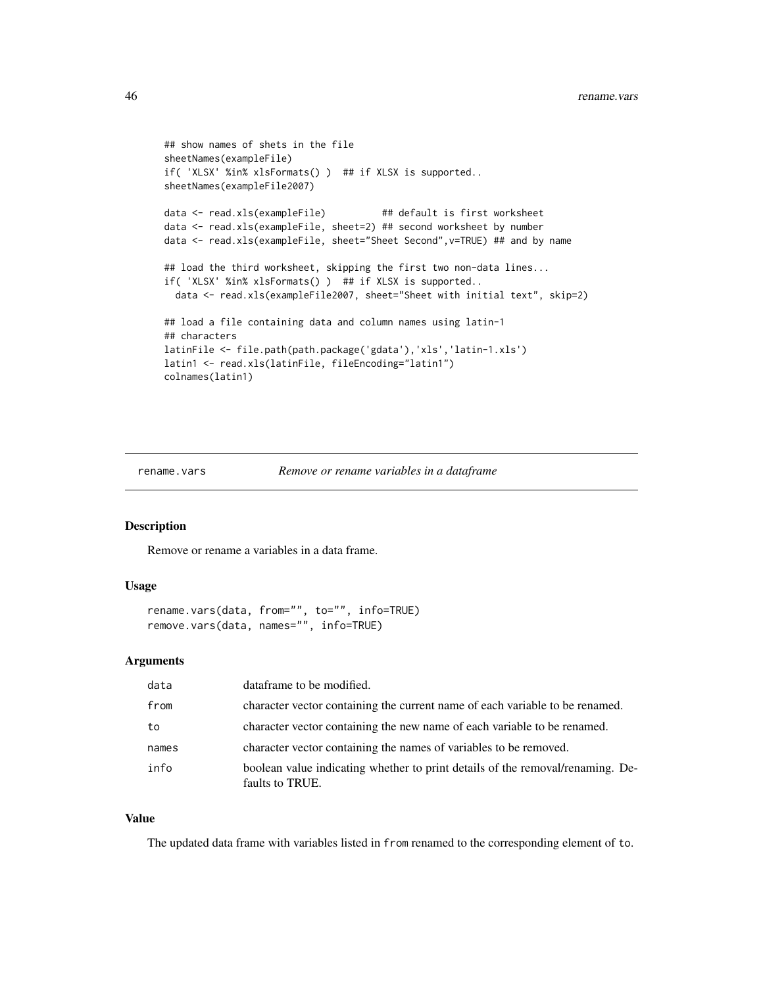```
## show names of shets in the file
sheetNames(exampleFile)
if( 'XLSX' %in% xlsFormats() ) ## if XLSX is supported..
sheetNames(exampleFile2007)
data <- read.xls(exampleFile) ## default is first worksheet
data <- read.xls(exampleFile, sheet=2) ## second worksheet by number
data <- read.xls(exampleFile, sheet="Sheet Second",v=TRUE) ## and by name
## load the third worksheet, skipping the first two non-data lines...
if( 'XLSX' %in% xlsFormats() ) ## if XLSX is supported..
  data <- read.xls(exampleFile2007, sheet="Sheet with initial text", skip=2)
## load a file containing data and column names using latin-1
## characters
latinFile <- file.path(path.package('gdata'),'xls','latin-1.xls')
latin1 <- read.xls(latinFile, fileEncoding="latin1")
colnames(latin1)
```
rename.vars *Remove or rename variables in a dataframe*

#### Description

Remove or rename a variables in a data frame.

#### Usage

```
rename.vars(data, from="", to="", info=TRUE)
remove.vars(data, names="", info=TRUE)
```
#### Arguments

| data  | dataframe to be modified.                                                                         |
|-------|---------------------------------------------------------------------------------------------------|
| from  | character vector containing the current name of each variable to be renamed.                      |
| to    | character vector containing the new name of each variable to be renamed.                          |
| names | character vector containing the names of variables to be removed.                                 |
| info  | boolean value indicating whether to print details of the removal/renaming. De-<br>faults to TRUE. |

#### Value

The updated data frame with variables listed in from renamed to the corresponding element of to.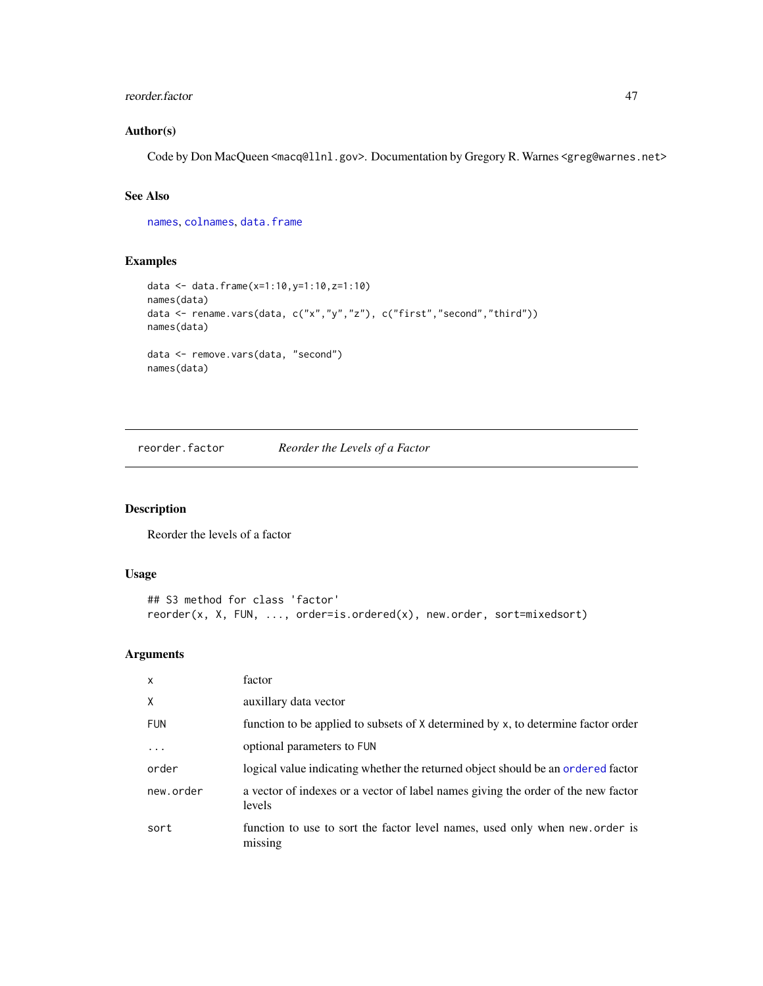#### <span id="page-46-0"></span>reorder.factor 47

# Author(s)

Code by Don MacQueen <macq@llnl.gov>. Documentation by Gregory R. Warnes <greg@warnes.net>

# See Also

[names](#page-0-0), [colnames](#page-0-0), [data.frame](#page-0-0)

# Examples

```
data <- data.frame(x=1:10,y=1:10,z=1:10)
names(data)
data <- rename.vars(data, c("x","y","z"), c("first","second","third"))
names(data)
data <- remove.vars(data, "second")
names(data)
```
<span id="page-46-1"></span>reorder.factor *Reorder the Levels of a Factor*

# Description

Reorder the levels of a factor

### Usage

```
## S3 method for class 'factor'
reorder(x, X, FUN, ..., order=is.ordered(x), new.order, sort=mixedsort)
```
# Arguments

| $\mathsf{x}$ | factor                                                                                      |
|--------------|---------------------------------------------------------------------------------------------|
| X            | auxillary data vector                                                                       |
| <b>FUN</b>   | function to be applied to subsets of X determined by x, to determine factor order           |
| .            | optional parameters to FUN                                                                  |
| order        | logical value indicating whether the returned object should be an ordered factor            |
| new.order    | a vector of indexes or a vector of label names giving the order of the new factor<br>levels |
| sort         | function to use to sort the factor level names, used only when new order is<br>missing      |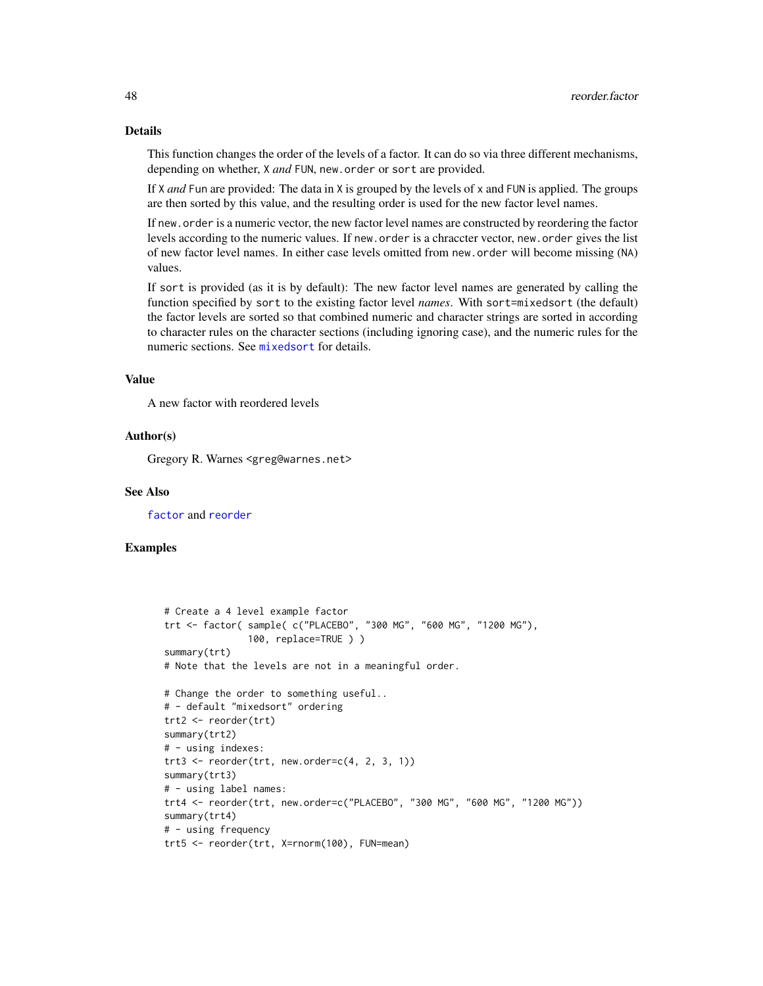# Details

This function changes the order of the levels of a factor. It can do so via three different mechanisms, depending on whether, X *and* FUN, new.order or sort are provided.

If X *and* Fun are provided: The data in X is grouped by the levels of x and FUN is applied. The groups are then sorted by this value, and the resulting order is used for the new factor level names.

If new.order is a numeric vector, the new factor level names are constructed by reordering the factor levels according to the numeric values. If new.order is a chraccter vector, new.order gives the list of new factor level names. In either case levels omitted from new.order will become missing (NA) values.

If sort is provided (as it is by default): The new factor level names are generated by calling the function specified by sort to the existing factor level *names*. With sort=mixedsort (the default) the factor levels are sorted so that combined numeric and character strings are sorted in according to character rules on the character sections (including ignoring case), and the numeric rules for the numeric sections. See [mixedsort](#page-0-0) for details.

# Value

A new factor with reordered levels

#### Author(s)

Gregory R. Warnes <greg@warnes.net>

#### See Also

[factor](#page-0-0) and [reorder](#page-0-0)

#### Examples

```
# Create a 4 level example factor
trt <- factor( sample( c("PLACEBO", "300 MG", "600 MG", "1200 MG"),
               100, replace=TRUE ) )
summary(trt)
# Note that the levels are not in a meaningful order.
# Change the order to something useful..
# - default "mixedsort" ordering
trt2 <- reorder(trt)
summary(trt2)
# - using indexes:
trt3 \le reorder(trt, new.order=c(4, 2, 3, 1))
summary(trt3)
# - using label names:
trt4 <- reorder(trt, new.order=c("PLACEBO", "300 MG", "600 MG", "1200 MG"))
summary(trt4)
# - using frequency
trt5 <- reorder(trt, X=rnorm(100), FUN=mean)
```
<span id="page-47-0"></span>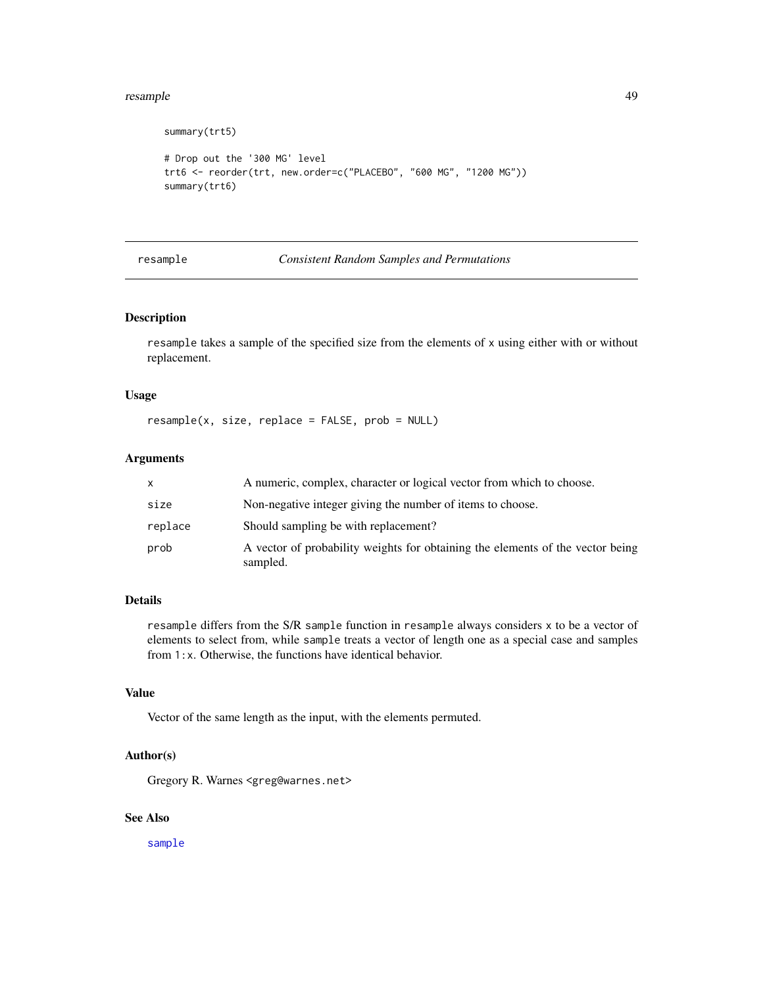#### <span id="page-48-0"></span>resample that the contract of the contract of the contract of the contract of the contract of the contract of the contract of the contract of the contract of the contract of the contract of the contract of the contract of

```
summary(trt5)
# Drop out the '300 MG' level
trt6 <- reorder(trt, new.order=c("PLACEBO", "600 MG", "1200 MG"))
summary(trt6)
```
#### resample *Consistent Random Samples and Permutations*

#### Description

resample takes a sample of the specified size from the elements of x using either with or without replacement.

#### Usage

```
resample(x, size, replace = FALSE, prob = NULL)
```
# Arguments

| x       | A numeric, complex, character or logical vector from which to choose.                      |
|---------|--------------------------------------------------------------------------------------------|
| size    | Non-negative integer giving the number of items to choose.                                 |
| replace | Should sampling be with replacement?                                                       |
| prob    | A vector of probability weights for obtaining the elements of the vector being<br>sampled. |

# Details

resample differs from the S/R sample function in resample always considers x to be a vector of elements to select from, while sample treats a vector of length one as a special case and samples from 1:x. Otherwise, the functions have identical behavior.

# Value

Vector of the same length as the input, with the elements permuted.

#### Author(s)

Gregory R. Warnes <greg@warnes.net>

# See Also

[sample](#page-0-0)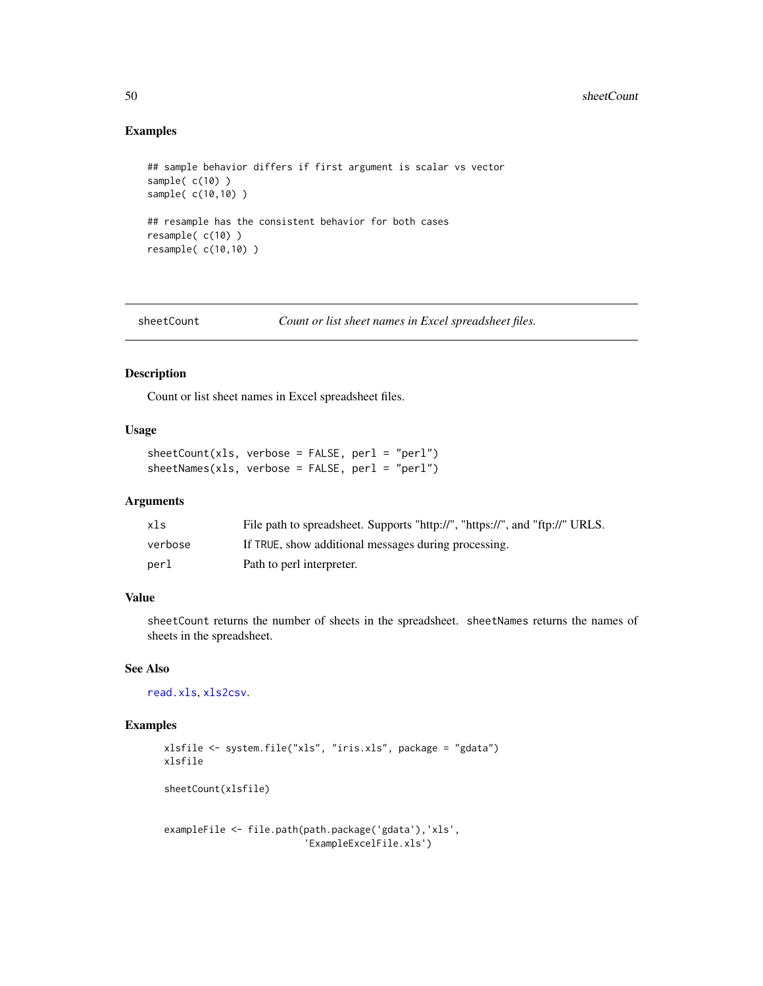# Examples

```
## sample behavior differs if first argument is scalar vs vector
sample( c(10) )
sample( c(10,10) )
## resample has the consistent behavior for both cases
resample( c(10) )
resample( c(10,10) )
```
sheetCount *Count or list sheet names in Excel spreadsheet files.*

# Description

Count or list sheet names in Excel spreadsheet files.

# Usage

 $sheetCount(xls, verbose = FALSE, perl = "perl")$ sheetNames(xls, verbose = FALSE, perl = "perl")

# Arguments

| xls     | File path to spreadsheet. Supports "http://", "https://", and "ftp://" URLS. |
|---------|------------------------------------------------------------------------------|
| verbose | If TRUE, show additional messages during processing.                         |
| perl    | Path to perl interpreter.                                                    |

# Value

sheetCount returns the number of sheets in the spreadsheet. sheetNames returns the names of sheets in the spreadsheet.

# See Also

[read.xls](#page-42-1), [xls2csv](#page-42-2).

# Examples

```
xlsfile <- system.file("xls", "iris.xls", package = "gdata")
xlsfile
sheetCount(xlsfile)
exampleFile <- file.path(path.package('gdata'),'xls',
```

```
'ExampleExcelFile.xls')
```
<span id="page-49-0"></span>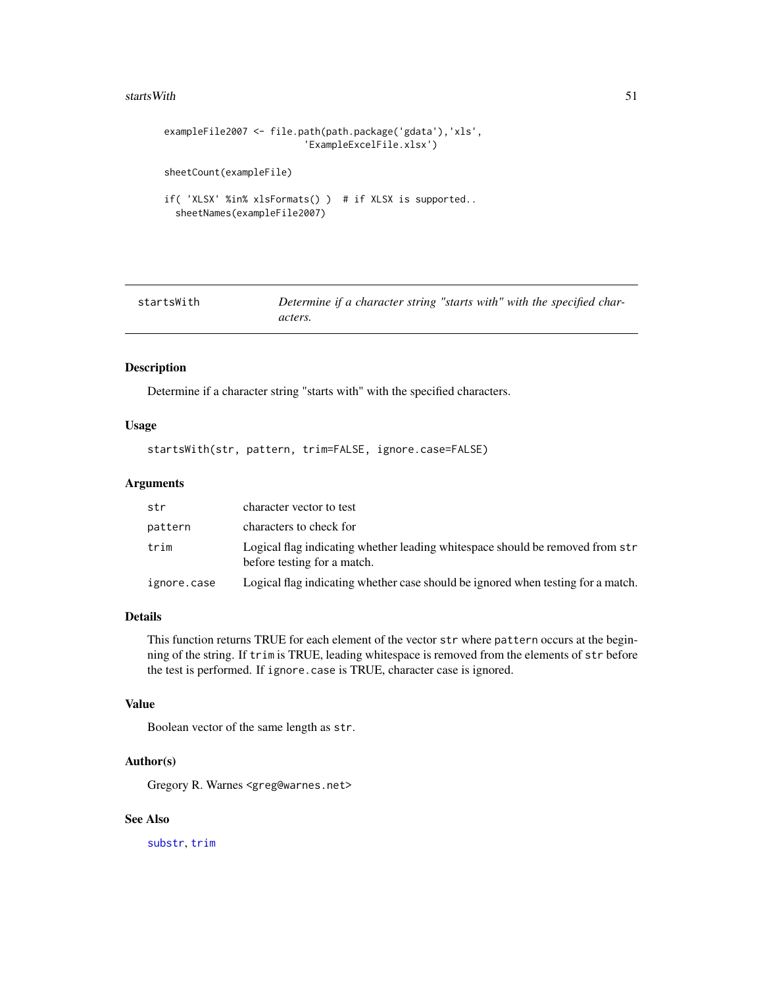#### <span id="page-50-0"></span>startsWith 51

```
exampleFile2007 <- file.path(path.package('gdata'),'xls',
                         'ExampleExcelFile.xlsx')
sheetCount(exampleFile)
if( 'XLSX' %in% xlsFormats() ) # if XLSX is supported..
  sheetNames(exampleFile2007)
```

| startsWith | Determine if a character string "starts with" with the specified char- |  |
|------------|------------------------------------------------------------------------|--|
|            | acters.                                                                |  |

#### Description

Determine if a character string "starts with" with the specified characters.

# Usage

startsWith(str, pattern, trim=FALSE, ignore.case=FALSE)

#### Arguments

| str         | character vector to test                                                                                     |
|-------------|--------------------------------------------------------------------------------------------------------------|
| pattern     | characters to check for                                                                                      |
| trim        | Logical flag indicating whether leading whitespace should be removed from str<br>before testing for a match. |
| ignore.case | Logical flag indicating whether case should be ignored when testing for a match.                             |

# Details

This function returns TRUE for each element of the vector str where pattern occurs at the beginning of the string. If trim is TRUE, leading whitespace is removed from the elements of str before the test is performed. If ignore.case is TRUE, character case is ignored.

#### Value

Boolean vector of the same length as str.

#### Author(s)

Gregory R. Warnes <greg@warnes.net>

# See Also

[substr](#page-0-0), [trim](#page-51-1)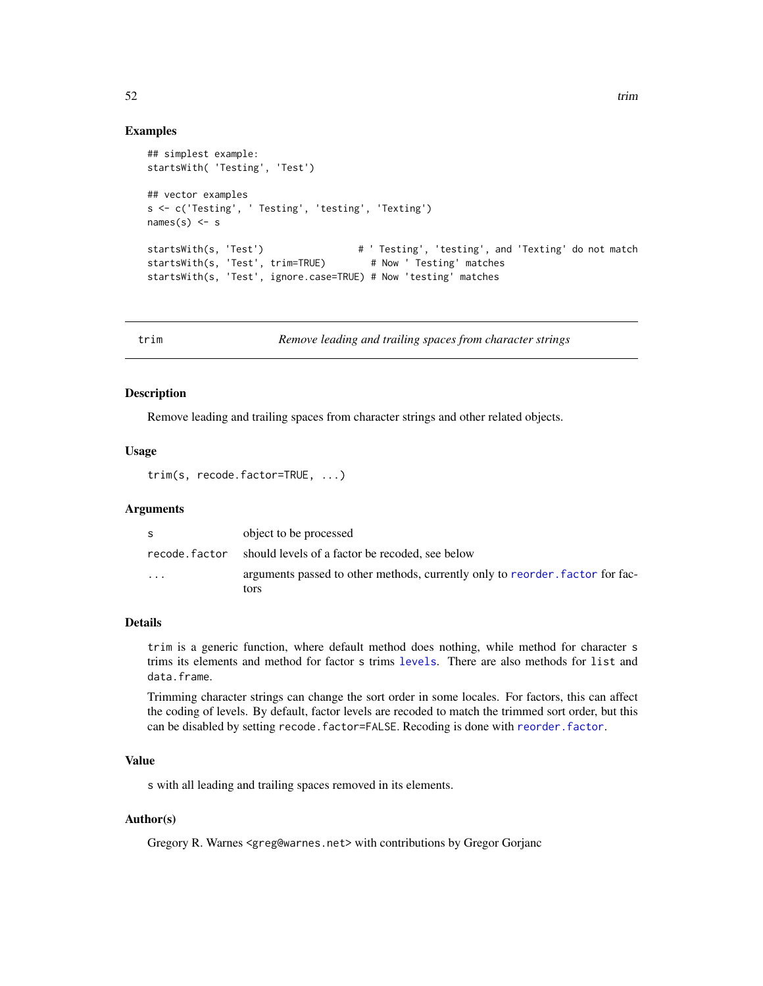#### Examples

```
## simplest example:
startsWith( 'Testing', 'Test')
## vector examples
s <- c('Testing', ' Testing', 'testing', 'Texting')
names(s) \leq s
                                            # ' Testing', 'testing', and 'Texting' do not match
startsWith(s, 'Test')  # ' Testing', 'testing', an<br>startsWith(s, 'Test', trim=TRUE)  # Now ' Testing' matches
startsWith(s, 'Test', ignore.case=TRUE) # Now 'testing' matches
```
<span id="page-51-1"></span>

trim *Remove leading and trailing spaces from character strings*

#### Description

Remove leading and trailing spaces from character strings and other related objects.

# Usage

trim(s, recode.factor=TRUE, ...)

#### Arguments

| S             | object to be processed                                                                |
|---------------|---------------------------------------------------------------------------------------|
| recode.factor | should levels of a factor be recoded, see below                                       |
| $\cdot$       | arguments passed to other methods, currently only to reorder, factor for fac-<br>tors |

#### Details

trim is a generic function, where default method does nothing, while method for character s trims its elements and method for factor s trims [levels](#page-0-0). There are also methods for list and data.frame.

Trimming character strings can change the sort order in some locales. For factors, this can affect the coding of levels. By default, factor levels are recoded to match the trimmed sort order, but this can be disabled by setting recode.factor=FALSE. Recoding is done with [reorder.factor](#page-46-1).

# Value

s with all leading and trailing spaces removed in its elements.

#### Author(s)

Gregory R. Warnes <greg@warnes.net> with contributions by Gregor Gorjanc

<span id="page-51-0"></span>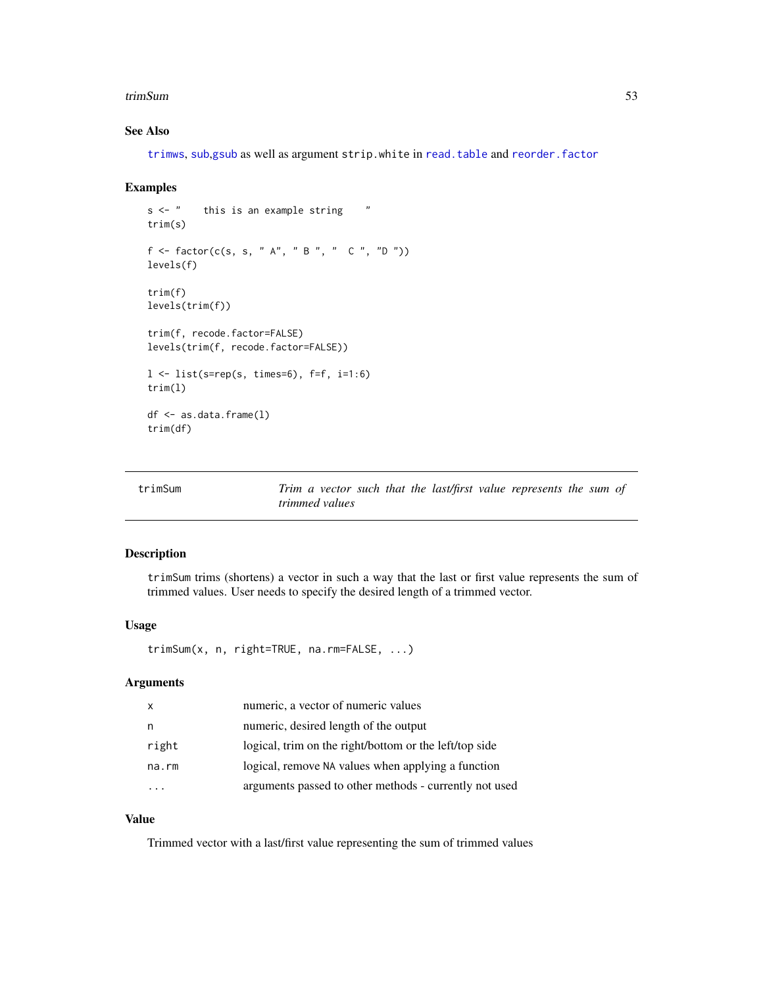#### <span id="page-52-0"></span>trimSum 53

# See Also

[trimws](#page-0-0), [sub](#page-0-0),[gsub](#page-0-0) as well as argument strip.white in [read.table](#page-0-0) and [reorder.factor](#page-46-1)

#### Examples

```
s <- " this is an example string "
trim(s)
f \leftarrow factor(c(s, s, "A", "B", "C", "D"))levels(f)
trim(f)
levels(trim(f))
trim(f, recode.factor=FALSE)
levels(trim(f, recode.factor=FALSE))
l \leftarrow list(s=rep(s, times=6), f=f, i=1:6)
trim(l)
df <- as.data.frame(l)
trim(df)
```

| trimSum | Trim a vector such that the last/first value represents the sum of |  |  |  |  |  |
|---------|--------------------------------------------------------------------|--|--|--|--|--|
|         | trimmed values                                                     |  |  |  |  |  |

# Description

trimSum trims (shortens) a vector in such a way that the last or first value represents the sum of trimmed values. User needs to specify the desired length of a trimmed vector.

#### Usage

trimSum(x, n, right=TRUE, na.rm=FALSE, ...)

#### Arguments

| $\mathsf{x}$ | numeric, a vector of numeric values                    |
|--------------|--------------------------------------------------------|
| n            | numeric, desired length of the output                  |
| right        | logical, trim on the right/bottom or the left/top side |
| na.rm        | logical, remove NA values when applying a function     |
|              | arguments passed to other methods - currently not used |

# Value

Trimmed vector with a last/first value representing the sum of trimmed values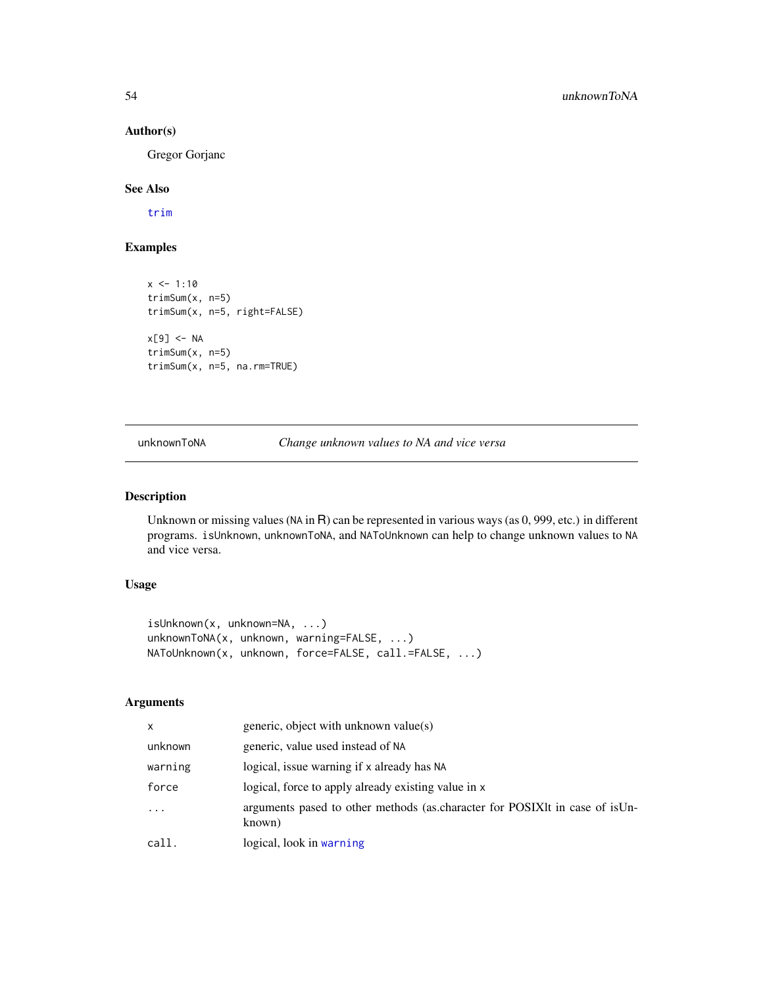# Author(s)

Gregor Gorjanc

# See Also

[trim](#page-51-1)

# Examples

```
x \le -1:10trimSum(x, n=5)
trimSum(x, n=5, right=FALSE)
x[9] <- NA
trimSum(x, n=5)
trimSum(x, n=5, na.rm=TRUE)
```
unknownToNA *Change unknown values to NA and vice versa*

### <span id="page-53-1"></span>Description

Unknown or missing values (NA in R) can be represented in various ways (as 0, 999, etc.) in different programs. isUnknown, unknownToNA, and NAToUnknown can help to change unknown values to NA and vice versa.

#### Usage

```
isUnknown(x, unknown=NA, ...)
unknownToNA(x, unknown, warning=FALSE, ...)
NAToUnknown(x, unknown, force=FALSE, call.=FALSE, ...)
```
#### Arguments

| X        | generic, object with unknown value(s)                                                  |
|----------|----------------------------------------------------------------------------------------|
| unknown  | generic, value used instead of NA                                                      |
| warning  | logical, issue warning if x already has NA                                             |
| force    | logical, force to apply already existing value in x                                    |
| $\ddots$ | arguments pased to other methods (as character for POSIXIt in case of is Un-<br>known) |
| call.    | logical, look in warning                                                               |

<span id="page-53-0"></span>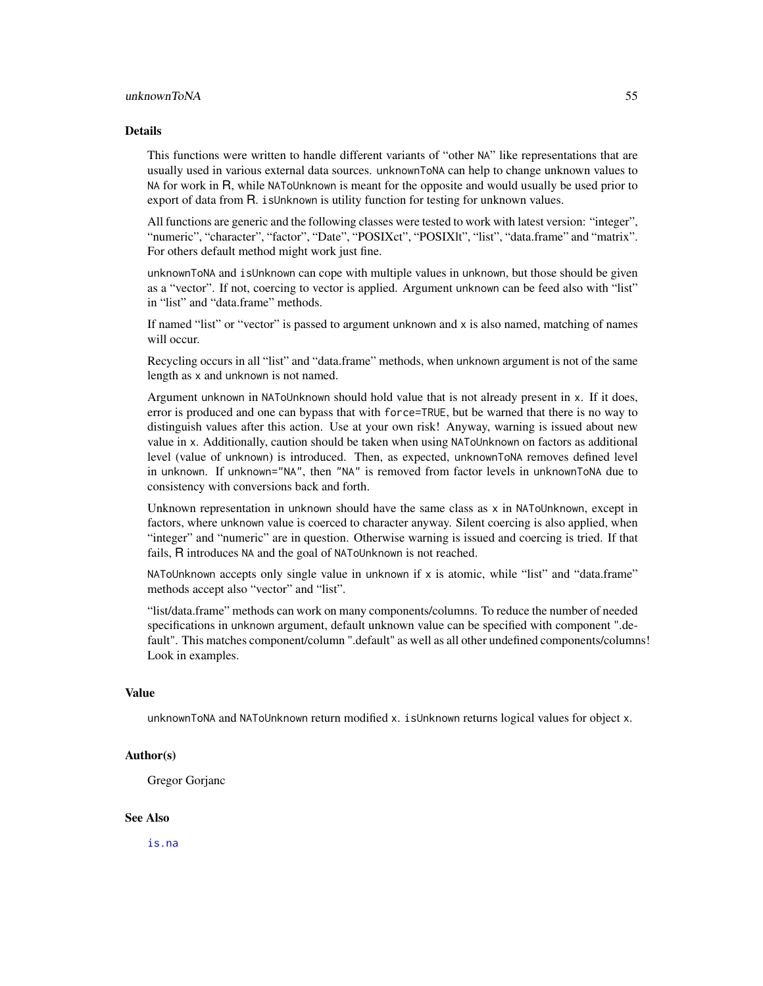#### <span id="page-54-0"></span>Details

This functions were written to handle different variants of "other NA" like representations that are usually used in various external data sources. unknownToNA can help to change unknown values to NA for work in R, while NAToUnknown is meant for the opposite and would usually be used prior to export of data from R. isUnknown is utility function for testing for unknown values.

All functions are generic and the following classes were tested to work with latest version: "integer", "numeric", "character", "factor", "Date", "POSIXct", "POSIXlt", "list", "data.frame" and "matrix". For others default method might work just fine.

unknownToNA and isUnknown can cope with multiple values in unknown, but those should be given as a "vector". If not, coercing to vector is applied. Argument unknown can be feed also with "list" in "list" and "data.frame" methods.

If named "list" or "vector" is passed to argument unknown and x is also named, matching of names will occur.

Recycling occurs in all "list" and "data.frame" methods, when unknown argument is not of the same length as x and unknown is not named.

Argument unknown in NAToUnknown should hold value that is not already present in x. If it does, error is produced and one can bypass that with force=TRUE, but be warned that there is no way to distinguish values after this action. Use at your own risk! Anyway, warning is issued about new value in x. Additionally, caution should be taken when using NAToUnknown on factors as additional level (value of unknown) is introduced. Then, as expected, unknownToNA removes defined level in unknown. If unknown="NA", then "NA" is removed from factor levels in unknownToNA due to consistency with conversions back and forth.

Unknown representation in unknown should have the same class as x in NAToUnknown, except in factors, where unknown value is coerced to character anyway. Silent coercing is also applied, when "integer" and "numeric" are in question. Otherwise warning is issued and coercing is tried. If that fails, R introduces NA and the goal of NAToUnknown is not reached.

NAToUnknown accepts only single value in unknown if  $x$  is atomic, while "list" and "data.frame" methods accept also "vector" and "list".

"list/data.frame" methods can work on many components/columns. To reduce the number of needed specifications in unknown argument, default unknown value can be specified with component ".default". This matches component/column ".default" as well as all other undefined components/columns! Look in examples.

#### Value

unknownToNA and NAToUnknown return modified x. isUnknown returns logical values for object x.

#### Author(s)

Gregor Gorjanc

#### See Also

[is.na](#page-0-0)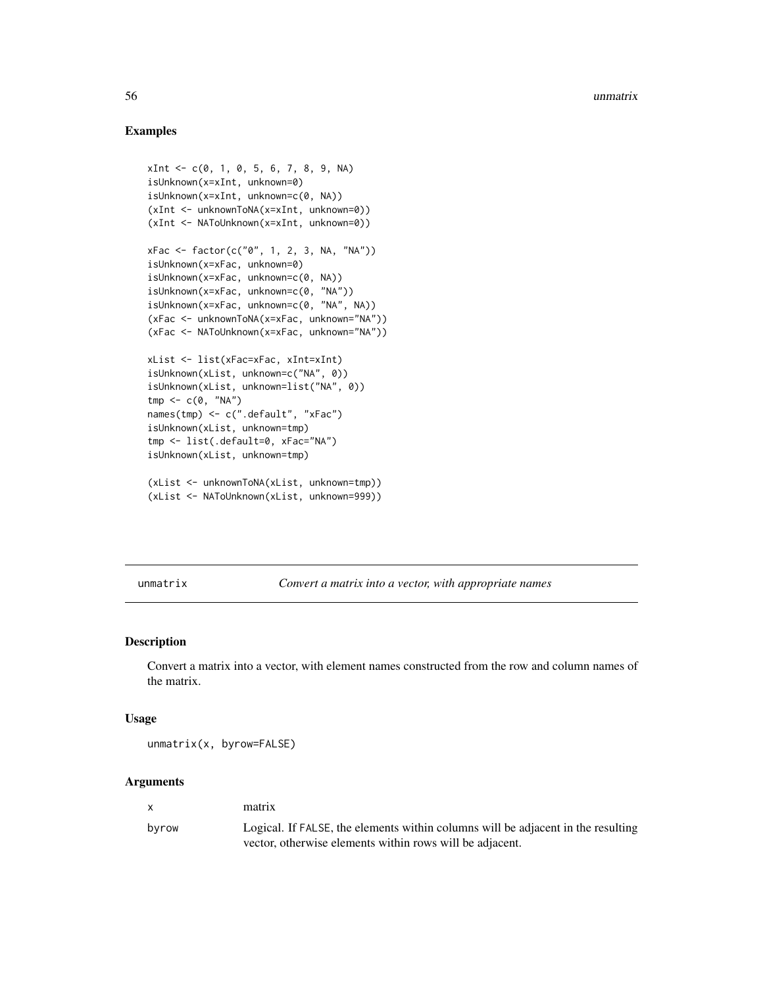#### Examples

```
xInt <- c(0, 1, 0, 5, 6, 7, 8, 9, NA)
isUnknown(x=xInt, unknown=0)
isUnknown(x=xInt, unknown=c(0, NA))
(xInt <- unknownToNA(x=xInt, unknown=0))
(xInt <- NAToUnknown(x=xInt, unknown=0))
xFac <- factor(c("0", 1, 2, 3, NA, "NA"))
isUnknown(x=xFac, unknown=0)
isUnknown(x=xFac, unknown=c(0, NA))
isUnknown(x=xFac, unknown=c(0, "NA"))
isUnknown(x=xFac, unknown=c(0, "NA", NA))
(xFac <- unknownToNA(x=xFac, unknown="NA"))
(xFac <- NAToUnknown(x=xFac, unknown="NA"))
xList <- list(xFac=xFac, xInt=xInt)
isUnknown(xList, unknown=c("NA", 0))
isUnknown(xList, unknown=list("NA", 0))
tmp \leftarrow c(\emptyset, "NA")names(tmp) <- c(".default", "xFac")
isUnknown(xList, unknown=tmp)
tmp <- list(.default=0, xFac="NA")
isUnknown(xList, unknown=tmp)
(xList <- unknownToNA(xList, unknown=tmp))
(xList <- NAToUnknown(xList, unknown=999))
```
unmatrix *Convert a matrix into a vector, with appropriate names*

#### Description

Convert a matrix into a vector, with element names constructed from the row and column names of the matrix.

#### Usage

```
unmatrix(x, byrow=FALSE)
```
#### Arguments

| $\mathbf{x}$ | matrix                                                                           |
|--------------|----------------------------------------------------------------------------------|
| byrow        | Logical. If FALSE, the elements within columns will be adjacent in the resulting |
|              | vector, otherwise elements within rows will be adjacent.                         |

<span id="page-55-0"></span>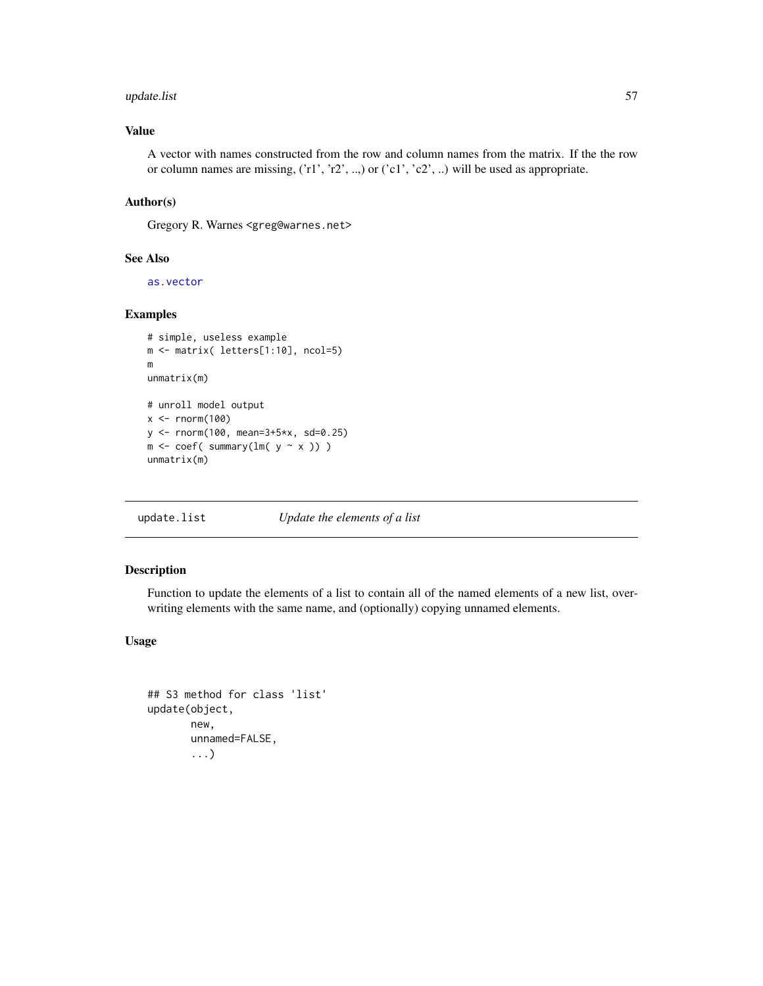# <span id="page-56-0"></span>update.list 57

# Value

A vector with names constructed from the row and column names from the matrix. If the the row or column names are missing, ('r1', 'r2', ..,) or ('c1', 'c2', ..) will be used as appropriate.

### Author(s)

Gregory R. Warnes <greg@warnes.net>

#### See Also

[as.vector](#page-0-0)

# Examples

```
# simple, useless example
m <- matrix( letters[1:10], ncol=5)
m
unmatrix(m)
# unroll model output
x < - rnorm(100)
y <- rnorm(100, mean=3+5*x, sd=0.25)
m \leftarrow coef( summary(lm(y \sim x)) )
unmatrix(m)
```
update.list *Update the elements of a list*

# Description

Function to update the elements of a list to contain all of the named elements of a new list, overwriting elements with the same name, and (optionally) copying unnamed elements.

# Usage

```
## S3 method for class 'list'
update(object,
       new,
       unnamed=FALSE,
       ...)
```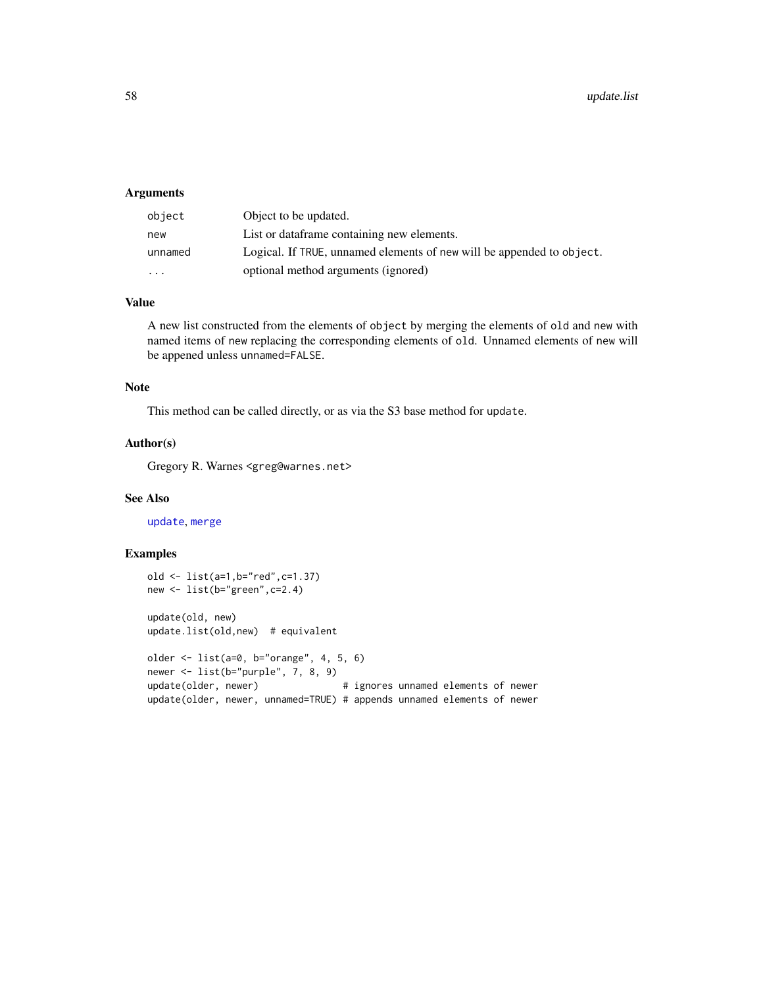# <span id="page-57-0"></span>Arguments

| object   | Object to be updated.                                                 |
|----------|-----------------------------------------------------------------------|
| new      | List or dataframe containing new elements.                            |
| unnamed  | Logical. If TRUE, unnamed elements of new will be appended to object. |
| $\cdots$ | optional method arguments (ignored)                                   |

# Value

A new list constructed from the elements of object by merging the elements of old and new with named items of new replacing the corresponding elements of old. Unnamed elements of new will be appened unless unnamed=FALSE.

#### Note

This method can be called directly, or as via the S3 base method for update.

#### Author(s)

Gregory R. Warnes <greg@warnes.net>

#### See Also

[update](#page-0-0), [merge](#page-0-0)

# Examples

```
old <- list(a=1,b="red",c=1.37)
new <- list(b="green",c=2.4)
update(old, new)
update.list(old,new) # equivalent
older <- list(a=0, b="orange", 4, 5, 6)
newer <- list(b="purple", 7, 8, 9)
update(older, newer) \qquad \qquad \qquad # ignores unnamed elements of newer
update(older, newer, unnamed=TRUE) # appends unnamed elements of newer
```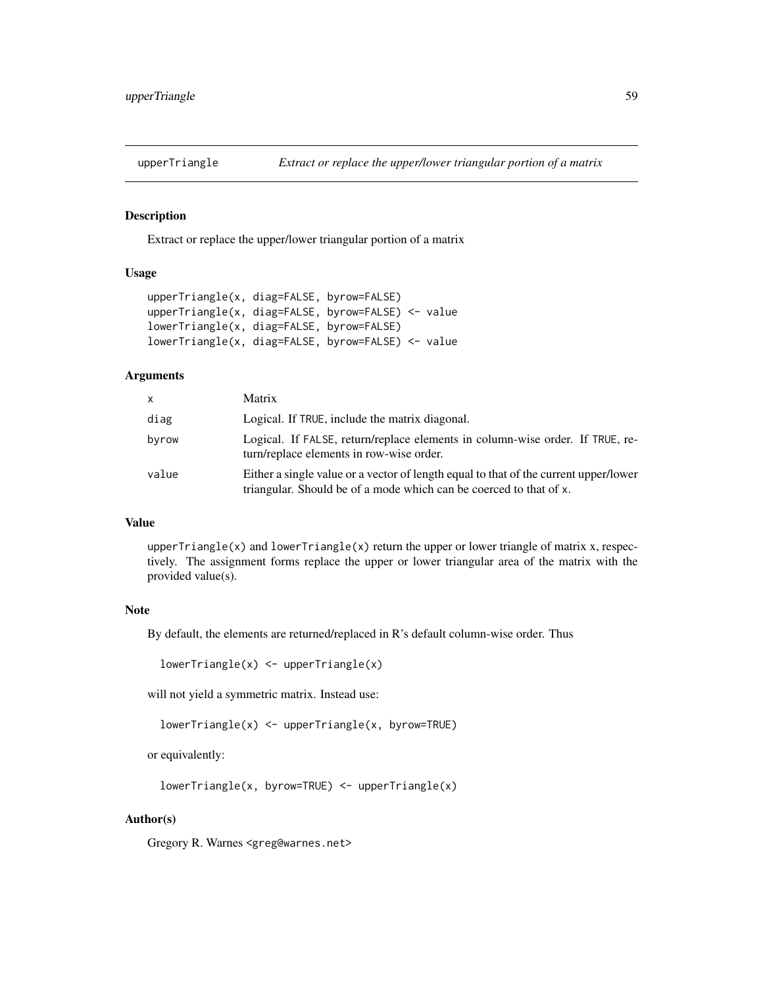<span id="page-58-0"></span>

#### Description

Extract or replace the upper/lower triangular portion of a matrix

# Usage

```
upperTriangle(x, diag=FALSE, byrow=FALSE)
upperTriangle(x, diag=FALSE, byrow=FALSE) <- value
lowerTriangle(x, diag=FALSE, byrow=FALSE)
lowerTriangle(x, diag=FALSE, byrow=FALSE) <- value
```
#### **Arguments**

| X     | Matrix                                                                                                                                                     |
|-------|------------------------------------------------------------------------------------------------------------------------------------------------------------|
| diag  | Logical. If TRUE, include the matrix diagonal.                                                                                                             |
| byrow | Logical. If FALSE, return/replace elements in column-wise order. If TRUE, re-<br>turn/replace elements in row-wise order.                                  |
| value | Either a single value or a vector of length equal to that of the current upper/lower<br>triangular. Should be of a mode which can be coerced to that of x. |

#### Value

upperTriangle(x) and lowerTriangle(x) return the upper or lower triangle of matrix x, respectively. The assignment forms replace the upper or lower triangular area of the matrix with the provided value(s).

# Note

By default, the elements are returned/replaced in R's default column-wise order. Thus

 $lowerTriangle(x) < -upperTriangle(x)$ 

will not yield a symmetric matrix. Instead use:

```
lowerTriangle(x) <- upperTriangle(x, byrow=TRUE)
```
or equivalently:

```
lowerTriangle(x, byrow=TRUE) <- upperTriangle(x)
```
### Author(s)

Gregory R. Warnes <greg@warnes.net>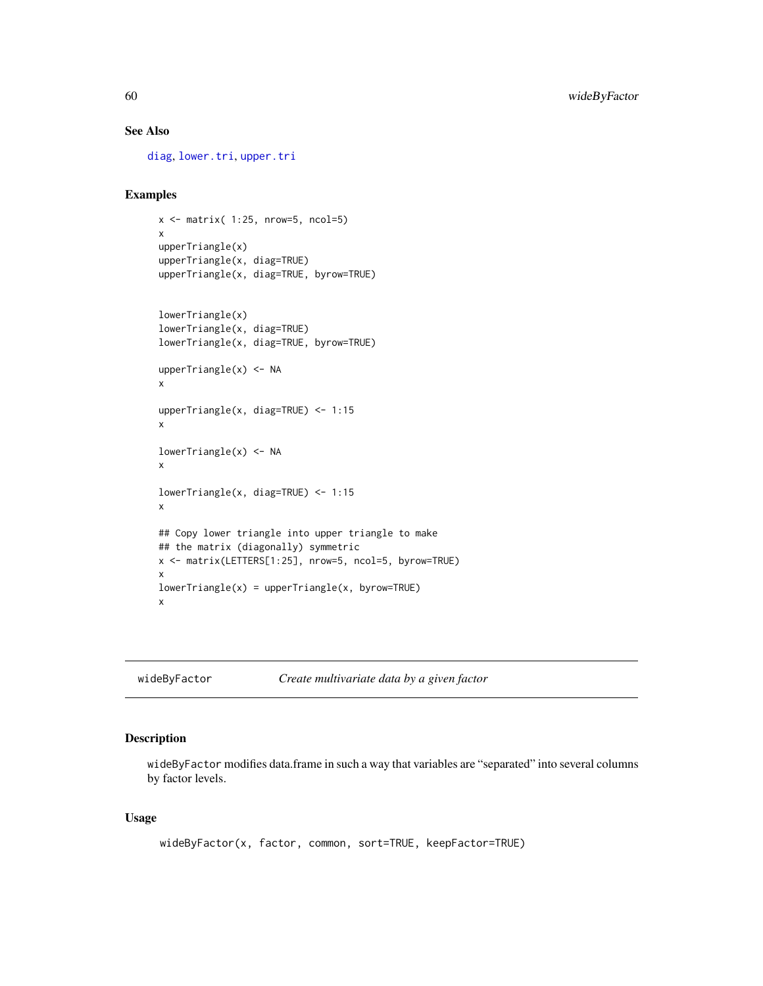# See Also

[diag](#page-0-0), [lower.tri](#page-0-0), [upper.tri](#page-0-0)

# Examples

```
x \le matrix( 1:25, nrow=5, ncol=5)
x
upperTriangle(x)
upperTriangle(x, diag=TRUE)
upperTriangle(x, diag=TRUE, byrow=TRUE)
lowerTriangle(x)
lowerTriangle(x, diag=TRUE)
lowerTriangle(x, diag=TRUE, byrow=TRUE)
upperTriangle(x) <- NA
x
upperTriangle(x, diag=TRUE) <- 1:15
x
lowerTriangle(x) <- NA
x
lowerTriangle(x, diag=TRUE) <- 1:15
x
## Copy lower triangle into upper triangle to make
## the matrix (diagonally) symmetric
x <- matrix(LETTERS[1:25], nrow=5, ncol=5, byrow=TRUE)
x
lowerTriangle(x) = upperTriangle(x, byrow=True)x
```
<span id="page-59-1"></span>wideByFactor *Create multivariate data by a given factor*

# Description

wideByFactor modifies data.frame in such a way that variables are "separated" into several columns by factor levels.

#### Usage

```
wideByFactor(x, factor, common, sort=TRUE, keepFactor=TRUE)
```
<span id="page-59-0"></span>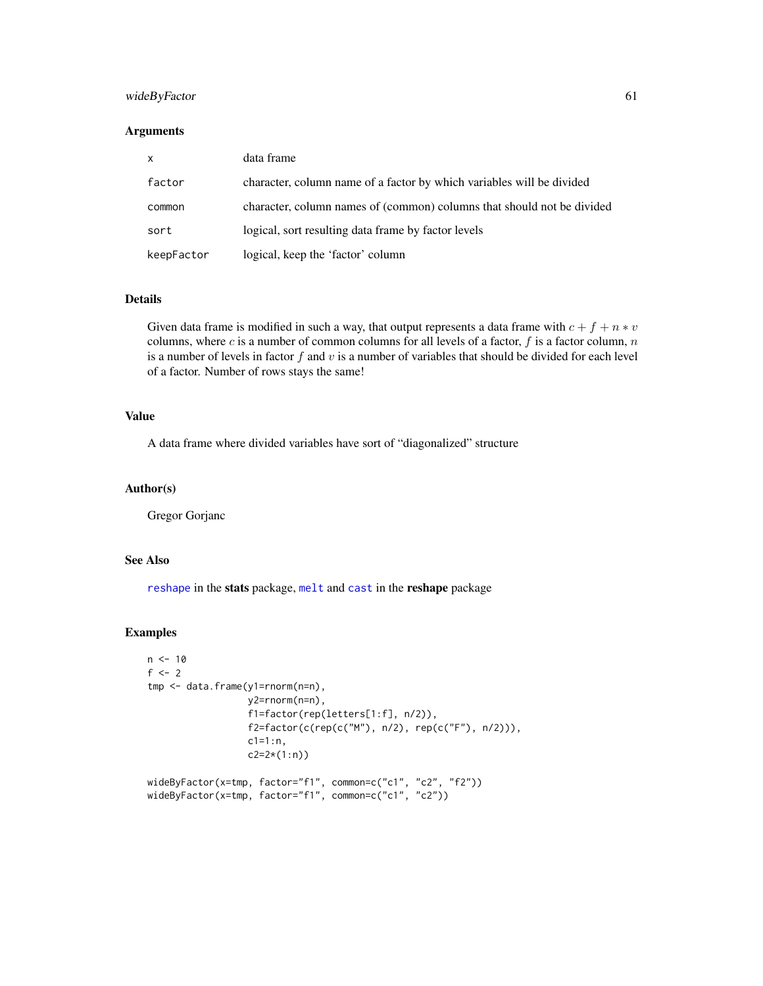# <span id="page-60-0"></span>wideByFactor 61

# Arguments

| $\mathsf{x}$ | data frame                                                             |
|--------------|------------------------------------------------------------------------|
| factor       | character, column name of a factor by which variables will be divided  |
| common       | character, column names of (common) columns that should not be divided |
| sort         | logical, sort resulting data frame by factor levels                    |
| keepFactor   | logical, keep the 'factor' column                                      |

#### Details

Given data frame is modified in such a way, that output represents a data frame with  $c + f + n * v$ columns, where c is a number of common columns for all levels of a factor,  $f$  is a factor column,  $n$ is a number of levels in factor  $f$  and  $v$  is a number of variables that should be divided for each level of a factor. Number of rows stays the same!

# Value

A data frame where divided variables have sort of "diagonalized" structure

# Author(s)

Gregor Gorjanc

# See Also

[reshape](#page-0-0) in the stats package, [melt](#page-0-0) and [cast](#page-0-0) in the reshape package

#### Examples

```
n < -10f <-2tmp <- data.frame(y1=rnorm(n=n),
                 y2=rnorm(n=n),
                  f1=factor(rep(letters[1:f], n/2)),
                  f2=factor(c(rep(c("M"), n/2), rep(c("F"), n/2))),
                 c1=1:n,c2=2*(1:n))
wideByFactor(x=tmp, factor="f1", common=c("c1", "c2", "f2"))
wideByFactor(x=tmp, factor="f1", common=c("c1", "c2"))
```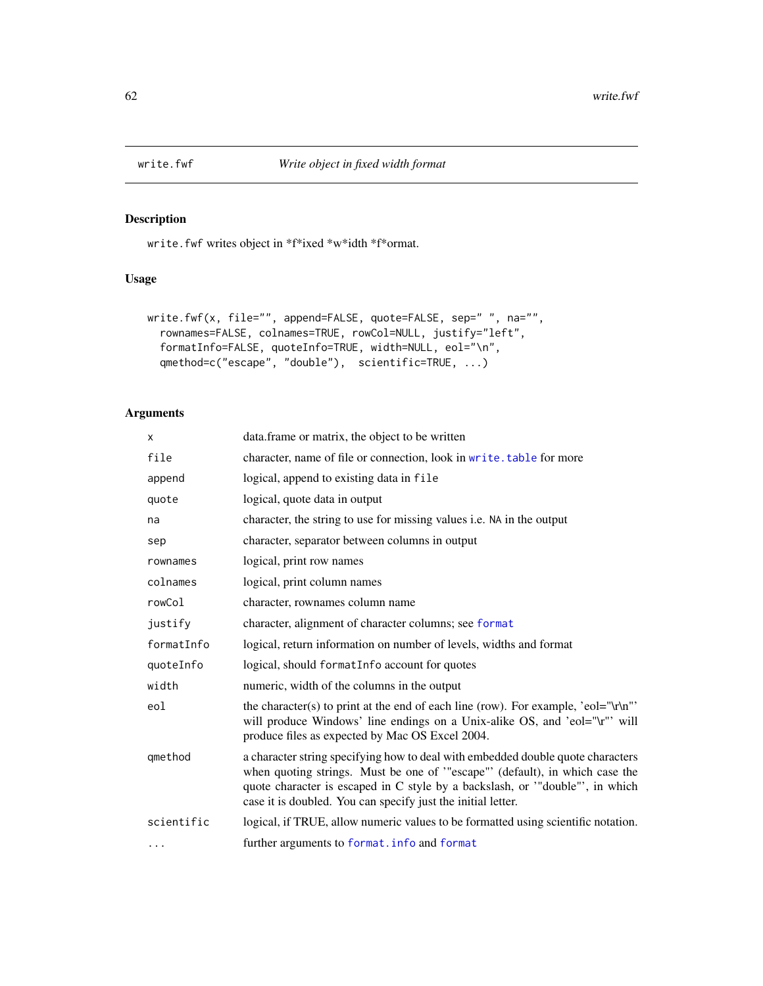<span id="page-61-1"></span><span id="page-61-0"></span>

# Description

write.fwf writes object in \*f\*ixed \*w\*idth \*f\*ormat.

# Usage

```
write.fwf(x, file="", append=FALSE, quote=FALSE, sep=" ", na="",
  rownames=FALSE, colnames=TRUE, rowCol=NULL, justify="left",
 formatInfo=FALSE, quoteInfo=TRUE, width=NULL, eol="\n",
  qmethod=c("escape", "double"), scientific=TRUE, ...)
```
# Arguments

| X          | data. frame or matrix, the object to be written                                                                                                                                                                                                                                                              |
|------------|--------------------------------------------------------------------------------------------------------------------------------------------------------------------------------------------------------------------------------------------------------------------------------------------------------------|
| file       | character, name of file or connection, look in write. table for more                                                                                                                                                                                                                                         |
| append     | logical, append to existing data in file                                                                                                                                                                                                                                                                     |
| quote      | logical, quote data in output                                                                                                                                                                                                                                                                                |
| na         | character, the string to use for missing values i.e. NA in the output                                                                                                                                                                                                                                        |
| sep        | character, separator between columns in output                                                                                                                                                                                                                                                               |
| rownames   | logical, print row names                                                                                                                                                                                                                                                                                     |
| colnames   | logical, print column names                                                                                                                                                                                                                                                                                  |
| rowCol     | character, rownames column name                                                                                                                                                                                                                                                                              |
| justify    | character, alignment of character columns; see format                                                                                                                                                                                                                                                        |
| formatInfo | logical, return information on number of levels, widths and format                                                                                                                                                                                                                                           |
| quoteInfo  | logical, should formatInfo account for quotes                                                                                                                                                                                                                                                                |
| width      | numeric, width of the columns in the output                                                                                                                                                                                                                                                                  |
| eol        | the character(s) to print at the end of each line (row). For example, 'eol="\r\n"'<br>will produce Windows' line endings on a Unix-alike OS, and 'eol="\r"' will<br>produce files as expected by Mac OS Excel 2004.                                                                                          |
| gmethod    | a character string specifying how to deal with embedded double quote characters<br>when quoting strings. Must be one of "escape" (default), in which case the<br>quote character is escaped in C style by a backslash, or "double", in which<br>case it is doubled. You can specify just the initial letter. |
| scientific | logical, if TRUE, allow numeric values to be formatted using scientific notation.                                                                                                                                                                                                                            |
| $\cdots$   | further arguments to format. info and format                                                                                                                                                                                                                                                                 |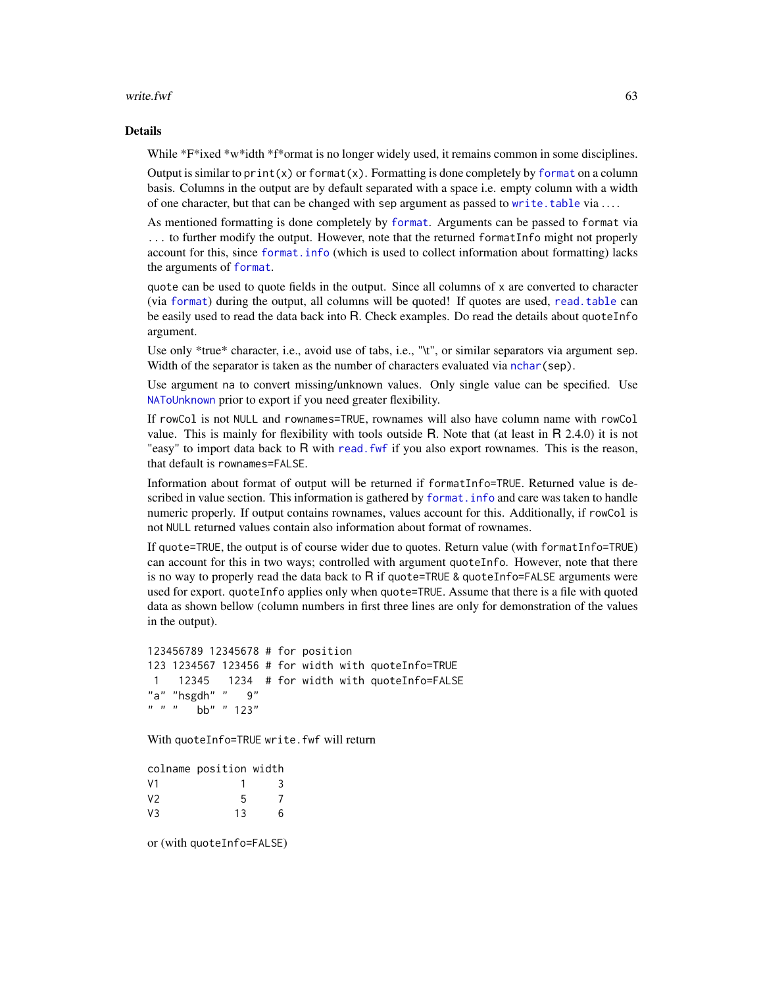#### <span id="page-62-0"></span>write.fwf 63

#### Details

While \*F\*ixed \*w\*idth \*f\*ormat is no longer widely used, it remains common in some disciplines.

Output is similar to  $print(x)$  or [format](#page-0-0) $(x)$ . Formatting is done completely by format on a column basis. Columns in the output are by default separated with a space i.e. empty column with a width of one character, but that can be changed with sep argument as passed to [write.table](#page-0-0) via ....

As mentioned formatting is done completely by [format](#page-0-0). Arguments can be passed to format via ... to further modify the output. However, note that the returned formatInfo might not properly account for this, since [format.info](#page-0-0) (which is used to collect information about formatting) lacks the arguments of [format](#page-0-0).

quote can be used to quote fields in the output. Since all columns of x are converted to character (via [format](#page-0-0)) during the output, all columns will be quoted! If quotes are used, [read.table](#page-0-0) can be easily used to read the data back into R. Check examples. Do read the details about quoteInfo argument.

Use only \*true\* character, i.e., avoid use of tabs, i.e., "\t", or similar separators via argument sep. Width of the separator is taken as the number of characters evaluated via nchar (sep).

Use argument na to convert missing/unknown values. Only single value can be specified. Use [NAToUnknown](#page-53-1) prior to export if you need greater flexibility.

If rowCol is not NULL and rownames=TRUE, rownames will also have column name with rowCol value. This is mainly for flexibility with tools outside R. Note that (at least in R 2.4.0) it is not "easy" to import data back to R with read. fwf if you also export rownames. This is the reason, that default is rownames=FALSE.

Information about format of output will be returned if formatInfo=TRUE. Returned value is described in value section. This information is gathered by [format.info](#page-0-0) and care was taken to handle numeric properly. If output contains rownames, values account for this. Additionally, if rowCol is not NULL returned values contain also information about format of rownames.

If quote=TRUE, the output is of course wider due to quotes. Return value (with formatInfo=TRUE) can account for this in two ways; controlled with argument quoteInfo. However, note that there is no way to properly read the data back to  $\overline{R}$  if quote=TRUE & quoteInfo=FALSE arguments were used for export. quoteInfo applies only when quote=TRUE. Assume that there is a file with quoted data as shown bellow (column numbers in first three lines are only for demonstration of the values in the output).

```
123456789 12345678 # for position
123 1234567 123456 # for width with quoteInfo=TRUE
1 12345 1234 # for width with quoteInfo=FALSE
"a" "hsgdh" "9"" " " " ' bb" " 123"
```
With quoteInfo=TRUE write.fwf will return

colname position width V1 1 3 V2 5 7 V3 13 6

or (with quoteInfo=FALSE)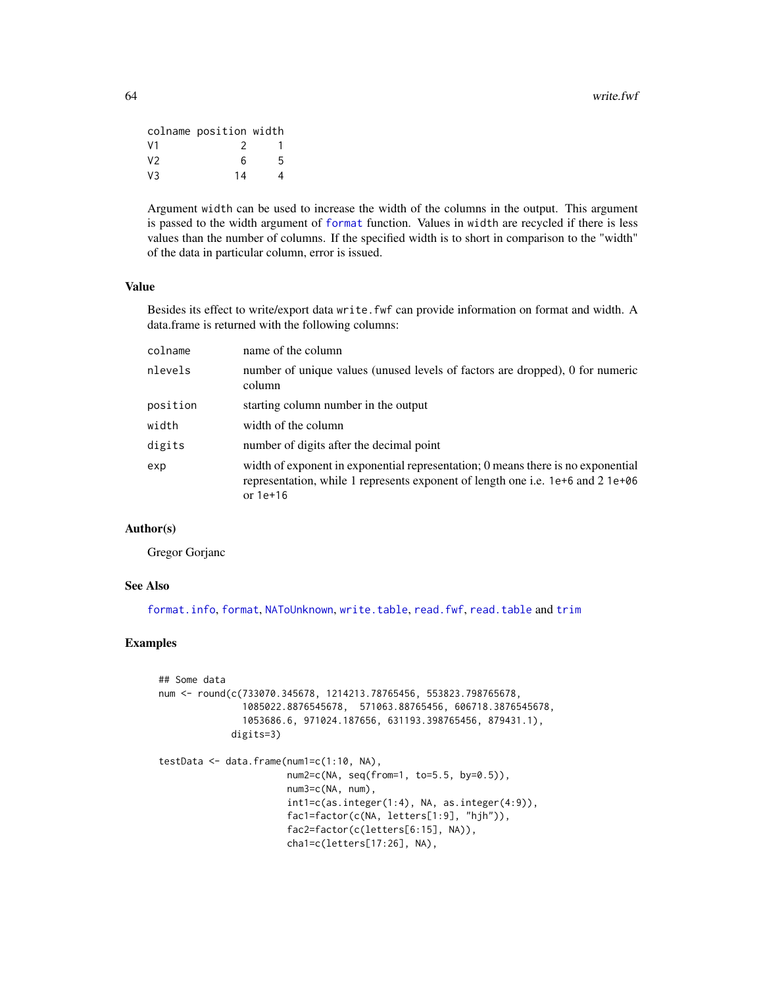<span id="page-63-0"></span>

|                | colname position width |   |
|----------------|------------------------|---|
| V <sub>1</sub> | 2                      |   |
| V2             | ิค                     | 5 |
| V3             | 14                     | Δ |

Argument width can be used to increase the width of the columns in the output. This argument is passed to the width argument of [format](#page-0-0) function. Values in width are recycled if there is less values than the number of columns. If the specified width is to short in comparison to the "width" of the data in particular column, error is issued.

#### Value

Besides its effect to write/export data write. fwf can provide information on format and width. A data.frame is returned with the following columns:

| colname  | name of the column                                                                                                                                                                |
|----------|-----------------------------------------------------------------------------------------------------------------------------------------------------------------------------------|
| nlevels  | number of unique values (unused levels of factors are dropped), 0 for numeric<br>column                                                                                           |
| position | starting column number in the output                                                                                                                                              |
| width    | width of the column                                                                                                                                                               |
| digits   | number of digits after the decimal point                                                                                                                                          |
| exp      | width of exponent in exponential representation; 0 means there is no exponential<br>representation, while 1 represents exponent of length one i.e. 1e+6 and 2 1e+06<br>or $1e+16$ |

# Author(s)

Gregor Gorjanc

# See Also

[format.info](#page-0-0), [format](#page-0-0), [NAToUnknown](#page-53-1), [write.table](#page-0-0), [read.fwf](#page-0-0), [read.table](#page-0-0) and [trim](#page-51-1)

# Examples

```
## Some data
num <- round(c(733070.345678, 1214213.78765456, 553823.798765678,
               1085022.8876545678, 571063.88765456, 606718.3876545678,
               1053686.6, 971024.187656, 631193.398765456, 879431.1),
             digits=3)
testData \leq data.frame(num1=c(1:10, NA),
                       num2=c(NA, seq(from=1, to=5.5, by=0.5)),
                       num3=c(NA, num),
                       int1=c(as.integer(1:4), NA, as.integer(4:9)),
                       fac1=factor(c(NA, letters[1:9], "hjh")),
                       fac2=factor(c(letters[6:15], NA)),
                       cha1=c(letters[17:26], NA),
```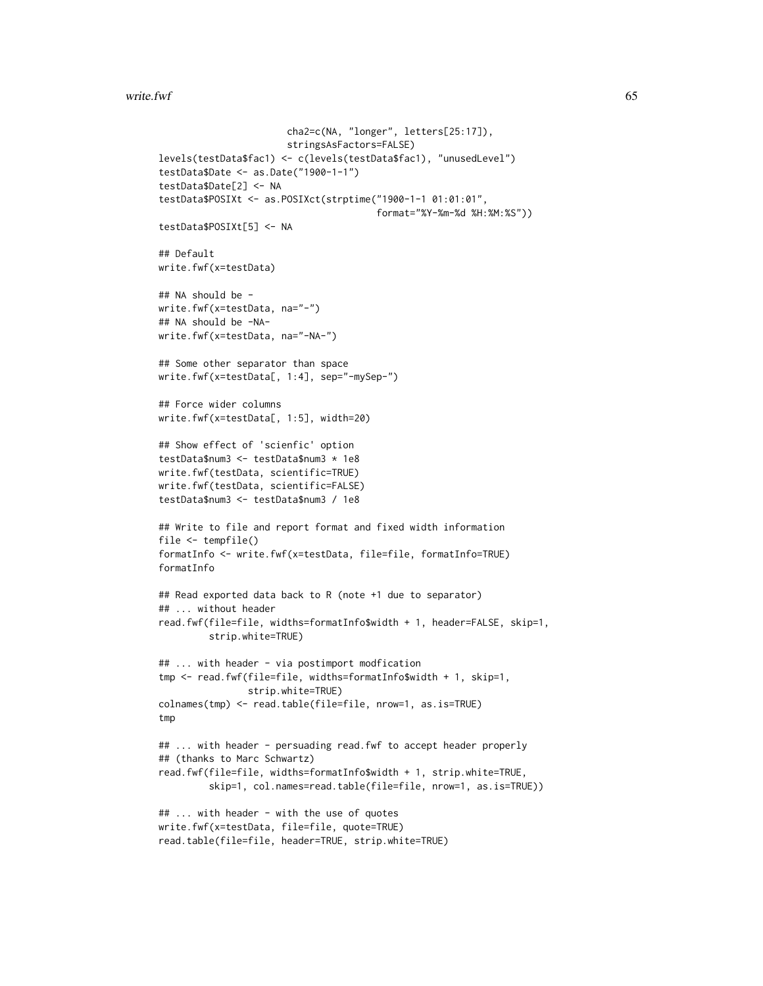#### write.fwf 65

```
cha2=c(NA, "longer", letters[25:17]),
                       stringsAsFactors=FALSE)
levels(testData$fac1) <- c(levels(testData$fac1), "unusedLevel")
testData$Date <- as.Date("1900-1-1")
testData$Date[2] <- NA
testData$POSIXt <- as.POSIXct(strptime("1900-1-1 01:01:01",
                                       format="%Y-%m-%d %H:%M:%S"))
testData$POSIXt[5] <- NA
## Default
write.fwf(x=testData)
## NA should be -
write.fwf(x=testData, na="-")
## NA should be -NA-
write.fwf(x=testData, na="-NA-")
## Some other separator than space
write.fwf(x=testData[, 1:4], sep="-mySep-")
## Force wider columns
write.fwf(x=testData[, 1:5], width=20)
## Show effect of 'scienfic' option
testData$num3 <- testData$num3 * 1e8
write.fwf(testData, scientific=TRUE)
write.fwf(testData, scientific=FALSE)
testData$num3 <- testData$num3 / 1e8
## Write to file and report format and fixed width information
file <- tempfile()
formatInfo <- write.fwf(x=testData, file=file, formatInfo=TRUE)
formatInfo
## Read exported data back to R (note +1 due to separator)
## ... without header
read.fwf(file=file, widths=formatInfo$width + 1, header=FALSE, skip=1,
         strip.white=TRUE)
## ... with header - via postimport modfication
tmp <- read.fwf(file=file, widths=formatInfo$width + 1, skip=1,
                strip.white=TRUE)
colnames(tmp) <- read.table(file=file, nrow=1, as.is=TRUE)
tmp
## ... with header - persuading read.fwf to accept header properly
## (thanks to Marc Schwartz)
read.fwf(file=file, widths=formatInfo$width + 1, strip.white=TRUE,
         skip=1, col.names=read.table(file=file, nrow=1, as.is=TRUE))
## ... with header - with the use of quotes
write.fwf(x=testData, file=file, quote=TRUE)
read.table(file=file, header=TRUE, strip.white=TRUE)
```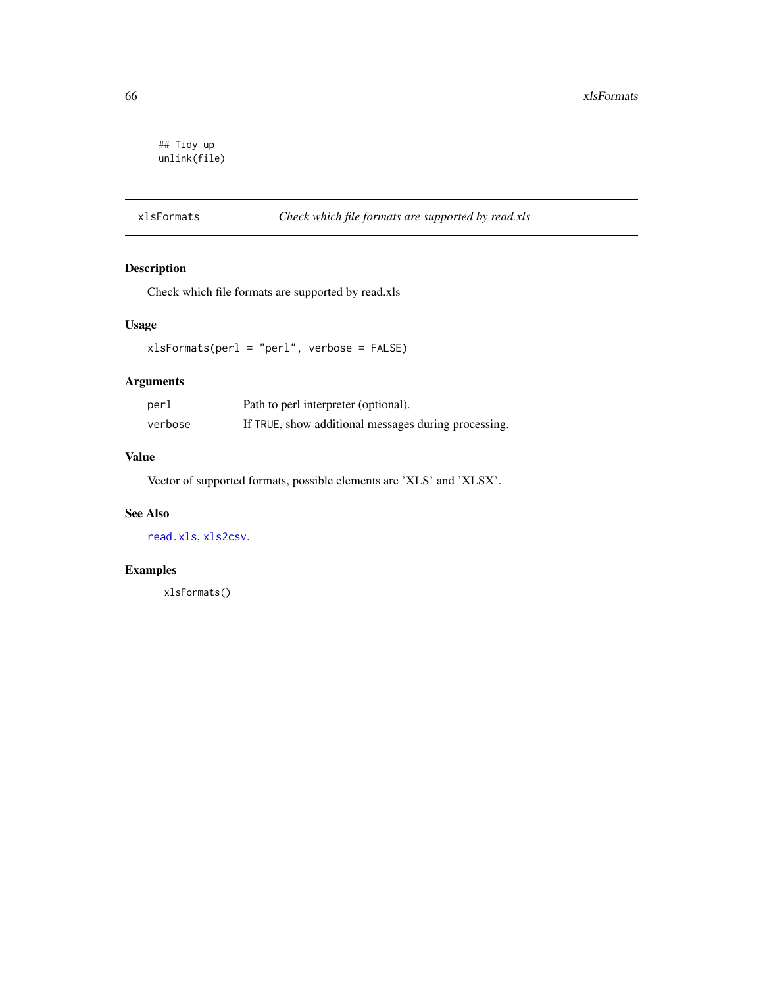```
## Tidy up
unlink(file)
```
# <span id="page-65-1"></span>xlsFormats *Check which file formats are supported by read.xls*

# Description

Check which file formats are supported by read.xls

# Usage

xlsFormats(perl = "perl", verbose = FALSE)

# Arguments

| perl    | Path to perl interpreter (optional).                 |
|---------|------------------------------------------------------|
| verbose | If TRUE, show additional messages during processing. |

# Value

Vector of supported formats, possible elements are 'XLS' and 'XLSX'.

# See Also

[read.xls](#page-42-1), [xls2csv](#page-42-2).

# Examples

xlsFormats()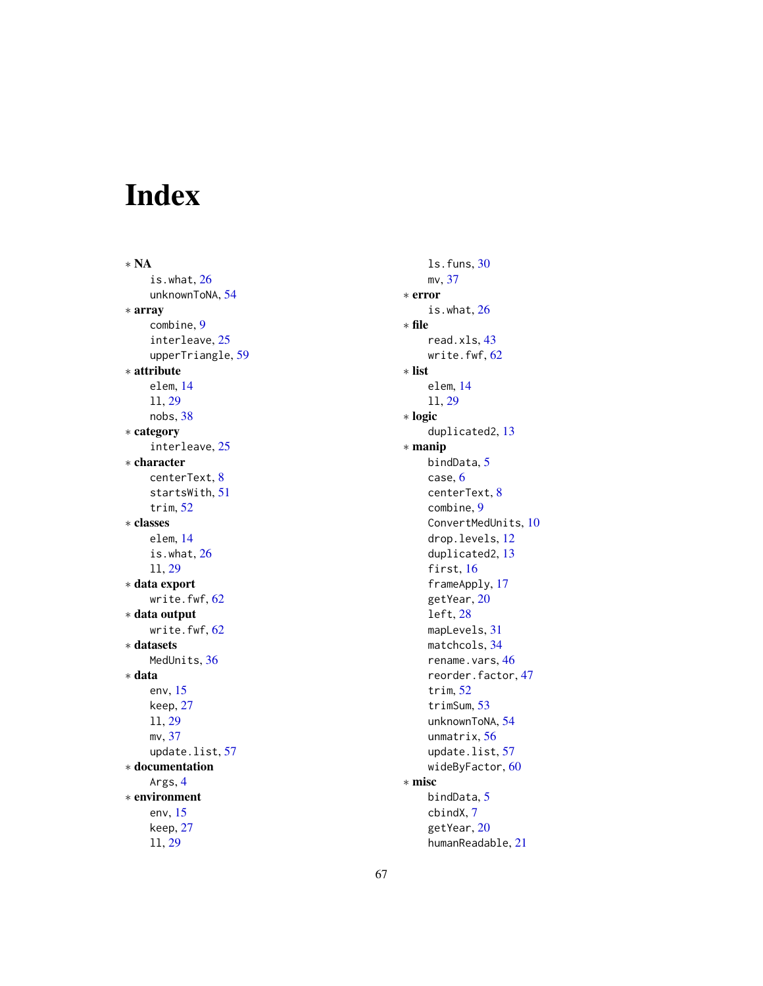# <span id="page-66-0"></span>Index

∗ NA is.what, [26](#page-25-0) unknownToNA, [54](#page-53-0) ∗ array combine, [9](#page-8-0) interleave, [25](#page-24-0) upperTriangle, [59](#page-58-0) ∗ attribute elem, [14](#page-13-0) ll, [29](#page-28-0) nobs, [38](#page-37-0) ∗ category interleave, [25](#page-24-0) ∗ character centerText, [8](#page-7-0) startsWith, [51](#page-50-0) trim, [52](#page-51-0) ∗ classes elem, [14](#page-13-0) is.what, [26](#page-25-0) ll, [29](#page-28-0) ∗ data export write.fwf, [62](#page-61-0) ∗ data output write.fwf, [62](#page-61-0) ∗ datasets MedUnits, [36](#page-35-0) ∗ data env, [15](#page-14-0) keep, [27](#page-26-0) ll, [29](#page-28-0) mv, [37](#page-36-0) update.list, [57](#page-56-0) ∗ documentation Args, [4](#page-3-0) ∗ environment env, [15](#page-14-0) keep, [27](#page-26-0) ll, [29](#page-28-0)

ls.funs, [30](#page-29-0) mv, [37](#page-36-0) ∗ error is.what, [26](#page-25-0) ∗ file read.xls, [43](#page-42-0) write.fwf, [62](#page-61-0) ∗ list elem, [14](#page-13-0) ll, [29](#page-28-0) ∗ logic duplicated2, [13](#page-12-0) ∗ manip bindData, [5](#page-4-0) case, [6](#page-5-0) centerText, [8](#page-7-0) combine, [9](#page-8-0) ConvertMedUnits, [10](#page-9-0) drop.levels, [12](#page-11-0) duplicated2, [13](#page-12-0) first, [16](#page-15-0) frameApply, [17](#page-16-0) getYear, [20](#page-19-0) left, [28](#page-27-0) mapLevels, [31](#page-30-0) matchcols, [34](#page-33-0) rename.vars, [46](#page-45-0) reorder.factor, [47](#page-46-0) trim, [52](#page-51-0) trimSum, [53](#page-52-0) unknownToNA, [54](#page-53-0) unmatrix, [56](#page-55-0) update.list, [57](#page-56-0) wideByFactor, [60](#page-59-0) ∗ misc bindData, [5](#page-4-0) cbindX, [7](#page-6-0) getYear, [20](#page-19-0) humanReadable, [21](#page-20-0)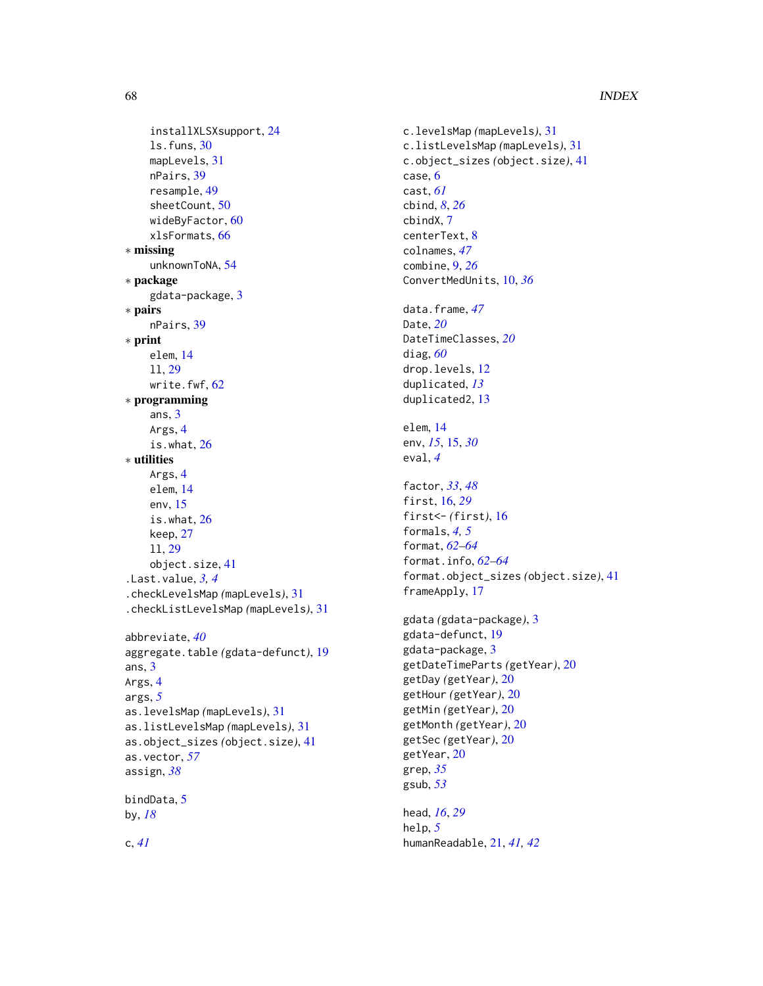```
installXLSXsupport, 24
    ls.funs, 30
    mapLevels, 31
    nPairs, 39
    resample, 49
    sheetCount, 50
    60
    xlsFormats, 66
∗ missing
    unknownToNA, 54
∗ package
    gdata-package, 3
∗ pairs
    nPairs, 39
∗ print
    elem, 14
    ll, 29
    write.fwf, 62
∗ programming
    ans, 3
    Args, 4
    is.what, 26
∗ utilities
    Args, 4
    elem, 14
    env, 15
    is.what, 26
    keep, 27
    ll, 29
    object.size, 41
.Last.value, 3, 4
.checkLevelsMap (mapLevels), 31
.checkListLevelsMap (mapLevels), 31
abbreviate, 40
aggregate.table (gdata-defunct), 19
ans, 3
Args, 4
args, 5
as.levelsMap (mapLevels), 31
as.listLevelsMap (mapLevels), 31
as.object_sizes (object.size), 41
as.vector, 57
assign, 38
```
by, *[18](#page-17-0)*

bindData, [5](#page-4-0)

c, *[41](#page-40-0)*

c.levelsMap *(*mapLevels*)*, [31](#page-30-0) c.listLevelsMap *(*mapLevels*)*, [31](#page-30-0) c.object\_sizes *(*object.size*)*, [41](#page-40-0) case, [6](#page-5-0) cast, *[61](#page-60-0)* cbind, *[8](#page-7-0)*, *[26](#page-25-0)* cbindX, [7](#page-6-0) centerText, [8](#page-7-0) colnames, *[47](#page-46-0)* combine, [9,](#page-8-0) *[26](#page-25-0)* ConvertMedUnits, [10,](#page-9-0) *[36](#page-35-0)* data.frame, *[47](#page-46-0)* Date, *[20](#page-19-0)* DateTimeClasses, *[20](#page-19-0)* diag, *[60](#page-59-0)* drop.levels, [12](#page-11-0) duplicated, *[13](#page-12-0)* duplicated2, [13](#page-12-0) elem, [14](#page-13-0) env, *[15](#page-14-0)*, [15,](#page-14-0) *[30](#page-29-0)* eval, *[4](#page-3-0)* factor, *[33](#page-32-0)*, *[48](#page-47-0)* first, [16,](#page-15-0) *[29](#page-28-0)* first<- *(*first*)*, [16](#page-15-0) formals, *[4,](#page-3-0) [5](#page-4-0)* format, *[62](#page-61-0)[–64](#page-63-0)* format.info, *[62](#page-61-0)[–64](#page-63-0)* format.object\_sizes *(*object.size*)*, [41](#page-40-0) frameApply, [17](#page-16-0) gdata *(*gdata-package*)*, [3](#page-2-0) gdata-defunct, [19](#page-18-0) gdata-package, [3](#page-2-0) getDateTimeParts *(*getYear*)*, [20](#page-19-0) getDay *(*getYear*)*, [20](#page-19-0) getHour *(*getYear*)*, [20](#page-19-0) getMin *(*getYear*)*, [20](#page-19-0) getMonth *(*getYear*)*, [20](#page-19-0) getSec *(*getYear*)*, [20](#page-19-0) getYear, [20](#page-19-0) grep, *[35](#page-34-0)* gsub, *[53](#page-52-0)*

head, *[16](#page-15-0)*, *[29](#page-28-0)* help, *[5](#page-4-0)* humanReadable, [21,](#page-20-0) *[41,](#page-40-0) [42](#page-41-0)*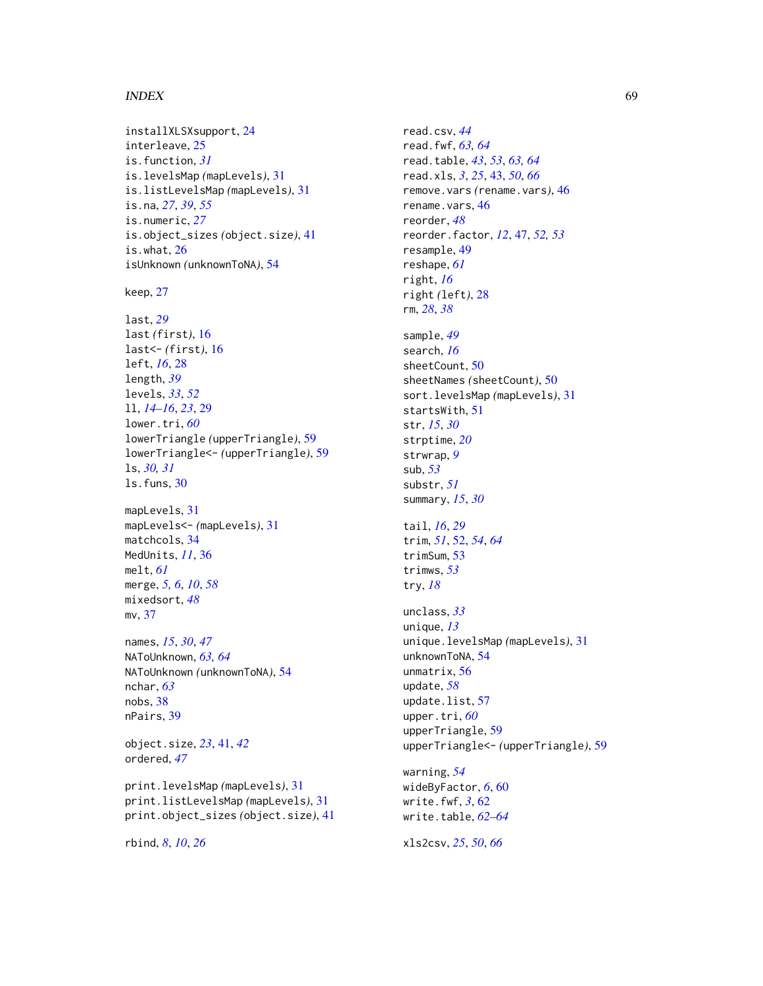#### INDEX  $\sim$  69

installXLSXsupport, [24](#page-23-0) interleave, [25](#page-24-0) is.function, *[31](#page-30-0)* is.levelsMap *(*mapLevels*)*, [31](#page-30-0) is.listLevelsMap *(*mapLevels*)*, [31](#page-30-0) is.na, *[27](#page-26-0)*, *[39](#page-38-0)*, *[55](#page-54-0)* is.numeric, *[27](#page-26-0)* is.object\_sizes *(*object.size*)*, [41](#page-40-0) is.what, [26](#page-25-0) isUnknown *(*unknownToNA*)*, [54](#page-53-0)

keep, [27](#page-26-0)

```
last, 29
last (first), 16
last<- (first), 16
left, 16, 28
length, 39
levels, 33, 52
ll, 14–16, 23, 29
lower.tri, 60
lowerTriangle (upperTriangle), 59
lowerTriangle<- (upperTriangle), 59
ls, 30, 31
ls.funs, 30
```
mapLevels, [31](#page-30-0) mapLevels<- *(*mapLevels*)*, [31](#page-30-0) matchcols, [34](#page-33-0) MedUnits, *[11](#page-10-0)*, [36](#page-35-0) melt, *[61](#page-60-0)* merge, *[5,](#page-4-0) [6](#page-5-0)*, *[10](#page-9-0)*, *[58](#page-57-0)* mixedsort, *[48](#page-47-0)* mv, [37](#page-36-0)

names, *[15](#page-14-0)*, *[30](#page-29-0)*, *[47](#page-46-0)* NAToUnknown, *[63,](#page-62-0) [64](#page-63-0)* NAToUnknown *(*unknownToNA*)*, [54](#page-53-0) nchar, *[63](#page-62-0)* nobs, [38](#page-37-0) nPairs, [39](#page-38-0)

object.size, *[23](#page-22-0)*, [41,](#page-40-0) *[42](#page-41-0)* ordered, *[47](#page-46-0)*

print.levelsMap *(*mapLevels*)*, [31](#page-30-0) print.listLevelsMap *(*mapLevels*)*, [31](#page-30-0) print.object\_sizes *(*object.size*)*, [41](#page-40-0)

rbind, *[8](#page-7-0)*, *[10](#page-9-0)*, *[26](#page-25-0)*

read.csv, *[44](#page-43-0)* read.fwf, *[63,](#page-62-0) [64](#page-63-0)* read.table, *[43](#page-42-0)*, *[53](#page-52-0)*, *[63,](#page-62-0) [64](#page-63-0)* read.xls, *[3](#page-2-0)*, *[25](#page-24-0)*, [43,](#page-42-0) *[50](#page-49-0)*, *[66](#page-65-0)* remove.vars *(*rename.vars*)*, [46](#page-45-0) rename.vars, [46](#page-45-0) reorder, *[48](#page-47-0)* reorder.factor, *[12](#page-11-0)*, [47,](#page-46-0) *[52,](#page-51-0) [53](#page-52-0)* resample, [49](#page-48-0) reshape, *[61](#page-60-0)* right, *[16](#page-15-0)* right *(*left*)*, [28](#page-27-0) rm, *[28](#page-27-0)*, *[38](#page-37-0)* sample, *[49](#page-48-0)* search, *[16](#page-15-0)* sheetCount, [50](#page-49-0) sheetNames *(*sheetCount*)*, [50](#page-49-0) sort.levelsMap *(*mapLevels*)*, [31](#page-30-0) startsWith, [51](#page-50-0) str, *[15](#page-14-0)*, *[30](#page-29-0)* strptime, *[20](#page-19-0)* strwrap, *[9](#page-8-0)* sub, *[53](#page-52-0)* substr, *[51](#page-50-0)* summary, *[15](#page-14-0)*, *[30](#page-29-0)* tail, *[16](#page-15-0)*, *[29](#page-28-0)* trim, *[51](#page-50-0)*, [52,](#page-51-0) *[54](#page-53-0)*, *[64](#page-63-0)* trimSum, [53](#page-52-0) trimws, *[53](#page-52-0)* try, *[18](#page-17-0)* unclass, *[33](#page-32-0)* unique, *[13](#page-12-0)* unique.levelsMap *(*mapLevels*)*, [31](#page-30-0) unknownToNA, [54](#page-53-0) unmatrix, [56](#page-55-0) update, *[58](#page-57-0)* update.list, [57](#page-56-0) upper.tri, *[60](#page-59-0)* upperTriangle, [59](#page-58-0) upperTriangle<- *(*upperTriangle*)*, [59](#page-58-0) warning, *[54](#page-53-0)* wideByFactor, *[6](#page-5-0)*, [60](#page-59-0) write.fwf, *[3](#page-2-0)*, [62](#page-61-0) write.table, *[62](#page-61-0)[–64](#page-63-0)*

xls2csv, *[25](#page-24-0)*, *[50](#page-49-0)*, *[66](#page-65-0)*